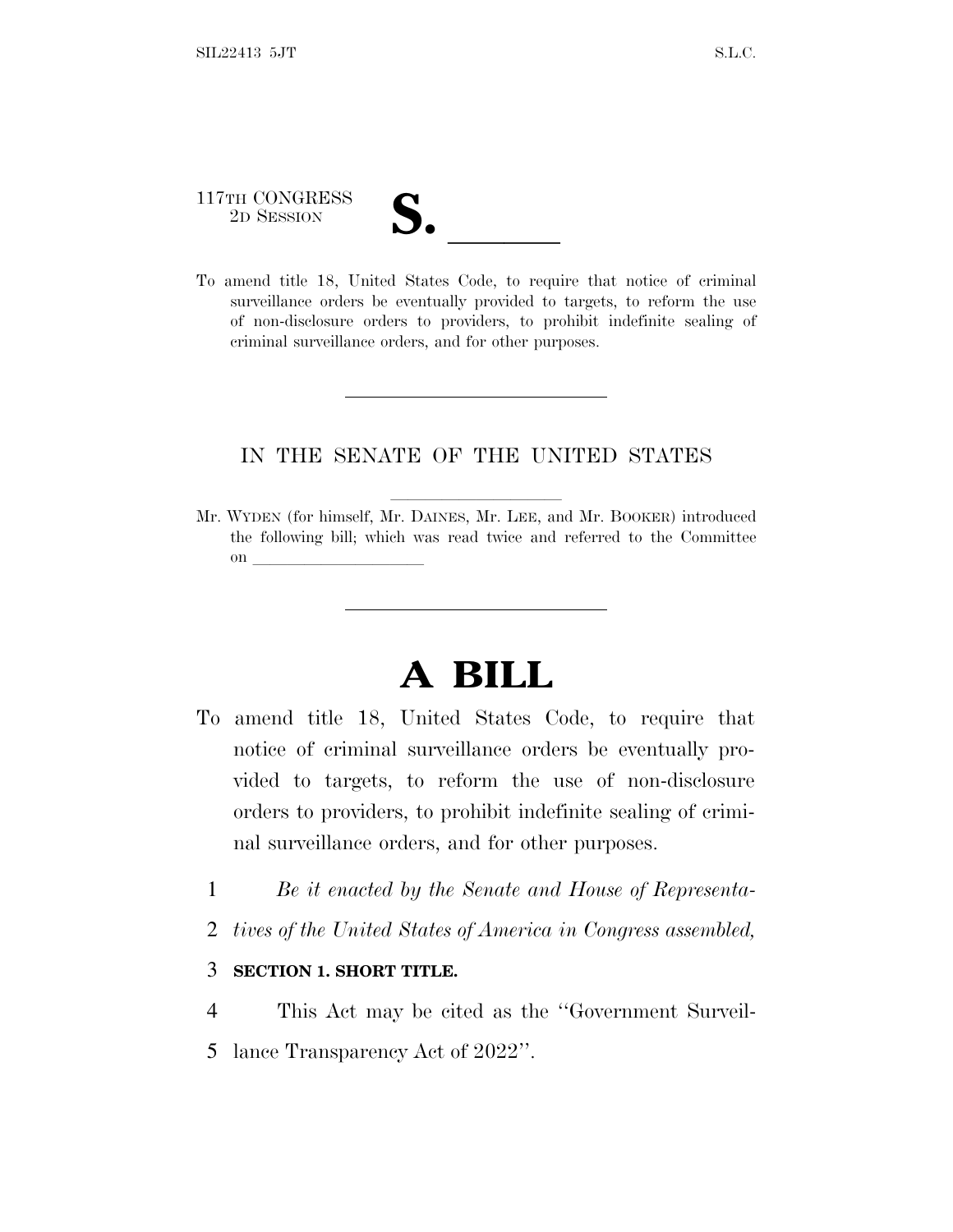# 117TH CONGRESS 117TH CONGRESS<br>
2D SESSION<br>
To amend title 18, United States Code, to require that notice of criminal

surveillance orders be eventually provided to targets, to reform the use of non-disclosure orders to providers, to prohibit indefinite sealing of criminal surveillance orders, and for other purposes.

#### IN THE SENATE OF THE UNITED STATES

Mr. WYDEN (for himself, Mr. DAINES, Mr. LEE, and Mr. BOOKER) introduced the following bill; which was read twice and referred to the Committee on  $\overline{\qquad \qquad }$ 

## **A BILL**

- To amend title 18, United States Code, to require that notice of criminal surveillance orders be eventually provided to targets, to reform the use of non-disclosure orders to providers, to prohibit indefinite sealing of criminal surveillance orders, and for other purposes.
	- 1 *Be it enacted by the Senate and House of Representa-*
	- 2 *tives of the United States of America in Congress assembled,*

#### 3 **SECTION 1. SHORT TITLE.**

- 4 This Act may be cited as the ''Government Surveil-
- 5 lance Transparency Act of 2022''.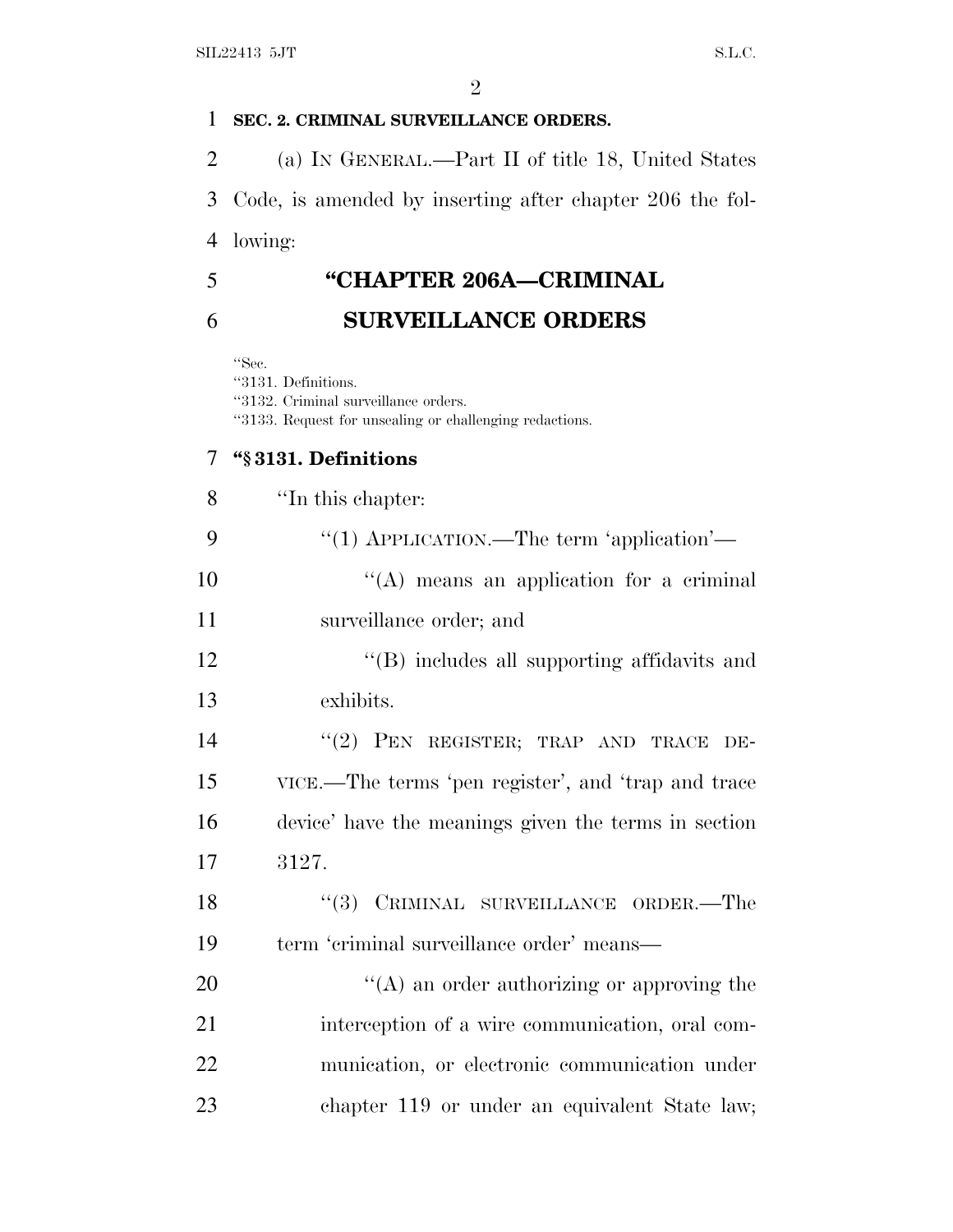#### **SEC. 2. CRIMINAL SURVEILLANCE ORDERS.**

 (a) I<sup>N</sup> GENERAL.—Part II of title 18, United States Code, is amended by inserting after chapter 206 the fol-lowing:

 **''CHAPTER 206A—CRIMINAL SURVEILLANCE ORDERS**

''Sec.

''3131. Definitions. ''3132. Criminal surveillance orders. ''3133. Request for unsealing or challenging redactions.

#### **''§ 3131. Definitions**

| 8  | "In this chapter:                                    |
|----|------------------------------------------------------|
| 9  | "(1) APPLICATION.—The term 'application'—            |
| 10 | $\lq\lq$ means an application for a criminal         |
| 11 | surveillance order; and                              |
| 12 | "(B) includes all supporting affidavits and          |
| 13 | exhibits.                                            |
| 14 | "(2) PEN REGISTER; TRAP AND TRACE DE-                |
| 15 | VICE.—The terms 'pen register', and 'trap and trace  |
| 16 | device' have the meanings given the terms in section |
| 17 | 3127.                                                |
| 18 | "(3) CRIMINAL SURVEILLANCE ORDER.—The                |
| 19 | term 'criminal surveillance order' means—            |
| 20 | $\lq\lq$ an order authorizing or approving the       |
| 21 | interception of a wire communication, oral com-      |
| 22 | munication, or electronic communication under        |
| 23 | chapter 119 or under an equivalent State law;        |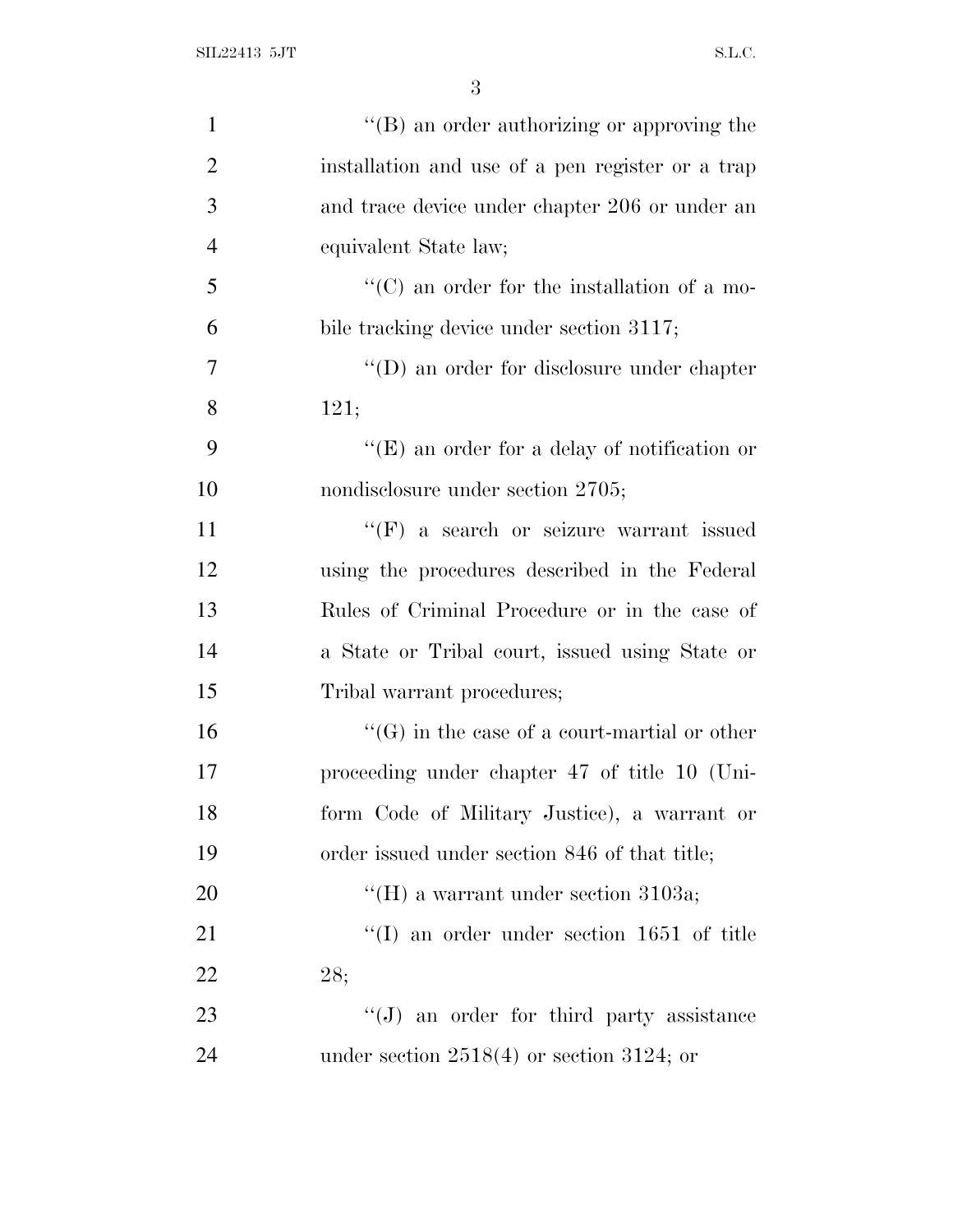| $\mathbf{1}$   | $\lq\lq (B)$ an order authorizing or approving the  |
|----------------|-----------------------------------------------------|
| $\overline{2}$ | installation and use of a pen register or a trap    |
| 3              | and trace device under chapter 206 or under an      |
| $\overline{4}$ | equivalent State law;                               |
| 5              | $\lq\lq$ (C) an order for the installation of a mo- |
| 6              | bile tracking device under section 3117;            |
| 7              | $\lq\lq$ an order for disclosure under chapter      |
| 8              | 121;                                                |
| 9              | $\lq\lq(E)$ an order for a delay of notification or |
| 10             | nondisclosure under section 2705;                   |
| 11             | $\lq\lq(F)$ a search or seizure warrant issued      |
| 12             | using the procedures described in the Federal       |
| 13             | Rules of Criminal Procedure or in the case of       |
| 14             | a State or Tribal court, issued using State or      |
| 15             | Tribal warrant procedures;                          |
| 16             | $\lq\lq(G)$ in the case of a court-martial or other |
| 17             | proceeding under chapter 47 of title 10 (Uni-       |
| 18             | form Code of Military Justice), a warrant or        |
| 19             | order issued under section 846 of that title;       |
| <b>20</b>      | "(H) a warrant under section 3103a;                 |
| 21             | $\lq(1)$ an order under section 1651 of title       |
| 22             | 28;                                                 |
| 23             | $\lq\lq(J)$ an order for third party assistance     |
| 24             | under section $2518(4)$ or section 3124; or         |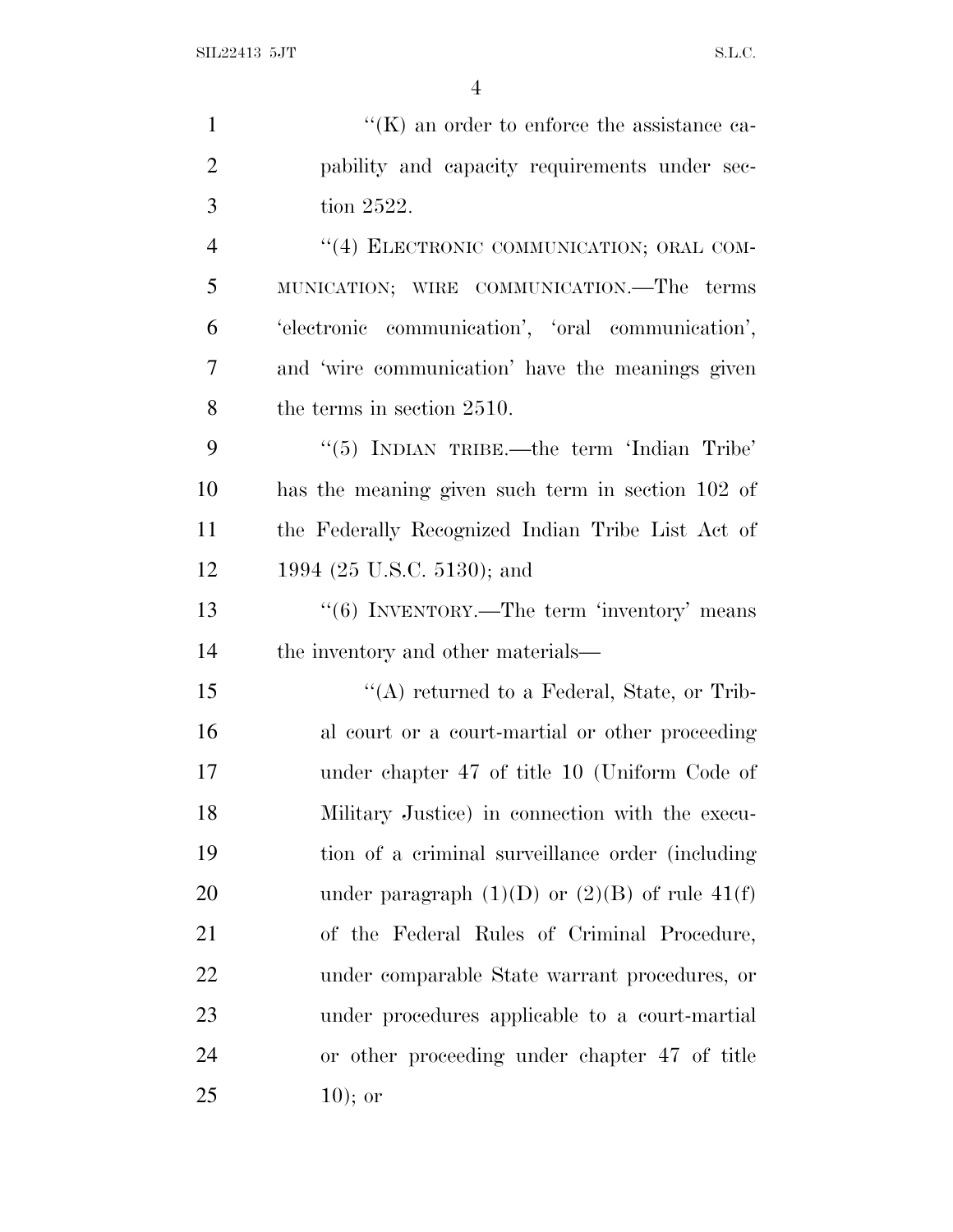| $\mathbf{1}$   | $\lq\lq(K)$ an order to enforce the assistance ca-   |
|----------------|------------------------------------------------------|
| $\overline{2}$ | pability and capacity requirements under sec-        |
| 3              | tion 2522.                                           |
| $\overline{4}$ | "(4) ELECTRONIC COMMUNICATION; ORAL COM-             |
| 5              | MUNICATION; WIRE COMMUNICATION.—The terms            |
| 6              | 'electronic communication', 'oral communication',    |
| 7              | and 'wire communication' have the meanings given     |
| 8              | the terms in section 2510.                           |
| 9              | " $(5)$ INDIAN TRIBE.—the term 'Indian Tribe'        |
| 10             | has the meaning given such term in section 102 of    |
| 11             | the Federally Recognized Indian Tribe List Act of    |
| 12             | 1994 (25 U.S.C. 5130); and                           |
| 13             | "(6) INVENTORY.—The term 'inventory' means           |
| 14             | the inventory and other materials—                   |
| 15             | " $(A)$ returned to a Federal, State, or Trib-       |
| 16             | al court or a court-martial or other proceeding      |
| 17             | under chapter 47 of title 10 (Uniform Code of        |
| 18             | Military Justice) in connection with the execu-      |
| 19             | tion of a criminal surveillance order (including     |
| 20             | under paragraph $(1)(D)$ or $(2)(B)$ of rule $41(f)$ |
| 21             | of the Federal Rules of Criminal Procedure,          |
| 22             | under comparable State warrant procedures, or        |
| 23             | under procedures applicable to a court-martial       |
| 24             | or other proceeding under chapter 47 of title        |
| 25             | $10);$ or                                            |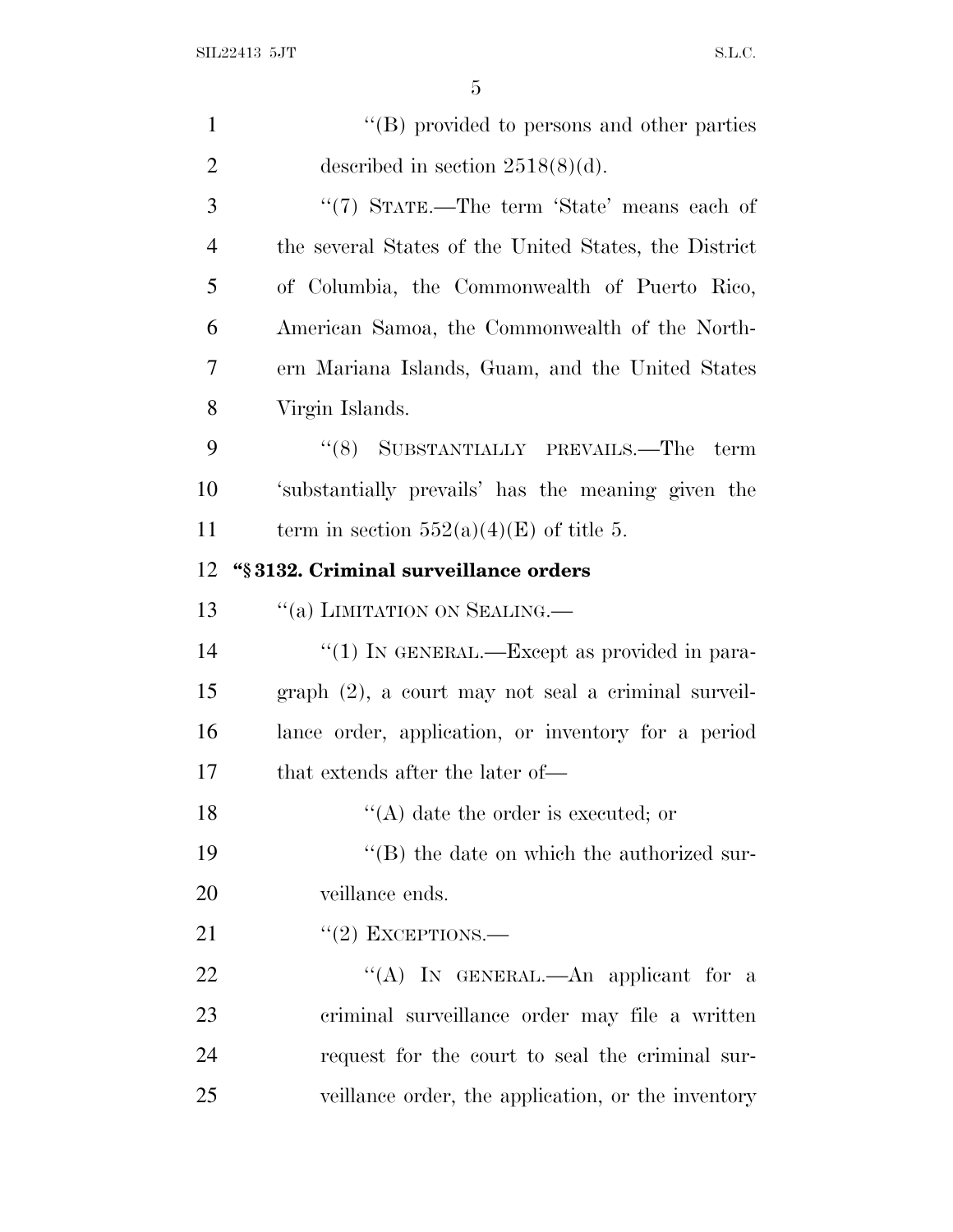| $\mathbf{1}$   | "(B) provided to persons and other parties             |
|----------------|--------------------------------------------------------|
| $\overline{2}$ | described in section $2518(8)(d)$ .                    |
| 3              | "(7) STATE.—The term 'State' means each of             |
| $\overline{4}$ | the several States of the United States, the District  |
| 5              | of Columbia, the Commonwealth of Puerto Rico,          |
| 6              | American Samoa, the Commonwealth of the North-         |
| 7              | ern Mariana Islands, Guam, and the United States       |
| $8\,$          | Virgin Islands.                                        |
| 9              | "(8) SUBSTANTIALLY PREVAILS.—The<br>term               |
| 10             | 'substantially prevails' has the meaning given the     |
| 11             | term in section $552(a)(4)(E)$ of title 5.             |
| 12             | "§3132. Criminal surveillance orders                   |
| 13             | "(a) LIMITATION ON SEALING.                            |
| 14             | "(1) IN GENERAL.—Except as provided in para-           |
| 15             | $graph (2)$ , a court may not seal a criminal surveil- |
| 16             | lance order, application, or inventory for a period    |
| 17             | that extends after the later of—                       |
| 18             | $\lq\lq$ (A) date the order is executed; or            |
| 19             | $\lq\lq$ the date on which the authorized sur-         |
| 20             | veillance ends.                                        |
| 21             | $``(2)$ EXCEPTIONS.—                                   |
| 22             | "(A) IN GENERAL.—An applicant for a                    |
| 23             | criminal surveillance order may file a written         |
| 24             | request for the court to seal the criminal sur-        |
| 25             | veillance order, the application, or the inventory     |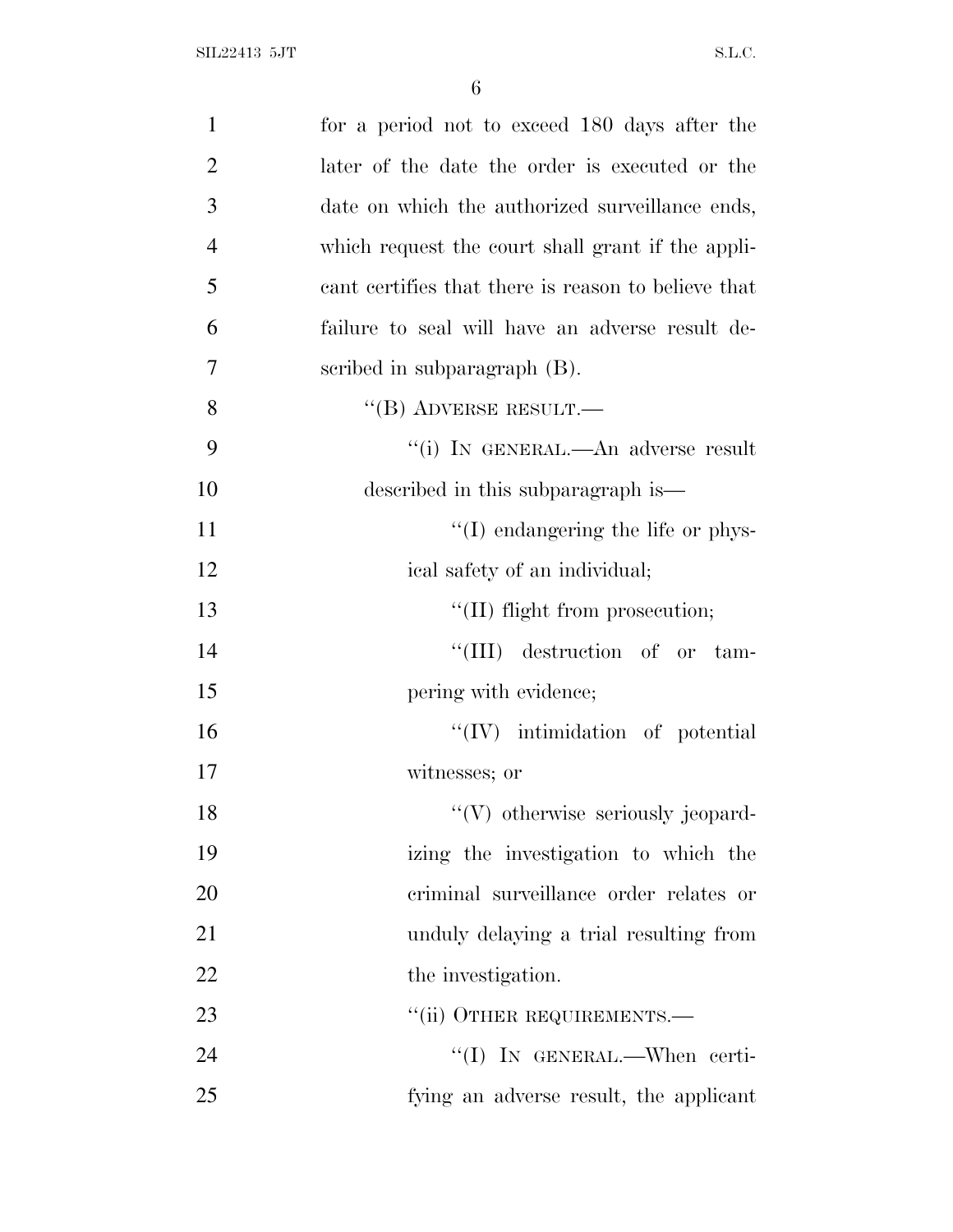| $\mathbf{1}$   | for a period not to exceed 180 days after the       |
|----------------|-----------------------------------------------------|
| $\overline{2}$ | later of the date the order is executed or the      |
| 3              | date on which the authorized surveillance ends,     |
| $\overline{4}$ | which request the court shall grant if the appli-   |
| 5              | cant certifies that there is reason to believe that |
| 6              | failure to seal will have an adverse result de-     |
| 7              | scribed in subparagraph (B).                        |
| 8              | $``$ (B) ADVERSE RESULT.—                           |
| 9              | "(i) IN GENERAL.—An adverse result                  |
| 10             | described in this subparagraph is—                  |
| 11             | $\lq\lq$ (I) endangering the life or phys-          |
| 12             | ical safety of an individual;                       |
| 13             | $\lq\lq$ (II) flight from prosecution;              |
| 14             | "(III) destruction of or tam-                       |
| 15             | pering with evidence;                               |
| 16             | $``(IV)$ intimidation of potential                  |
| 17             | witnesses; or                                       |
| 18             | $\lq\lq(V)$ otherwise seriously jeopard-            |
| 19             | izing the investigation to which the                |
| 20             | criminal surveillance order relates or              |
| 21             | unduly delaying a trial resulting from              |
| 22             | the investigation.                                  |
| 23             | "(ii) OTHER REQUIREMENTS.—                          |
| 24             | "(I) IN GENERAL.—When certi-                        |
| 25             | fying an adverse result, the applicant              |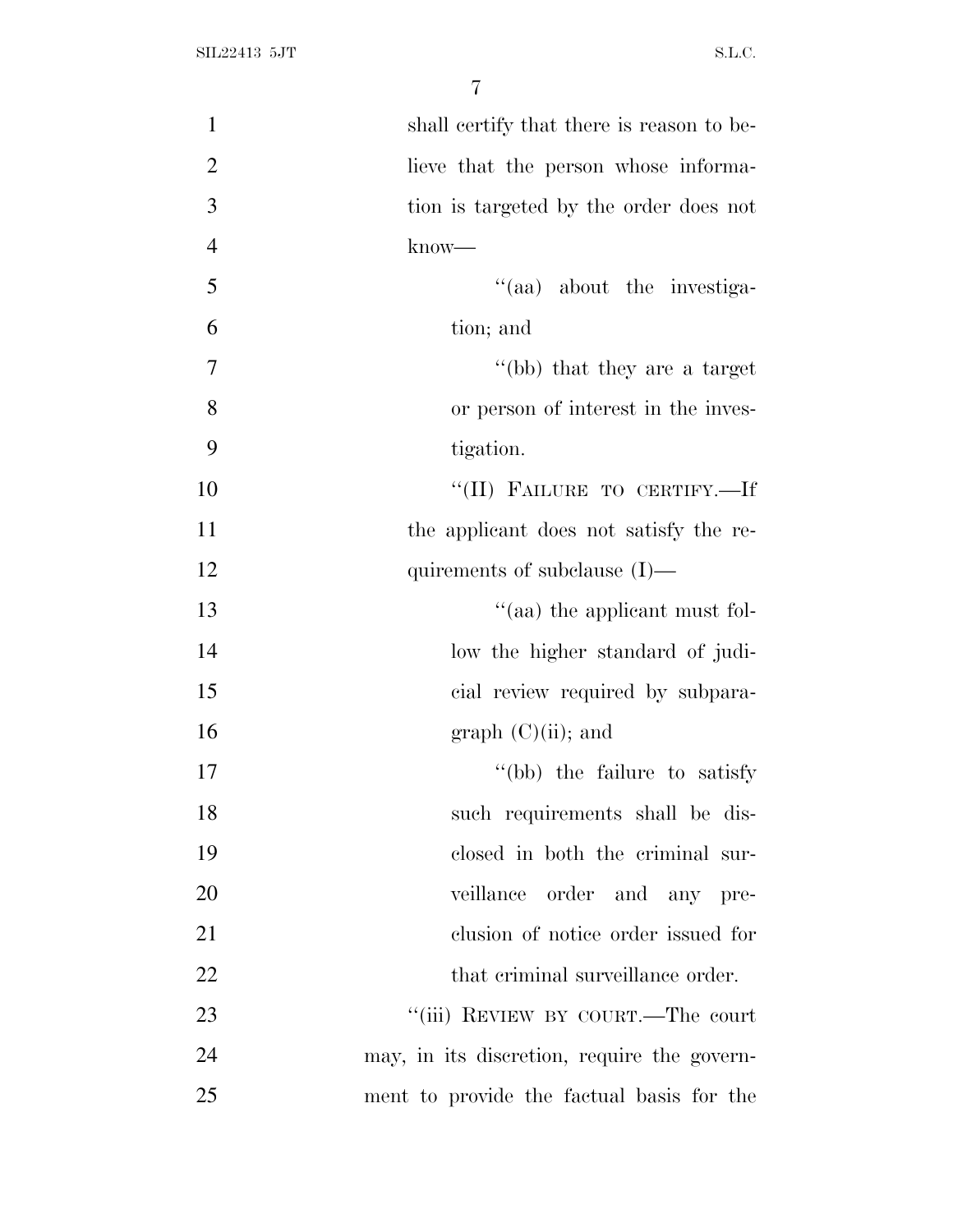| $\mathbf{1}$   | shall certify that there is reason to be-   |
|----------------|---------------------------------------------|
| $\overline{2}$ | lieve that the person whose informa-        |
| 3              | tion is targeted by the order does not      |
| $\overline{4}$ | know—                                       |
| 5              | "(aa) about the investiga-                  |
| 6              | tion; and                                   |
| $\tau$         | "(bb) that they are a target                |
| 8              | or person of interest in the inves-         |
| 9              | tigation.                                   |
| 10             | "(II) FAILURE TO CERTIFY.-If                |
| 11             | the applicant does not satisfy the re-      |
| 12             | quirements of subclause $(I)$ —             |
| 13             | $\cdot$ (aa) the applicant must fol-        |
| 14             | low the higher standard of judi-            |
| 15             | cial review required by subpara-            |
| 16             | graph $(C)(ii)$ ; and                       |
| 17             | "(bb) the failure to satisfy                |
| 18             | such requirements shall be dis-             |
| 19             | closed in both the criminal sur-            |
| 20             | veillance order and any pre-                |
| 21             | clusion of notice order issued for          |
| 22             | that criminal surveillance order.           |
| 23             | "(iii) REVIEW BY COURT.—The court           |
| 24             | may, in its discretion, require the govern- |
| 25             | ment to provide the factual basis for the   |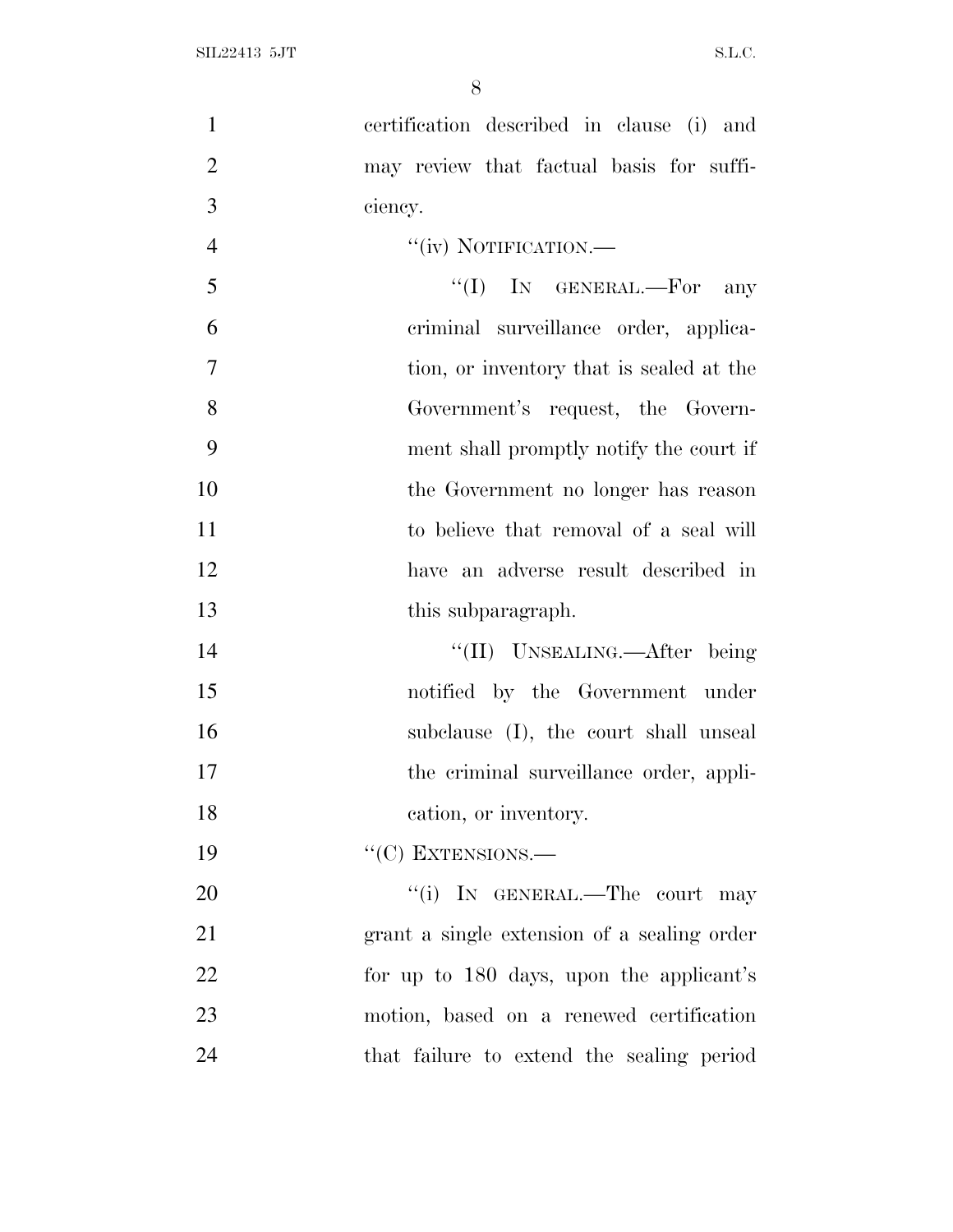certification described in clause (i) and

| $\overline{2}$ | may review that factual basis for suffi-    |
|----------------|---------------------------------------------|
| 3              | ciency.                                     |
| $\overline{4}$ | "(iv) NOTIFICATION.-                        |
| 5              | "(I) IN GENERAL.—For<br>any                 |
| 6              | criminal surveillance order, applica-       |
| 7              | tion, or inventory that is sealed at the    |
| 8              | Government's request, the Govern-           |
| 9              | ment shall promptly notify the court if     |
| 10             | the Government no longer has reason         |
| 11             | to believe that removal of a seal will      |
| 12             | have an adverse result described in         |
| 13             | this subparagraph.                          |
| 14             | "(II) UNSEALING.—After being                |
| 15             | notified by the Government under            |
| 16             | subclause (I), the court shall unseal       |
| 17             | the criminal surveillance order, appli-     |
| 18             | cation, or inventory.                       |
| 19             | $``(C)$ EXTENSIONS.—                        |
| 20             | "(i) IN GENERAL.—The court may              |
| 21             | grant a single extension of a sealing order |
| 22             | for up to 180 days, upon the applicant's    |
| 23             | motion, based on a renewed certification    |
| 24             | that failure to extend the sealing period   |
|                |                                             |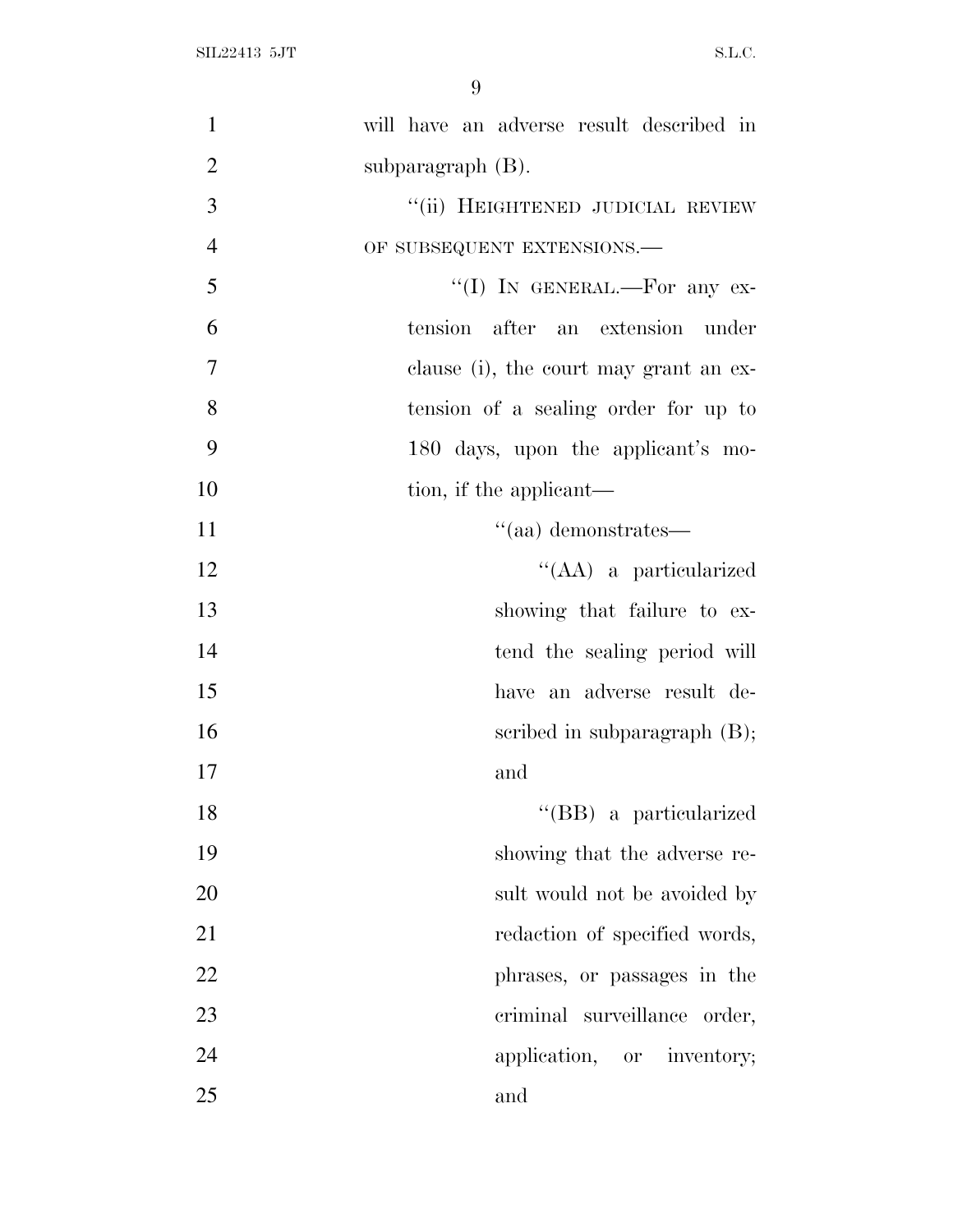| $\mathbf{1}$   | will have an adverse result described in |
|----------------|------------------------------------------|
| $\overline{2}$ | subparagraph $(B)$ .                     |
| 3              | "(ii) HEIGHTENED JUDICIAL REVIEW         |
| $\overline{4}$ | OF SUBSEQUENT EXTENSIONS.-               |
| 5              | "(I) IN GENERAL.—For any ex-             |
| 6              | tension after an extension under         |
| $\overline{7}$ | clause (i), the court may grant an ex-   |
| 8              | tension of a sealing order for up to     |
| 9              | 180 days, upon the applicant's mo-       |
| 10             | tion, if the applicant—                  |
| 11             | $\cdot$ (aa) demonstrates—               |
| 12             | "(AA) a particularized                   |
| 13             | showing that failure to ex-              |
| 14             | tend the sealing period will             |
| 15             | have an adverse result de-               |
| 16             | scribed in subparagraph $(B)$ ;          |
| 17             | and                                      |
| 18             | "(BB) a particularized                   |
| 19             | showing that the adverse re-             |
| 20             | sult would not be avoided by             |
| 21             | redaction of specified words,            |
| 22             | phrases, or passages in the              |
| 23             | criminal<br>surveillance order,          |
| 24             | application, or inventory;               |
| 25             | and                                      |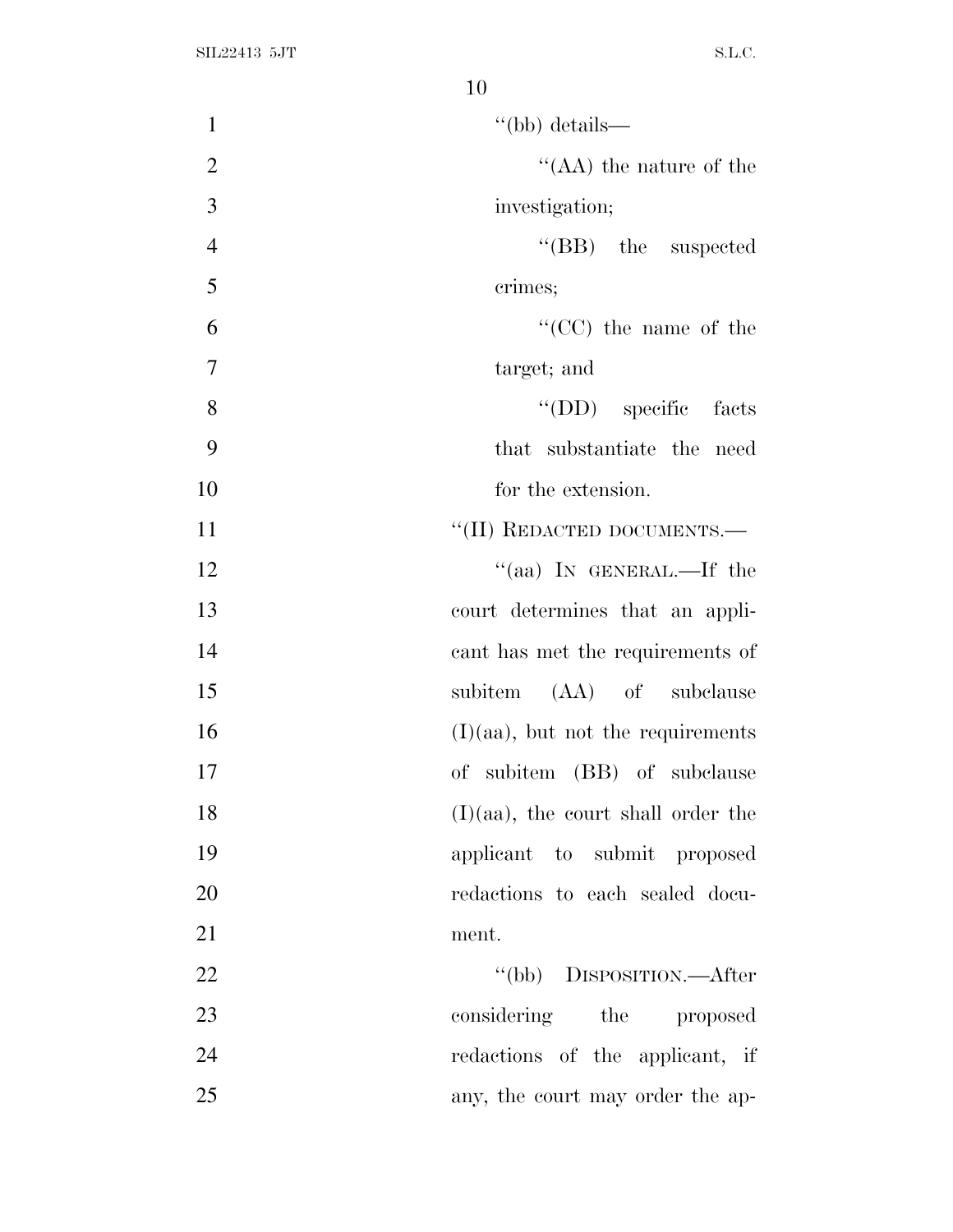| $\mathbf{1}$<br>$\lq$ (bb) details—         |
|---------------------------------------------|
| $\overline{2}$<br>"(AA) the nature of the   |
| 3<br>investigation;                         |
| $\overline{4}$<br>"(BB) the suspected       |
| 5<br>crimes;                                |
| 6<br>$\lq\lq$ (CC) the name of the          |
| $\overline{7}$<br>target; and               |
| 8<br>"(DD) specific facts                   |
| 9<br>that substantiate the need             |
| 10<br>for the extension.                    |
| "(II) REDACTED DOCUMENTS.—<br>11            |
| "(aa) IN GENERAL.—If the<br>12              |
| 13<br>court determines that an appli-       |
| 14<br>cant has met the requirements of      |
| 15<br>subitem (AA) of subclause             |
| $(I)(aa)$ , but not the requirements<br>16  |
| 17<br>of subitem (BB) of subclause          |
| 18<br>$(I)(aa)$ , the court shall order the |
| 19<br>applicant to submit proposed          |
| 20<br>redactions to each sealed docu-       |
| 21<br>ment.                                 |
| 22<br>"(bb) DISPOSITION.—After              |
| 23<br>considering the<br>proposed           |
| 24<br>redactions of the applicant, if       |
| 25<br>any, the court may order the ap-      |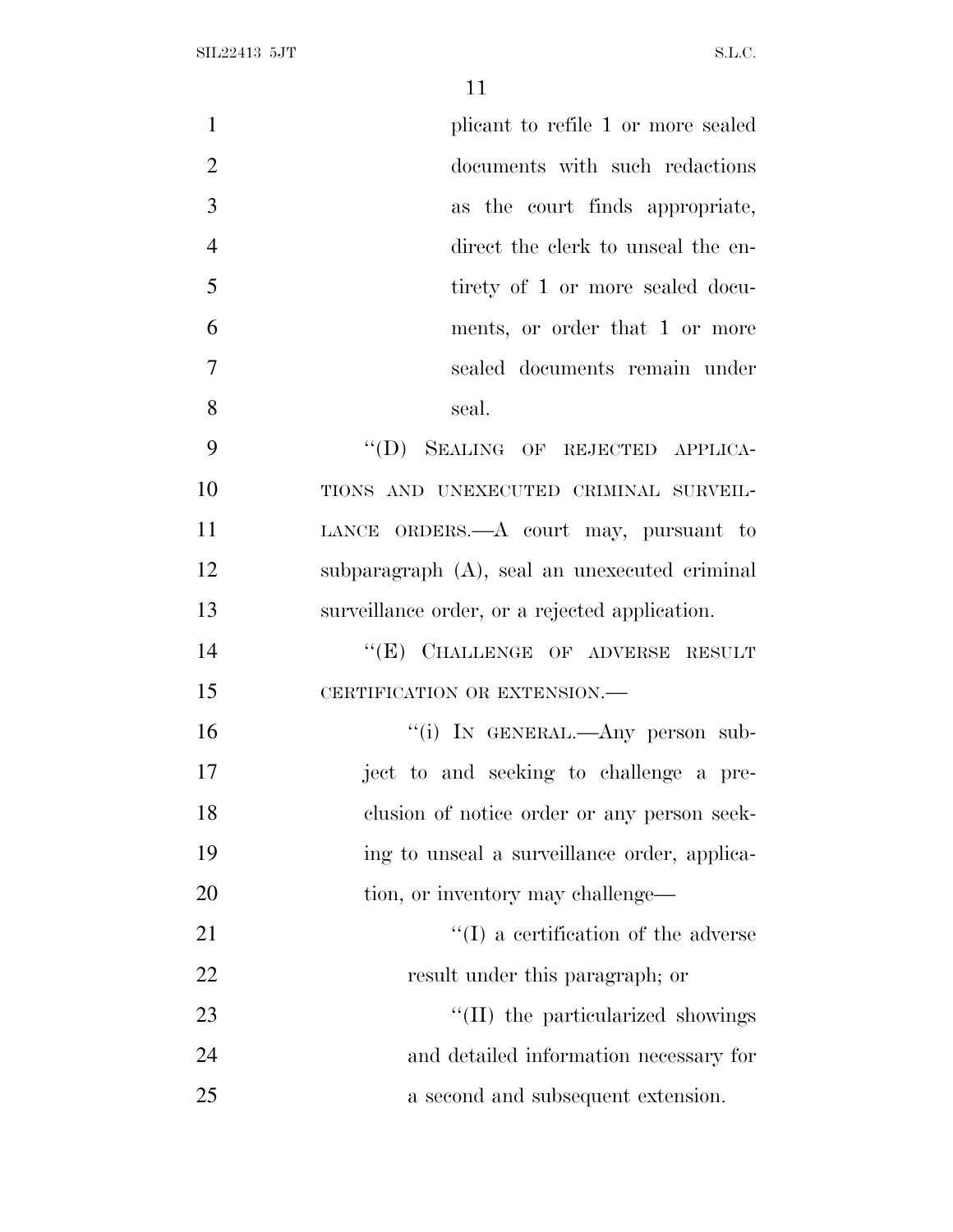| $\mathbf{1}$   | plicant to refile 1 or more sealed             |
|----------------|------------------------------------------------|
| $\overline{2}$ | documents with such redactions                 |
| 3              | as the court finds appropriate,                |
| $\overline{4}$ | direct the clerk to unseal the en-             |
| 5              | tirety of 1 or more sealed docu-               |
| 6              | ments, or order that 1 or more                 |
| 7              | sealed documents remain under                  |
| 8              | seal.                                          |
| 9              | "(D) SEALING OF REJECTED APPLICA-              |
| 10             | TIONS AND UNEXECUTED CRIMINAL SURVEIL-         |
| 11             | LANCE ORDERS.—A court may, pursuant to         |
| 12             | subparagraph (A), seal an unexecuted criminal  |
| 13             | surveillance order, or a rejected application. |
| 14             | "(E) CHALLENGE OF ADVERSE RESULT               |
| 15             | CERTIFICATION OR EXTENSION.-                   |
| 16             | "(i) IN GENERAL.—Any person sub-               |
| 17             | ject to and seeking to challenge a pre-        |
| 18             | clusion of notice order or any person seek-    |
| 19             | ing to unseal a surveillance order, applica-   |
| 20             | tion, or inventory may challenge—              |
| 21             | $\lq\lq$ a certification of the adverse        |
| 22             | result under this paragraph; or                |
| 23             | "(II) the particularized showings              |
| 24             | and detailed information necessary for         |
| 25             | a second and subsequent extension.             |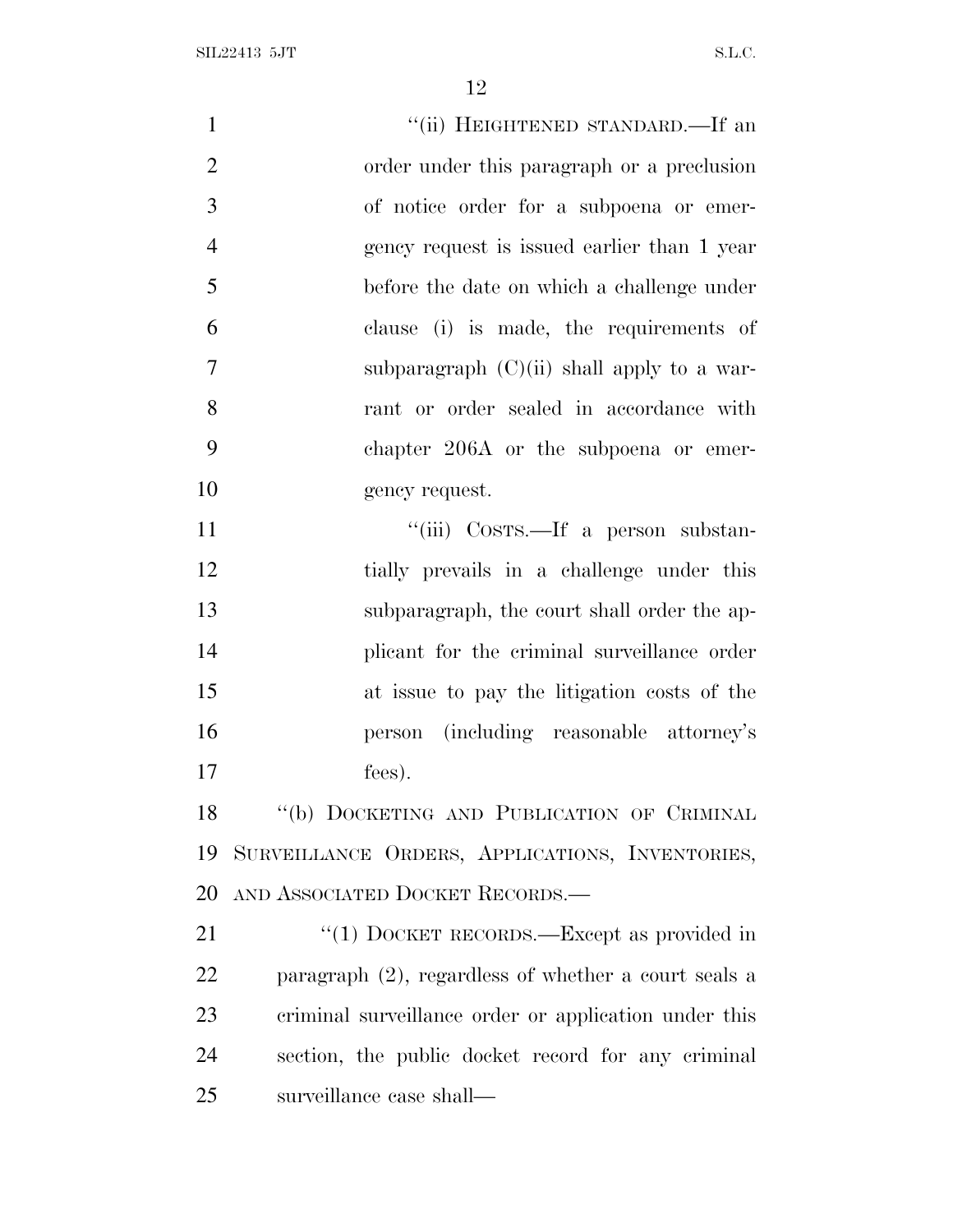| $\mathbf{1}$   | "(ii) HEIGHTENED STANDARD.—If an                        |
|----------------|---------------------------------------------------------|
| $\overline{2}$ | order under this paragraph or a preclusion              |
| 3              | of notice order for a subpoena or emer-                 |
| $\overline{4}$ | gency request is issued earlier than 1 year             |
| 5              | before the date on which a challenge under              |
| 6              | clause (i) is made, the requirements of                 |
| 7              | subparagraph $(C)(ii)$ shall apply to a war-            |
| 8              | rant or order sealed in accordance with                 |
| 9              | chapter 206A or the subpoena or emer-                   |
| 10             | gency request.                                          |
| 11             | "(iii) COSTS.—If a person substan-                      |
| 12             | tially prevails in a challenge under this               |
| 13             | subparagraph, the court shall order the ap-             |
| 14             | plicant for the criminal surveillance order             |
| 15             | at issue to pay the litigation costs of the             |
| 16             | person (including reasonable attorney's                 |
| 17             | fees).                                                  |
| 18             | "(b) DOCKETING AND PUBLICATION OF CRIMINAL              |
| 19             | SURVEILLANCE ORDERS, APPLICATIONS, INVENTORIES,         |
| 20             | AND ASSOCIATED DOCKET RECORDS.                          |
| 21             | "(1) DOCKET RECORDS.—Except as provided in              |
| 22             | paragraph $(2)$ , regardless of whether a court seals a |
| 23             | criminal surveillance order or application under this   |
| 24             | section, the public docket record for any criminal      |
| 25             | surveillance case shall—                                |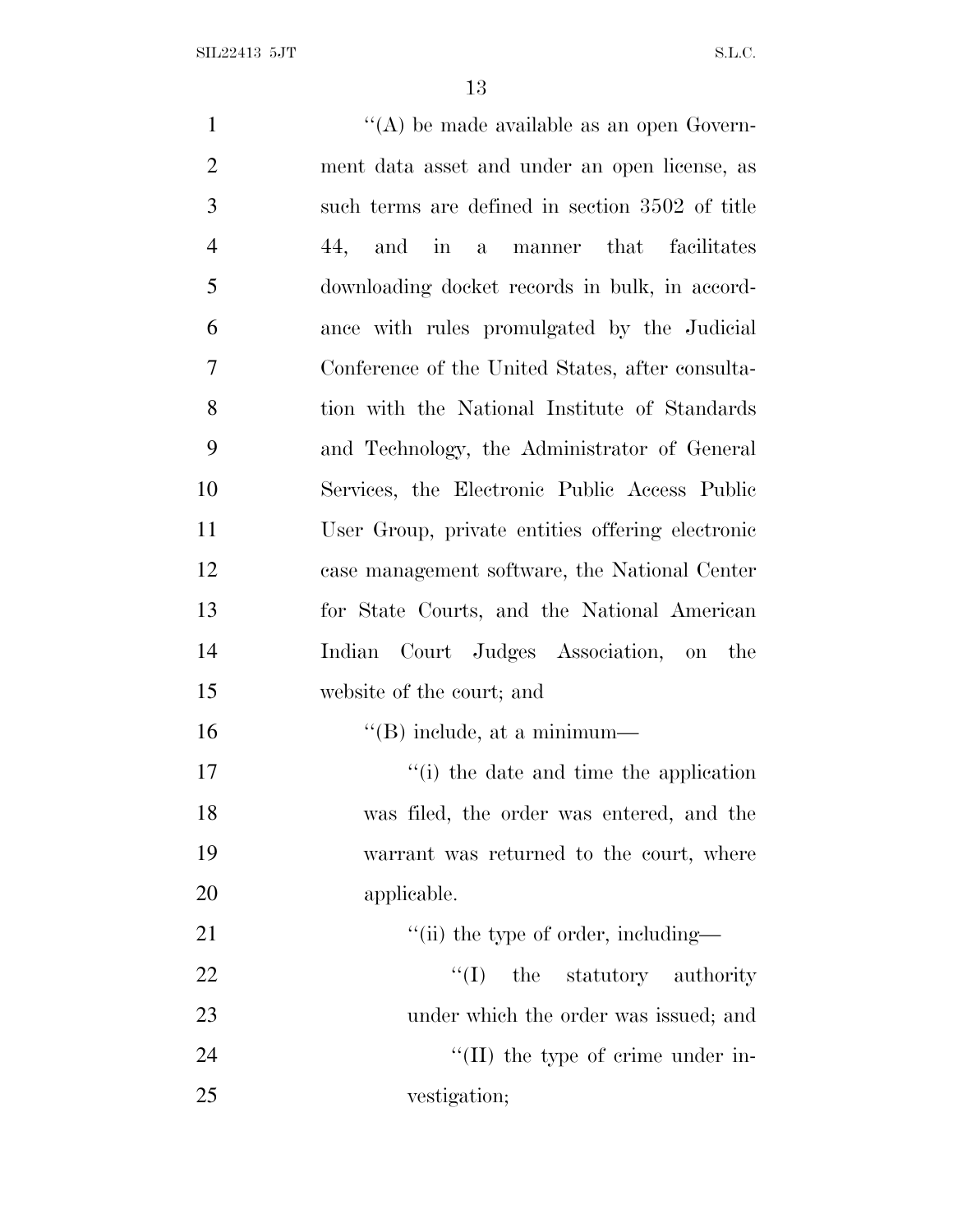| $\mathbf{1}$   | "(A) be made available as an open Govern-        |
|----------------|--------------------------------------------------|
| $\overline{2}$ | ment data asset and under an open license, as    |
| 3              | such terms are defined in section 3502 of title  |
| $\overline{4}$ | a manner that facilitates<br>44, and in          |
| 5              | downloading docket records in bulk, in accord-   |
| 6              | ance with rules promulgated by the Judicial      |
| $\tau$         | Conference of the United States, after consulta- |
| 8              | tion with the National Institute of Standards    |
| 9              | and Technology, the Administrator of General     |
| 10             | Services, the Electronic Public Access Public    |
| 11             | User Group, private entities offering electronic |
| 12             | case management software, the National Center    |
| 13             | for State Courts, and the National American      |
| 14             | Court Judges Association, on the<br>Indian       |
| 15             | website of the court; and                        |
| 16             | $\lq\lq$ (B) include, at a minimum—              |
| 17             | "(i) the date and time the application           |
| 18             | was filed, the order was entered, and the        |
| 19             | warrant was returned to the court, where         |
| 20             | applicable.                                      |
| 21             | "(ii) the type of order, including—              |
| 22             | ``(I)<br>the statutory authority                 |
| 23             | under which the order was issued; and            |
| 24             | $\lq\lq$ (II) the type of crime under in-        |
| 25             | vestigation;                                     |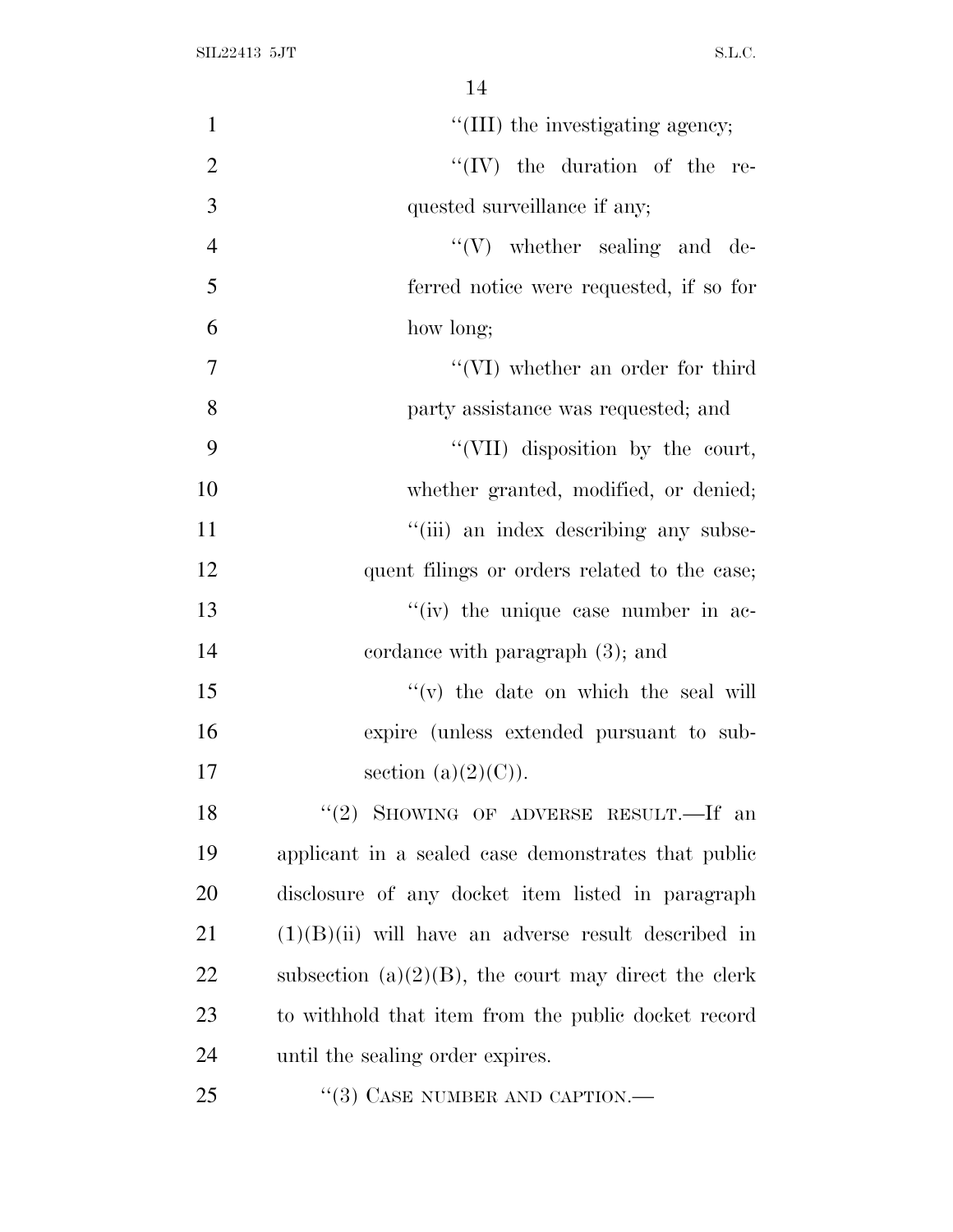| $\mathbf{1}$   | "(III) the investigating agency;                        |
|----------------|---------------------------------------------------------|
| $\overline{2}$ | $``(IV)$ the duration of the re-                        |
| 3              | quested surveillance if any;                            |
| $\overline{4}$ | $\lq\lq (V)$ whether sealing and de-                    |
| 5              | ferred notice were requested, if so for                 |
| 6              | how long;                                               |
| $\overline{7}$ | $``(VI)$ whether an order for third                     |
| 8              | party assistance was requested; and                     |
| 9              | "(VII) disposition by the court,                        |
| 10             | whether granted, modified, or denied;                   |
| 11             | "(iii) an index describing any subse-                   |
| 12             | quent filings or orders related to the case;            |
| 13             | "(iv) the unique case number in ac-                     |
| 14             | cordance with paragraph $(3)$ ; and                     |
| 15             | $f'(v)$ the date on which the seal will                 |
| 16             | expire (unless extended pursuant to sub-                |
| 17             | section $(a)(2)(C)$ ).                                  |
| 18             | "(2) SHOWING OF ADVERSE RESULT.—If an                   |
| 19             | applicant in a sealed case demonstrates that public     |
| 20             | disclosure of any docket item listed in paragraph       |
| 21             | $(1)(B)(ii)$ will have an adverse result described in   |
| 22             | subsection $(a)(2)(B)$ , the court may direct the clerk |
| 23             | to withhold that item from the public docket record     |
| 24             | until the sealing order expires.                        |
| 25             | $\cdot\cdot(3)$ CASE NUMBER AND CAPTION.—               |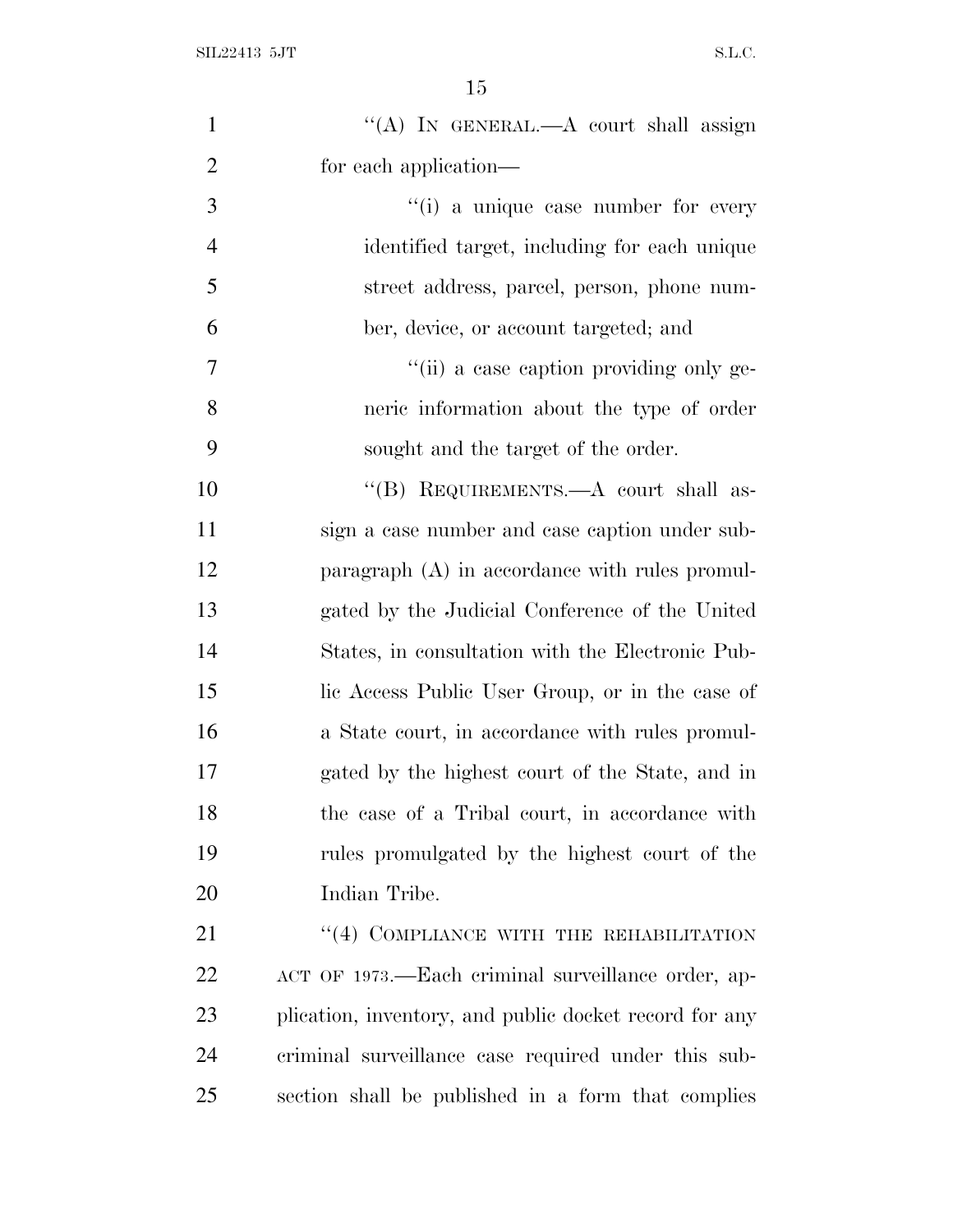| $\mathbf{1}$   | "(A) IN GENERAL.- A court shall assign                 |
|----------------|--------------------------------------------------------|
| $\overline{2}$ | for each application—                                  |
| 3              | "(i) a unique case number for every                    |
| $\overline{4}$ | identified target, including for each unique           |
| 5              | street address, parcel, person, phone num-             |
| 6              | ber, device, or account targeted; and                  |
| $\tau$         | "(ii) a case caption providing only ge-                |
| 8              | neric information about the type of order              |
| 9              | sought and the target of the order.                    |
| 10             | "(B) REQUIREMENTS.—A court shall as-                   |
| 11             | sign a case number and case caption under sub-         |
| 12             | paragraph (A) in accordance with rules promul-         |
| 13             | gated by the Judicial Conference of the United         |
| 14             | States, in consultation with the Electronic Pub-       |
| 15             | lic Access Public User Group, or in the case of        |
| 16             | a State court, in accordance with rules promul-        |
| 17             | gated by the highest court of the State, and in        |
| 18             | the case of a Tribal court, in accordance with         |
| 19             | rules promulgated by the highest court of the          |
| 20             | Indian Tribe.                                          |
| 21             | "(4) COMPLIANCE WITH THE REHABILITATION                |
| 22             | ACT OF 1973.—Each criminal surveillance order, ap-     |
| 23             | plication, inventory, and public docket record for any |
| 24             | criminal surveillance case required under this sub-    |
| 25             | section shall be published in a form that complies     |
|                |                                                        |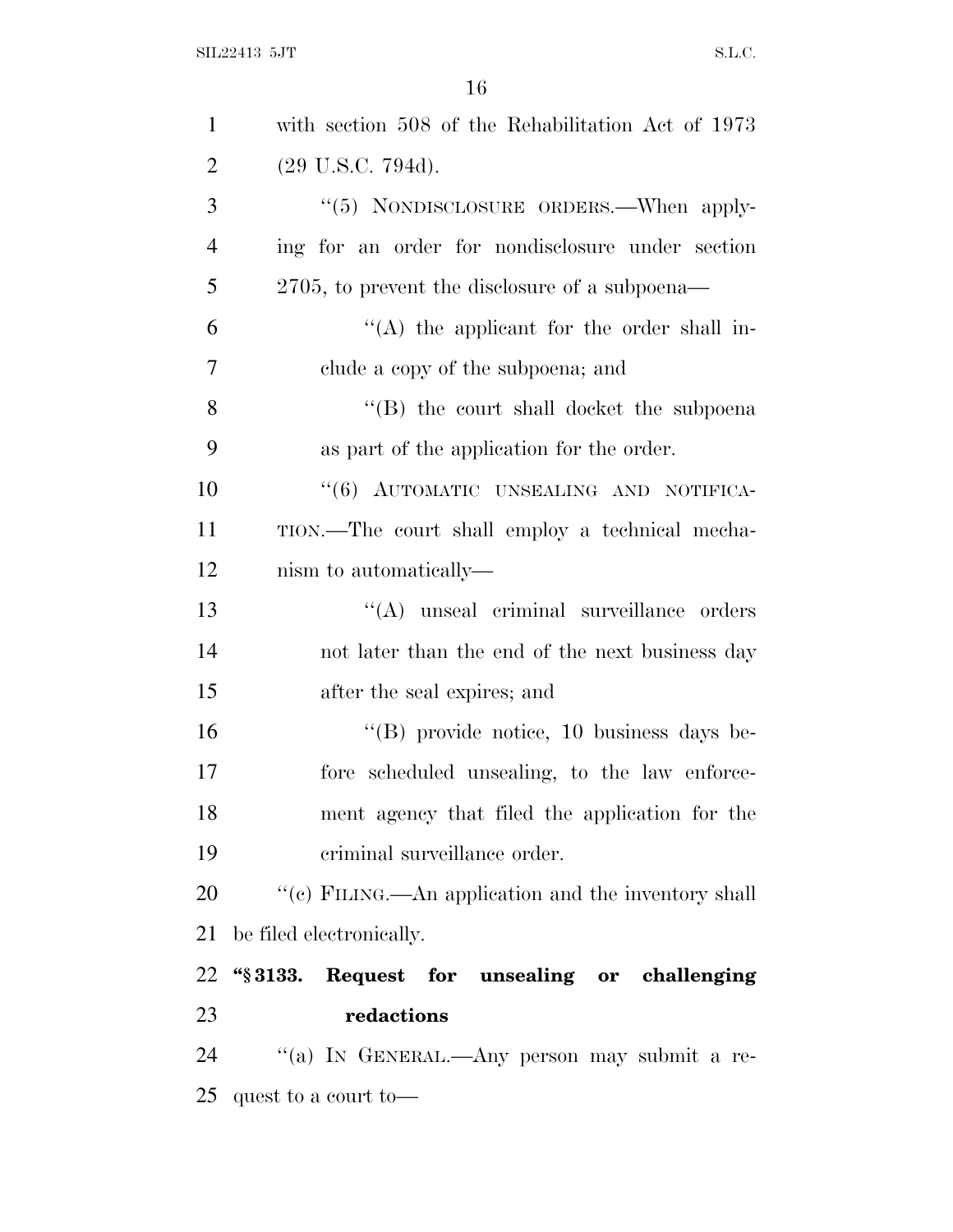| $\mathbf{1}$   | with section 508 of the Rehabilitation Act of 1973  |
|----------------|-----------------------------------------------------|
| $\overline{2}$ | $(29 \text{ U.S.C. } 794d).$                        |
| 3              | "(5) NONDISCLOSURE ORDERS.—When apply-              |
| $\overline{4}$ | ing for an order for nondisclosure under section    |
| 5              | $2705$ , to prevent the disclosure of a subpoena—   |
| 6              | $\lq\lq$ the applicant for the order shall in-      |
| $\overline{7}$ | clude a copy of the subpoena; and                   |
| 8              | "(B) the court shall docket the subpoenal           |
| 9              | as part of the application for the order.           |
| 10             | "(6) AUTOMATIC UNSEALING AND NOTIFICA-              |
| 11             | TION.—The court shall employ a technical mecha-     |
| 12             | nism to automatically—                              |
| 13             | "(A) unseal criminal surveillance orders            |
| 14             | not later than the end of the next business day     |
| 15             | after the seal expires; and                         |
| 16             | "(B) provide notice, 10 business days be-           |
| 17             | fore scheduled unsealing, to the law enforce-       |
| 18             | ment agency that filed the application for the      |
| 19             | criminal surveillance order.                        |
| 20             | "(c) FILING.—An application and the inventory shall |
| 21             | be filed electronically.                            |
| 22             | "§3133. Request for unsealing or challenging        |
| 23             | redactions                                          |
| 24             | "(a) IN GENERAL.—Any person may submit a re-        |
| 25             | quest to a court to-                                |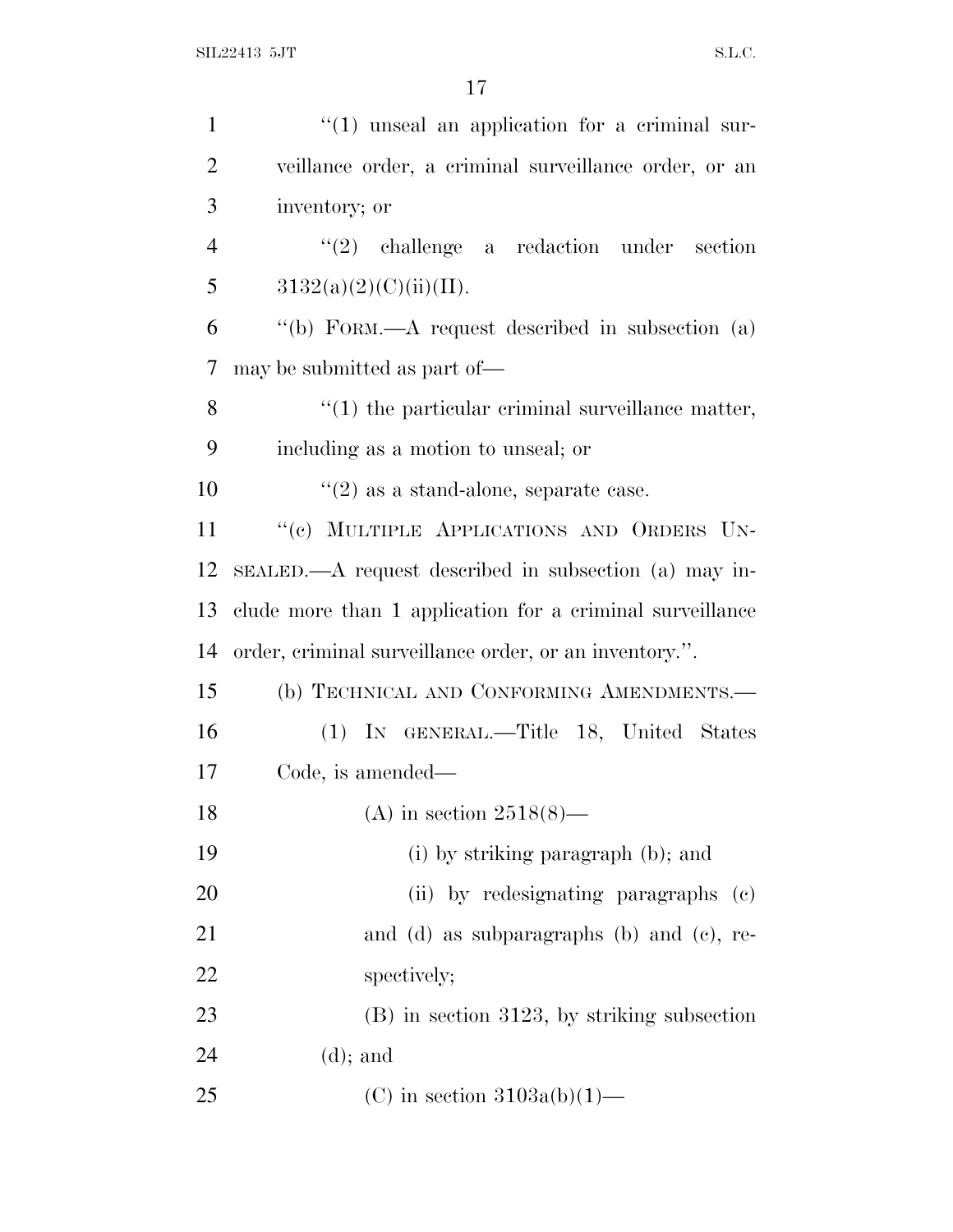| $\mathbf{1}$   | $"(1)$ unseal an application for a criminal sur-          |
|----------------|-----------------------------------------------------------|
| $\overline{2}$ | veillance order, a criminal surveillance order, or an     |
| 3              | inventory; or                                             |
| $\overline{4}$ | $(2)$ challenge a redaction under<br>section              |
| 5              | 3132(a)(2)(C)(ii)(II).                                    |
| 6              | "(b) FORM.—A request described in subsection (a)          |
| 7              | may be submitted as part of—                              |
| 8              | $\lq(1)$ the particular criminal surveillance matter,     |
| 9              | including as a motion to unseal; or                       |
| 10             | $\lq(2)$ as a stand-alone, separate case.                 |
| 11             | "(c) MULTIPLE APPLICATIONS AND ORDERS UN-                 |
| 12             | SEALED.—A request described in subsection (a) may in-     |
| 13             | clude more than 1 application for a criminal surveillance |
| 14             | order, criminal surveillance order, or an inventory.".    |
| 15             | (b) TECHNICAL AND CONFORMING AMENDMENTS.-                 |
| 16             | (1) IN GENERAL.—Title 18, United States                   |
| 17             | Code, is amended—                                         |
| 18             | (A) in section $2518(8)$ —                                |
| 19             | (i) by striking paragraph (b); and                        |
| 20             | (ii) by redesignating paragraphs (c)                      |
| 21             | and (d) as subparagraphs (b) and (c), re-                 |
| 22             | spectively;                                               |
| 23             | $(B)$ in section 3123, by striking subsection             |
| 24             | $(d)$ ; and                                               |
| 25             | (C) in section $3103a(b)(1)$ —                            |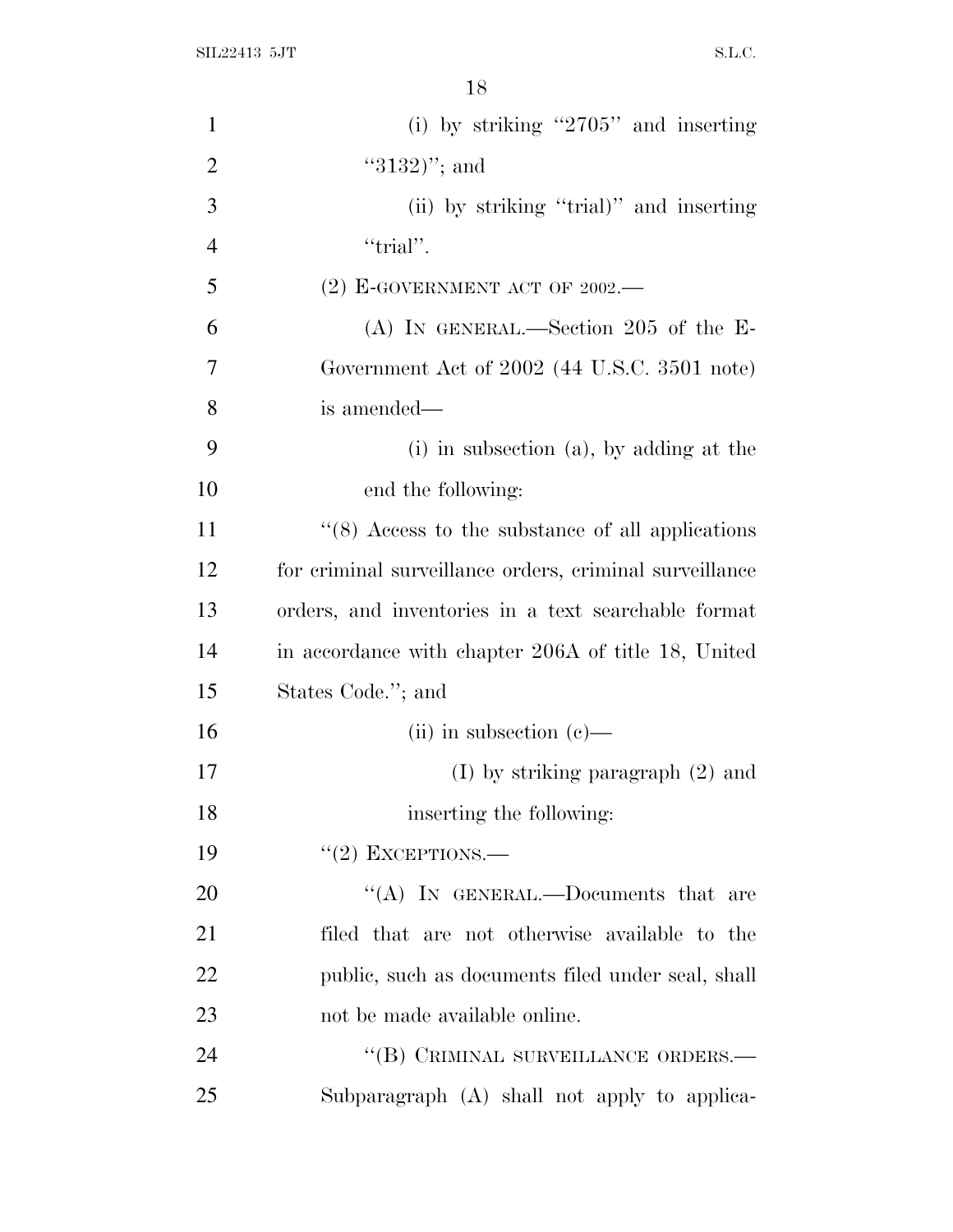SIL22413 5JT S.L.C.

| $\mathbf{1}$   | (i) by striking " $2705$ " and inserting                |
|----------------|---------------------------------------------------------|
| $\overline{2}$ | $"3132)"$ ; and                                         |
| 3              | (ii) by striking "trial)" and inserting                 |
| $\overline{4}$ | "trial".                                                |
| 5              | $(2)$ E-GOVERNMENT ACT OF 2002.—                        |
| 6              | (A) IN GENERAL.—Section 205 of the $E$ -                |
| 7              | Government Act of 2002 (44 U.S.C. 3501 note)            |
| 8              | is amended—                                             |
| 9              | $(i)$ in subsection $(a)$ , by adding at the            |
| 10             | end the following:                                      |
| 11             | $\cdot$ (8) Access to the substance of all applications |
| 12             | for criminal surveillance orders, criminal surveillance |
| 13             | orders, and inventories in a text searchable format     |
| 14             | in accordance with chapter 206A of title 18, United     |
| 15             | States Code."; and                                      |
| 16             | (ii) in subsection $(e)$ —                              |
| 17             | $(I)$ by striking paragraph $(2)$ and                   |
| 18             | inserting the following:                                |
| 19             | $"(2)$ EXCEPTIONS.—                                     |
| 20             | "(A) IN GENERAL.—Documents that are                     |
| 21             | filed that are not otherwise available to the           |
| 22             | public, such as documents filed under seal, shall       |
| 23             | not be made available online.                           |
| 24             | "(B) CRIMINAL SURVEILLANCE ORDERS.-                     |
| 25             | Subparagraph (A) shall not apply to applica-            |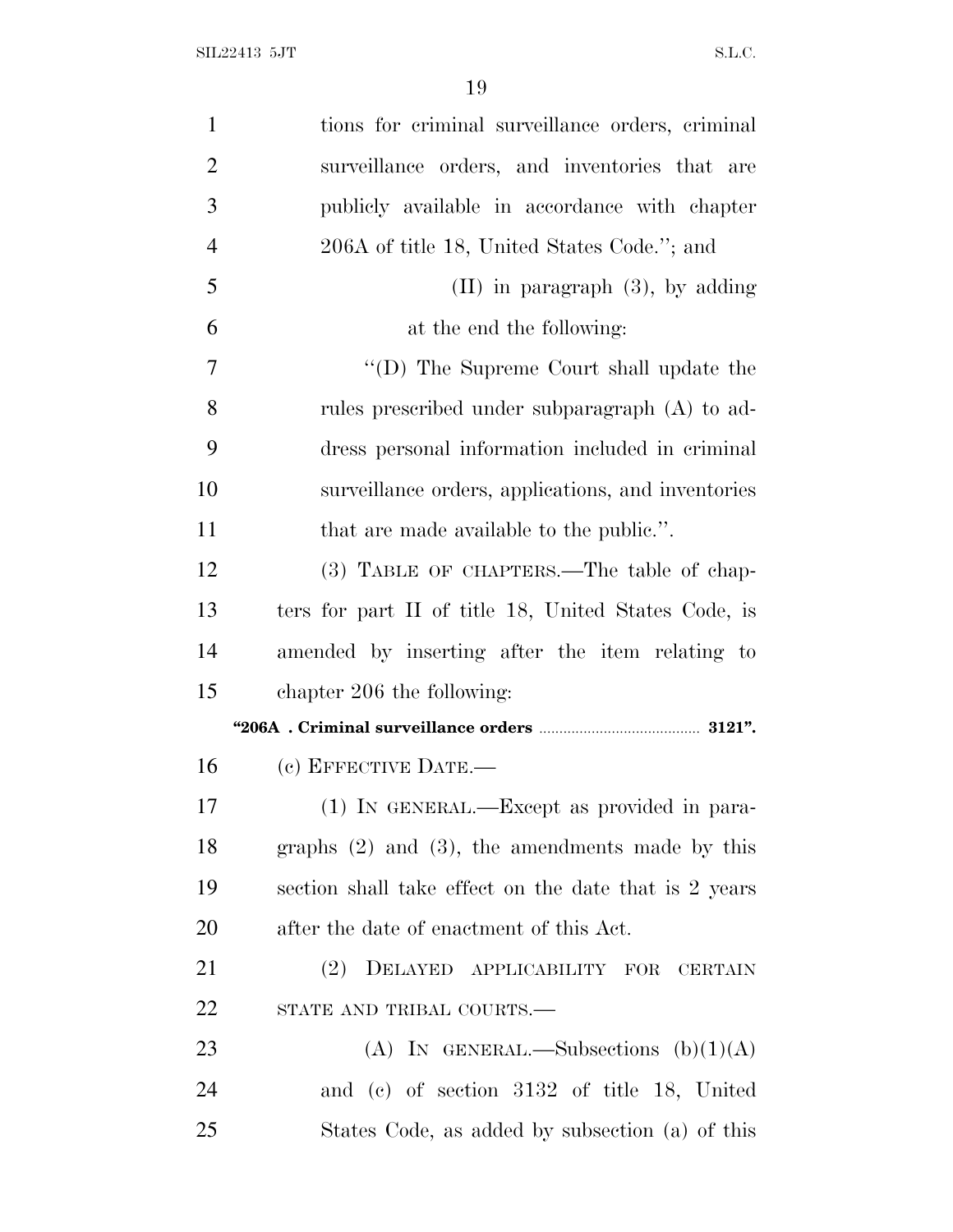| $\mathbf{1}$   | tions for criminal surveillance orders, criminal      |
|----------------|-------------------------------------------------------|
| $\overline{2}$ | surveillance orders, and inventories that are         |
| 3              | publicly available in accordance with chapter         |
| $\overline{4}$ | 206A of title 18, United States Code."; and           |
| 5              | $(II)$ in paragraph $(3)$ , by adding                 |
| 6              | at the end the following:                             |
| 7              | "(D) The Supreme Court shall update the               |
| 8              | rules prescribed under subparagraph (A) to ad-        |
| 9              | dress personal information included in criminal       |
| 10             | surveillance orders, applications, and inventories    |
| 11             | that are made available to the public.".              |
| 12             | (3) TABLE OF CHAPTERS.—The table of chap-             |
| 13             | ters for part II of title 18, United States Code, is  |
| 14             | amended by inserting after the item relating to       |
| 15             | chapter 206 the following:                            |
|                |                                                       |
| 16             | (c) EFFECTIVE DATE.-                                  |
| 17             | (1) IN GENERAL.—Except as provided in para-           |
| 18             | graphs $(2)$ and $(3)$ , the amendments made by this  |
| 19             | section shall take effect on the date that is 2 years |
| 20             | after the date of enactment of this Act.              |
| 21             | (2) DELAYED APPLICABILITY FOR<br><b>CERTAIN</b>       |
| 22             | STATE AND TRIBAL COURTS.-                             |
| 23             | (A) IN GENERAL.—Subsections $(b)(1)(A)$               |
|                |                                                       |
| 24             | and (c) of section 3132 of title 18, United           |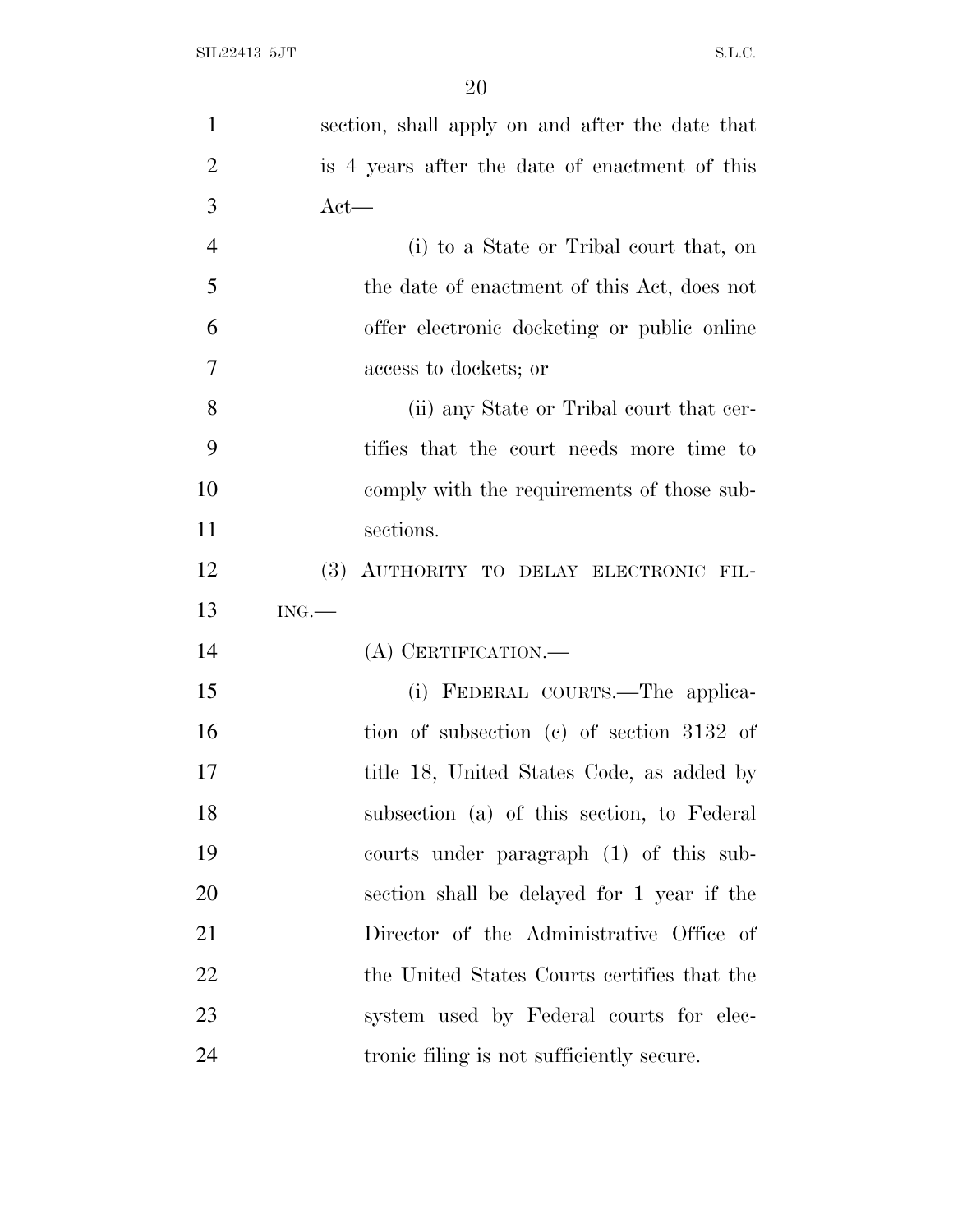| $\mathbf{1}$   | section, shall apply on and after the date that  |
|----------------|--------------------------------------------------|
| $\overline{2}$ | is 4 years after the date of enactment of this   |
| 3              | $Act$ —                                          |
| $\overline{4}$ | (i) to a State or Tribal court that, on          |
| 5              | the date of enactment of this Act, does not      |
| 6              | offer electronic docketing or public online      |
| 7              | access to dockets; or                            |
| 8              | (ii) any State or Tribal court that cer-         |
| 9              | tifies that the court needs more time to         |
| 10             | comply with the requirements of those sub-       |
| 11             | sections.                                        |
| 12             | <b>(3)</b><br>AUTHORITY TO DELAY ELECTRONIC FIL- |
| 13             | ING.                                             |
| 14             | (A) CERTIFICATION.—                              |
| 15             | (i) FEDERAL COURTS.—The applica-                 |
| 16             | tion of subsection (c) of section 3132 of        |
| 17             | title 18, United States Code, as added by        |
| 18             | subsection (a) of this section, to Federal       |
| 19             | courts under paragraph (1) of this sub-          |
| 20             | section shall be delayed for 1 year if the       |
| 21             | Director of the Administrative Office of         |
| 22             | the United States Courts certifies that the      |
| 23             | system used by Federal courts for elec-          |
| 24             | tronic filing is not sufficiently secure.        |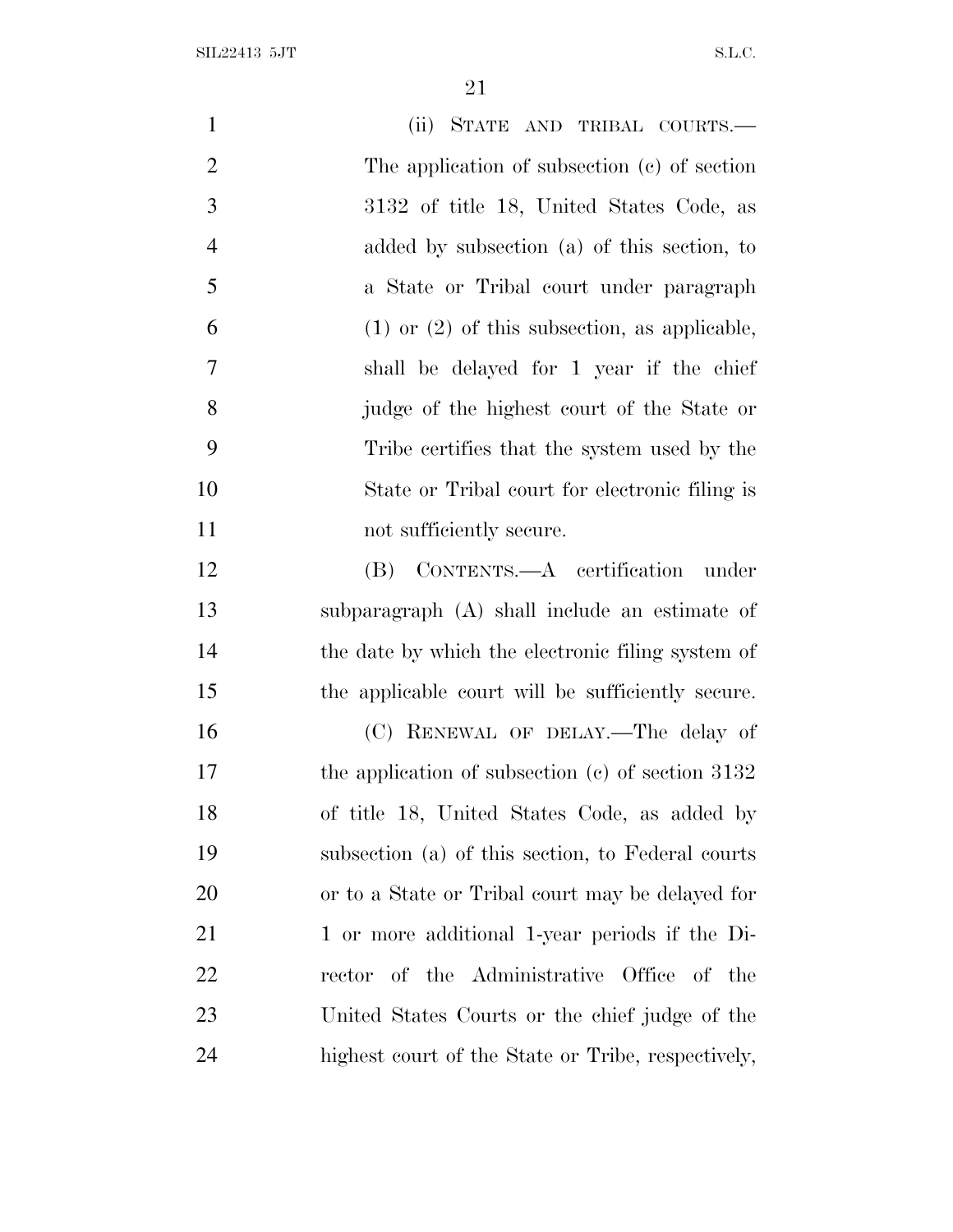| $\mathbf{1}$   | (ii) STATE AND TRIBAL COURTS.—                      |
|----------------|-----------------------------------------------------|
| $\overline{2}$ | The application of subsection (c) of section        |
| 3              | 3132 of title 18, United States Code, as            |
| $\overline{4}$ | added by subsection (a) of this section, to         |
| 5              | a State or Tribal court under paragraph             |
| 6              | $(1)$ or $(2)$ of this subsection, as applicable,   |
| 7              | shall be delayed for 1 year if the chief            |
| 8              | judge of the highest court of the State or          |
| 9              | Tribe certifies that the system used by the         |
| 10             | State or Tribal court for electronic filing is      |
| 11             | not sufficiently secure.                            |
| 12             | (B) CONTENTS.—A certification under                 |
| 13             | subparagraph (A) shall include an estimate of       |
| 14             | the date by which the electronic filing system of   |
| 15             | the applicable court will be sufficiently secure.   |
| 16             | (C) RENEWAL OF DELAY.—The delay of                  |
| 17             | the application of subsection $(c)$ of section 3132 |
| 18             | of title 18, United States Code, as added by        |
| 19             | subsection (a) of this section, to Federal courts   |
| <b>20</b>      | or to a State or Tribal court may be delayed for    |
| 21             | 1 or more additional 1-year periods if the Di-      |
| 22             | rector of the Administrative Office of the          |
| 23             | United States Courts or the chief judge of the      |
| 24             | highest court of the State or Tribe, respectively,  |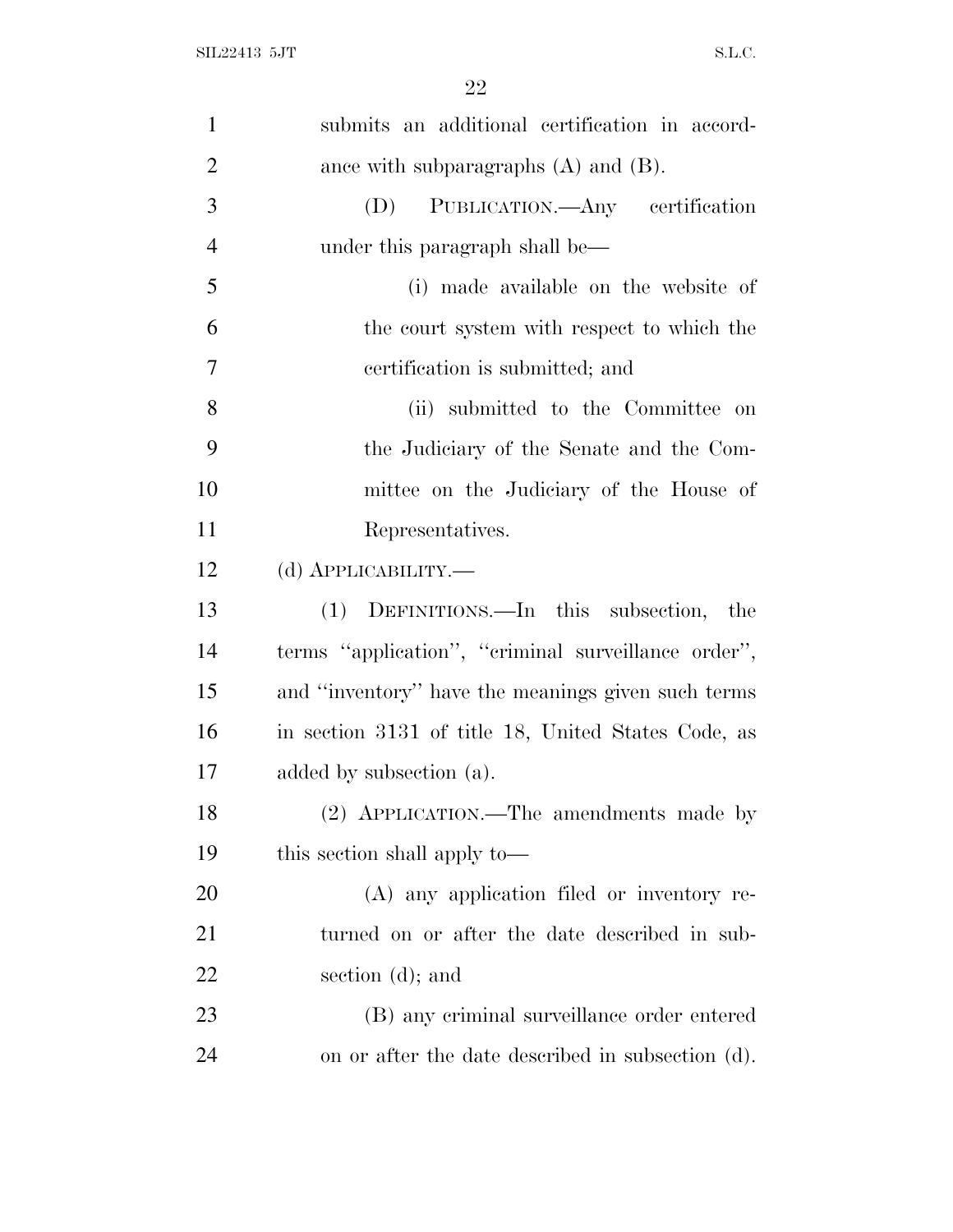| $\mathbf{1}$   | submits an additional certification in accord-      |
|----------------|-----------------------------------------------------|
| $\overline{2}$ | ance with subparagraphs $(A)$ and $(B)$ .           |
| 3              | PUBLICATION.—Any certification<br>(D)               |
| $\overline{4}$ | under this paragraph shall be—                      |
| 5              | (i) made available on the website of                |
| 6              | the court system with respect to which the          |
| $\overline{7}$ | certification is submitted; and                     |
| 8              | (ii) submitted to the Committee on                  |
| 9              | the Judiciary of the Senate and the Com-            |
| 10             | mittee on the Judiciary of the House of             |
| 11             | Representatives.                                    |
| 12             | (d) <b>АРР</b> ЫСАВШІТҮ.—                           |
|                |                                                     |
| 13             | (1) DEFINITIONS.—In this subsection,<br>the         |
| 14             | terms "application", "criminal surveillance order", |
| 15             | and "inventory" have the meanings given such terms  |
| 16             | in section 3131 of title 18, United States Code, as |
| 17             | added by subsection (a).                            |
| 18             | (2) APPLICATION.—The amendments made by             |
| 19             | this section shall apply to—                        |
| 20             | (A) any application filed or inventory re-          |
| 21             | turned on or after the date described in sub-       |
| 22             | section $(d)$ ; and                                 |
| 23             | (B) any criminal surveillance order entered         |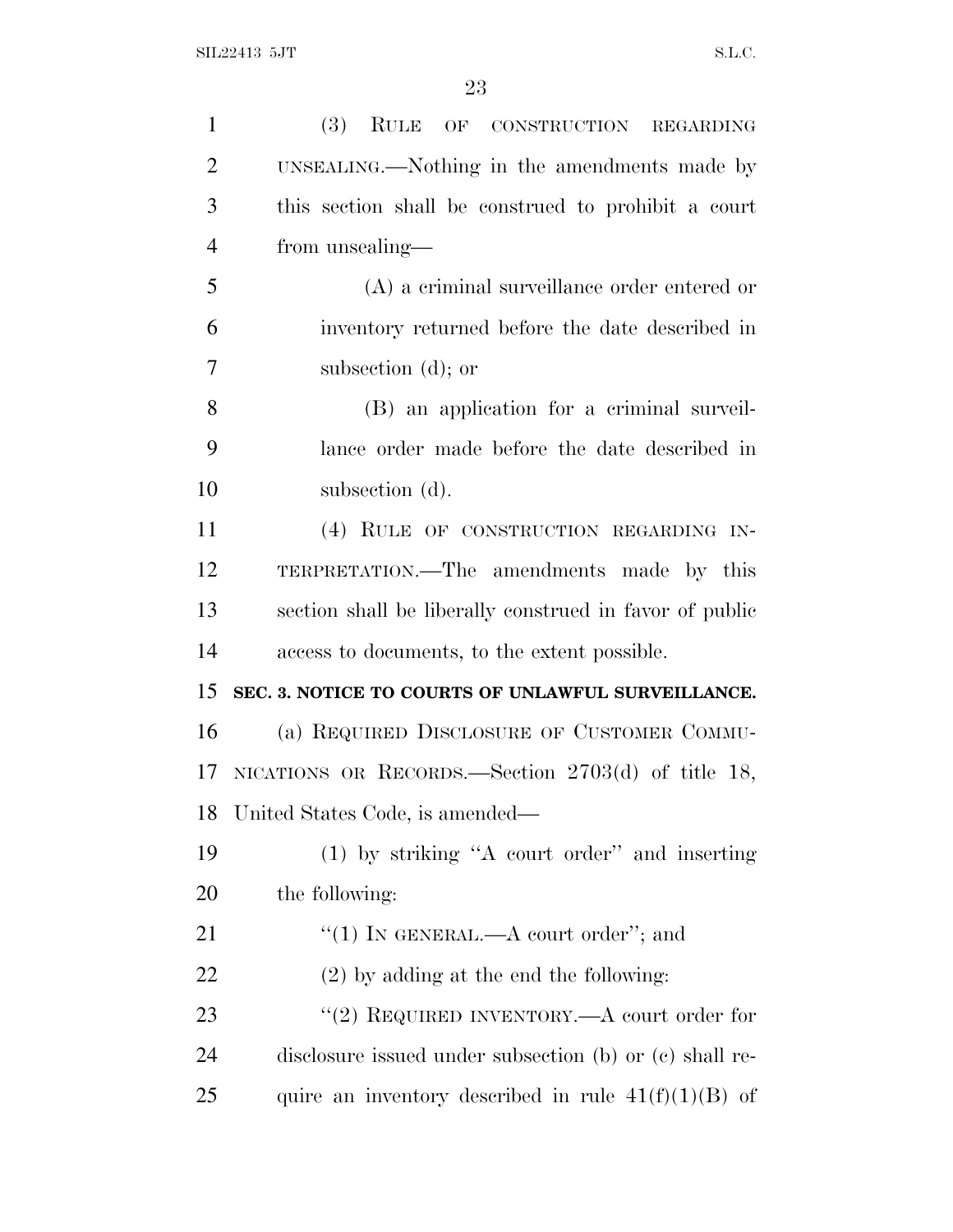| $\mathbf{1}$   | (3) RULE OF CONSTRUCTION REGARDING                      |
|----------------|---------------------------------------------------------|
| $\overline{2}$ | UNSEALING.—Nothing in the amendments made by            |
| 3              | this section shall be construed to prohibit a court     |
| $\overline{4}$ | from unsealing—                                         |
| 5              | (A) a criminal surveillance order entered or            |
| 6              | inventory returned before the date described in         |
| 7              | subsection $(d)$ ; or                                   |
| 8              | (B) an application for a criminal surveil-              |
| 9              | lance order made before the date described in           |
| 10             | subsection (d).                                         |
| 11             | (4) RULE OF CONSTRUCTION REGARDING IN-                  |
| 12             | TERPRETATION.—The amendments made by this               |
| 13             | section shall be liberally construed in favor of public |
| 14             | access to documents, to the extent possible.            |
| 15             | SEC. 3. NOTICE TO COURTS OF UNLAWFUL SURVEILLANCE.      |
| 16             | (a) REQUIRED DISCLOSURE OF CUSTOMER COMMU-              |
| 17             | NICATIONS OR RECORDS.—Section $2703(d)$ of title 18,    |
| 18             | United States Code, is amended—                         |
| 19             | (1) by striking "A court order" and inserting           |
| 20             | the following:                                          |
| 21             | "(1) IN GENERAL.—A court order"; and                    |
| 22             | $(2)$ by adding at the end the following:               |
| 23             | "(2) REQUIRED INVENTORY.—A court order for              |
| 24             | disclosure issued under subsection (b) or (c) shall re- |
| 25             | quire an inventory described in rule $41(f)(1)(B)$ of   |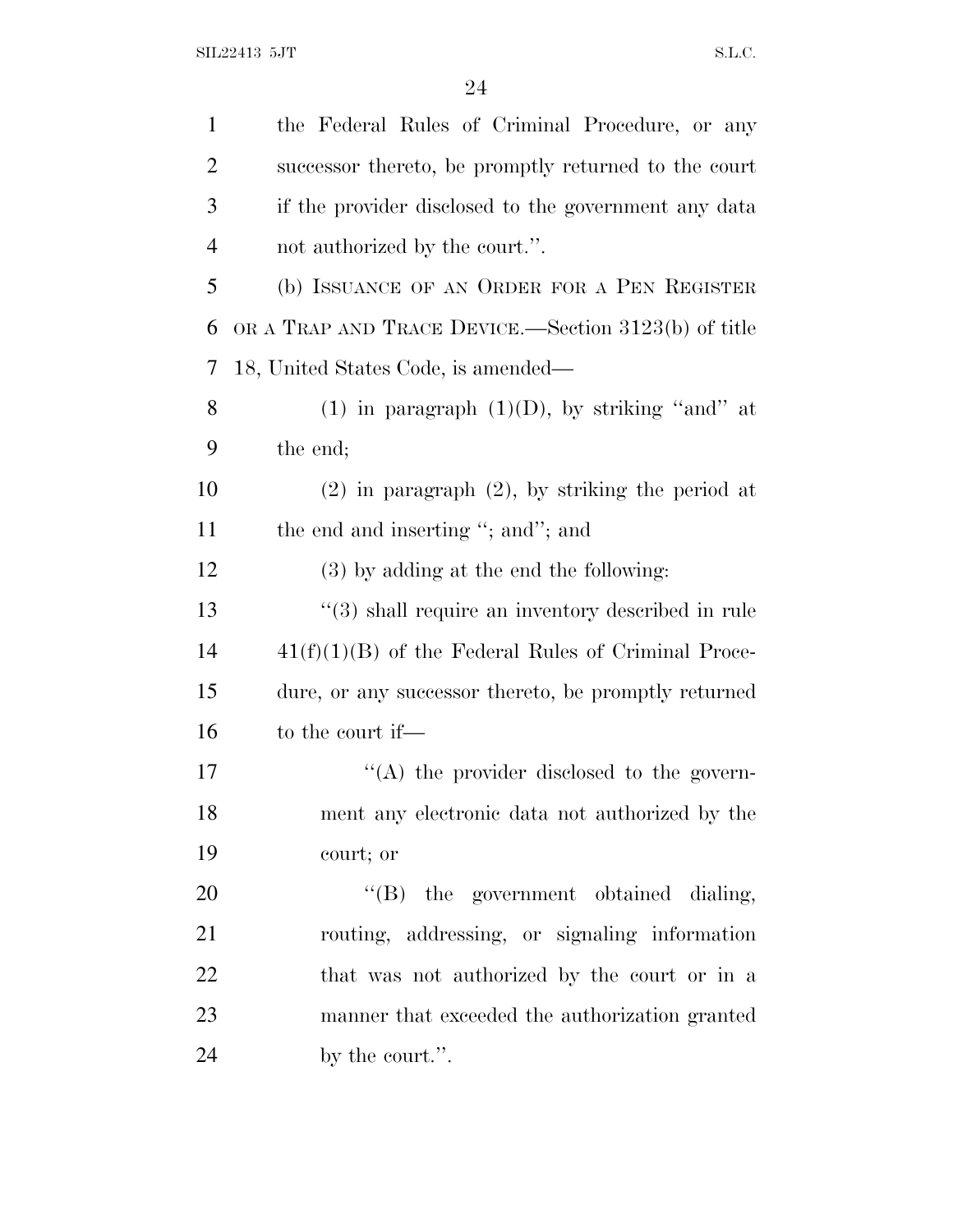| $\mathbf{1}$   | the Federal Rules of Criminal Procedure, or any       |
|----------------|-------------------------------------------------------|
| $\overline{2}$ | successor thereto, be promptly returned to the court  |
| 3              | if the provider disclosed to the government any data  |
| $\overline{4}$ | not authorized by the court.".                        |
| 5              | (b) ISSUANCE OF AN ORDER FOR A PEN REGISTER           |
| 6              | OR A TRAP AND TRACE DEVICE.—Section 3123(b) of title  |
| 7              | 18, United States Code, is amended—                   |
| 8              | (1) in paragraph $(1)(D)$ , by striking "and" at      |
| 9              | the end;                                              |
| 10             | $(2)$ in paragraph $(2)$ , by striking the period at  |
| 11             | the end and inserting "; and"; and                    |
| 12             | $(3)$ by adding at the end the following:             |
| 13             | "(3) shall require an inventory described in rule     |
| 14             | $41(f)(1)(B)$ of the Federal Rules of Criminal Proce- |
| 15             | dure, or any successor thereto, be promptly returned  |
| 16             | to the court if—                                      |
| 17             | $\lq\lq$ the provider disclosed to the govern-        |
| 18             | ment any electronic data not authorized by the        |
| 19             | court; or                                             |
| 20             | "(B) the government obtained dialing,                 |
| 21             | routing, addressing, or signaling information         |
| 22             | that was not authorized by the court or in a          |
| 23             | manner that exceeded the authorization granted        |
| 24             | by the court.".                                       |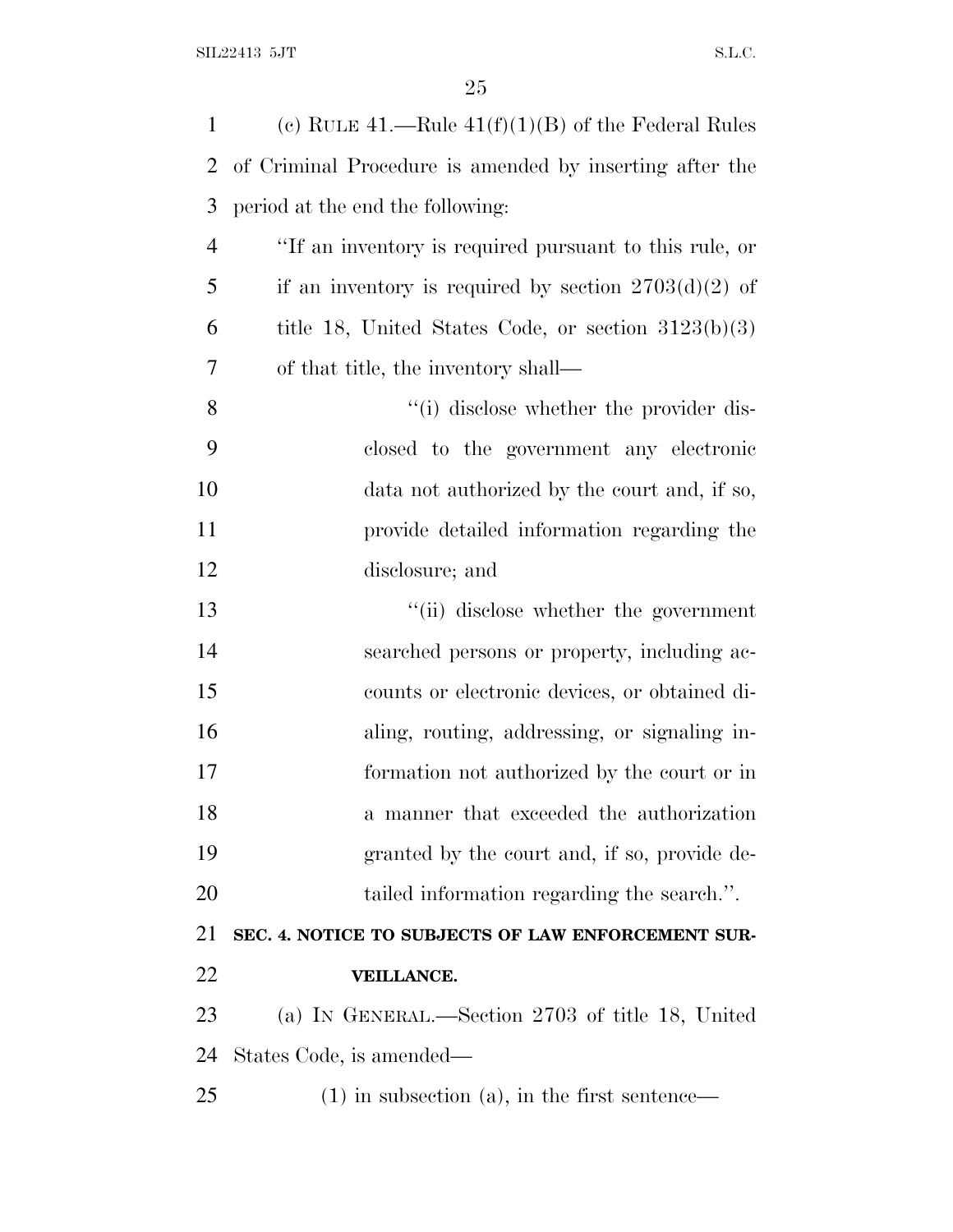| $\mathbf{1}$   | (c) RULE 41.—Rule $41(f)(1)(B)$ of the Federal Rules    |
|----------------|---------------------------------------------------------|
| 2              | of Criminal Procedure is amended by inserting after the |
| 3              | period at the end the following:                        |
| $\overline{4}$ | "If an inventory is required pursuant to this rule, or  |
| 5              | if an inventory is required by section $2703(d)(2)$ of  |
| 6              | title 18, United States Code, or section $3123(b)(3)$   |
| 7              | of that title, the inventory shall—                     |
| 8              | "(i) disclose whether the provider dis-                 |
| 9              | closed to the government any electronic                 |
| 10             | data not authorized by the court and, if so,            |
| 11             | provide detailed information regarding the              |
| 12             | disclosure; and                                         |
| 13             | "(ii) disclose whether the government                   |
| 14             | searched persons or property, including ac-             |
| 15             | counts or electronic devices, or obtained di-           |
| 16             | aling, routing, addressing, or signaling in-            |
| 17             | formation not authorized by the court or in             |
| 18             | a manner that exceeded the authorization                |
| 19             | granted by the court and, if so, provide de-            |
| 20             | tailed information regarding the search.".              |
| 21             | SEC. 4. NOTICE TO SUBJECTS OF LAW ENFORCEMENT SUR-      |
| 22             | VEILLANCE.                                              |
| 23             | (a) IN GENERAL.—Section 2703 of title 18, United        |
| 24             | States Code, is amended—                                |
| 25             | $(1)$ in subsection $(a)$ , in the first sentence—      |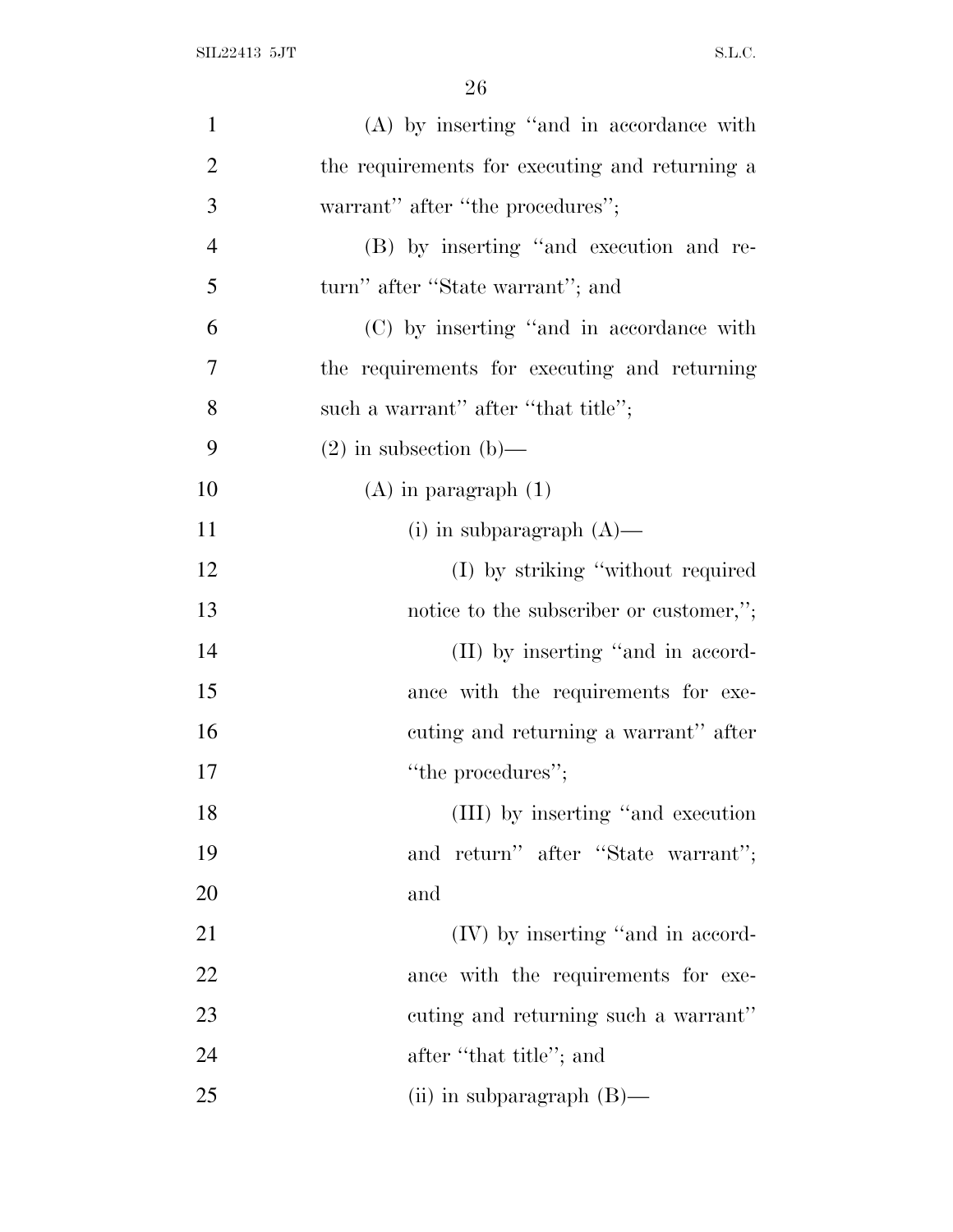| $\mathbf{1}$   | $(A)$ by inserting "and in accordance with     |
|----------------|------------------------------------------------|
| $\overline{2}$ | the requirements for executing and returning a |
| 3              | warrant" after "the procedures";               |
| $\overline{4}$ | (B) by inserting "and execution and re-        |
| 5              | turn" after "State warrant"; and               |
| 6              | (C) by inserting "and in accordance with       |
| 7              | the requirements for executing and returning   |
| 8              | such a warrant" after "that title";            |
| 9              | $(2)$ in subsection $(b)$ —                    |
| 10             | $(A)$ in paragraph $(1)$                       |
| 11             | (i) in subparagraph $(A)$ —                    |
| 12             | (I) by striking "without required              |
| 13             | notice to the subscriber or customer,";        |
| 14             | (II) by inserting "and in accord-              |
| 15             | ance with the requirements for exe-            |
| 16             | cuting and returning a warrant" after          |
| 17             | "the procedures";                              |
| 18             | (III) by inserting "and execution"             |
| 19             | and return" after "State warrant";             |
| 20             | and                                            |
| 21             | (IV) by inserting "and in accord-              |
| 22             | ance with the requirements for exe-            |
| 23             | cuting and returning such a warrant"           |
| 24             | after "that title"; and                        |
| 25             | (ii) in subparagraph $(B)$ —                   |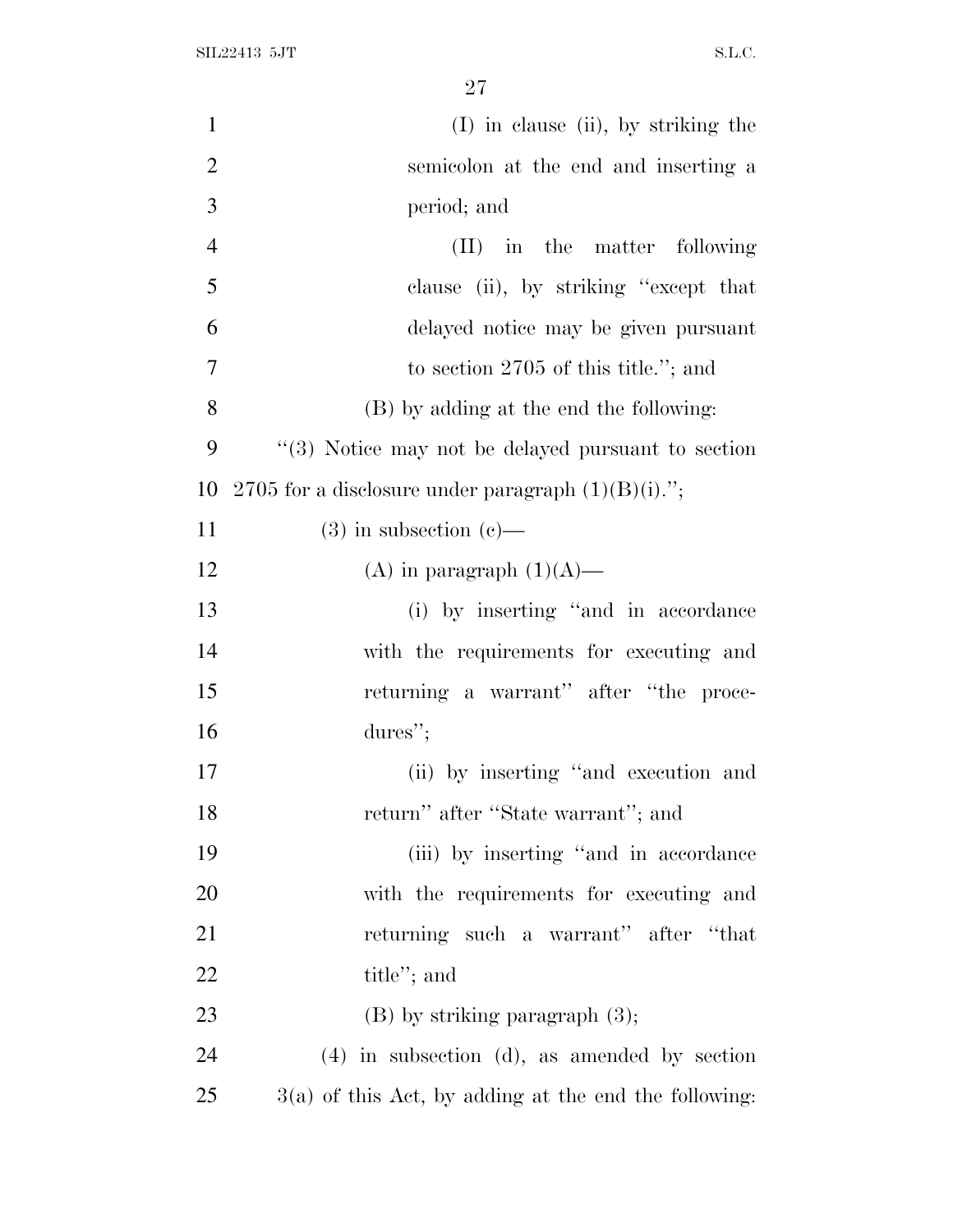| $\mathbf{1}$   | $(I)$ in clause (ii), by striking the                   |
|----------------|---------------------------------------------------------|
| $\overline{2}$ | semicolon at the end and inserting a                    |
| 3              | period; and                                             |
| $\overline{4}$ | $(II)$ in the matter following                          |
| 5              | clause (ii), by striking "except that                   |
| 6              | delayed notice may be given pursuant                    |
| 7              | to section $2705$ of this title."; and                  |
| 8              | (B) by adding at the end the following:                 |
| 9              | "(3) Notice may not be delayed pursuant to section      |
| 10             | 2705 for a disclosure under paragraph $(1)(B)(i)$ .";   |
| 11             | $(3)$ in subsection $(e)$ —                             |
| 12             | (A) in paragraph $(1)(A)$ —                             |
| 13             | (i) by inserting "and in accordance                     |
| 14             | with the requirements for executing and                 |
| 15             | returning a warrant" after "the proce-                  |
| 16             | $dures$ ";                                              |
| 17             | (ii) by inserting "and execution and                    |
| 18             | return" after "State warrant"; and                      |
| 19             | (iii) by inserting "and in accordance                   |
| 20             | with the requirements for executing and                 |
| 21             | returning such a warrant" after "that                   |
| 22             | title"; and                                             |
| 23             | $(B)$ by striking paragraph $(3)$ ;                     |
| 24             | $(4)$ in subsection $(d)$ , as amended by section       |
| 25             | $3(a)$ of this Act, by adding at the end the following: |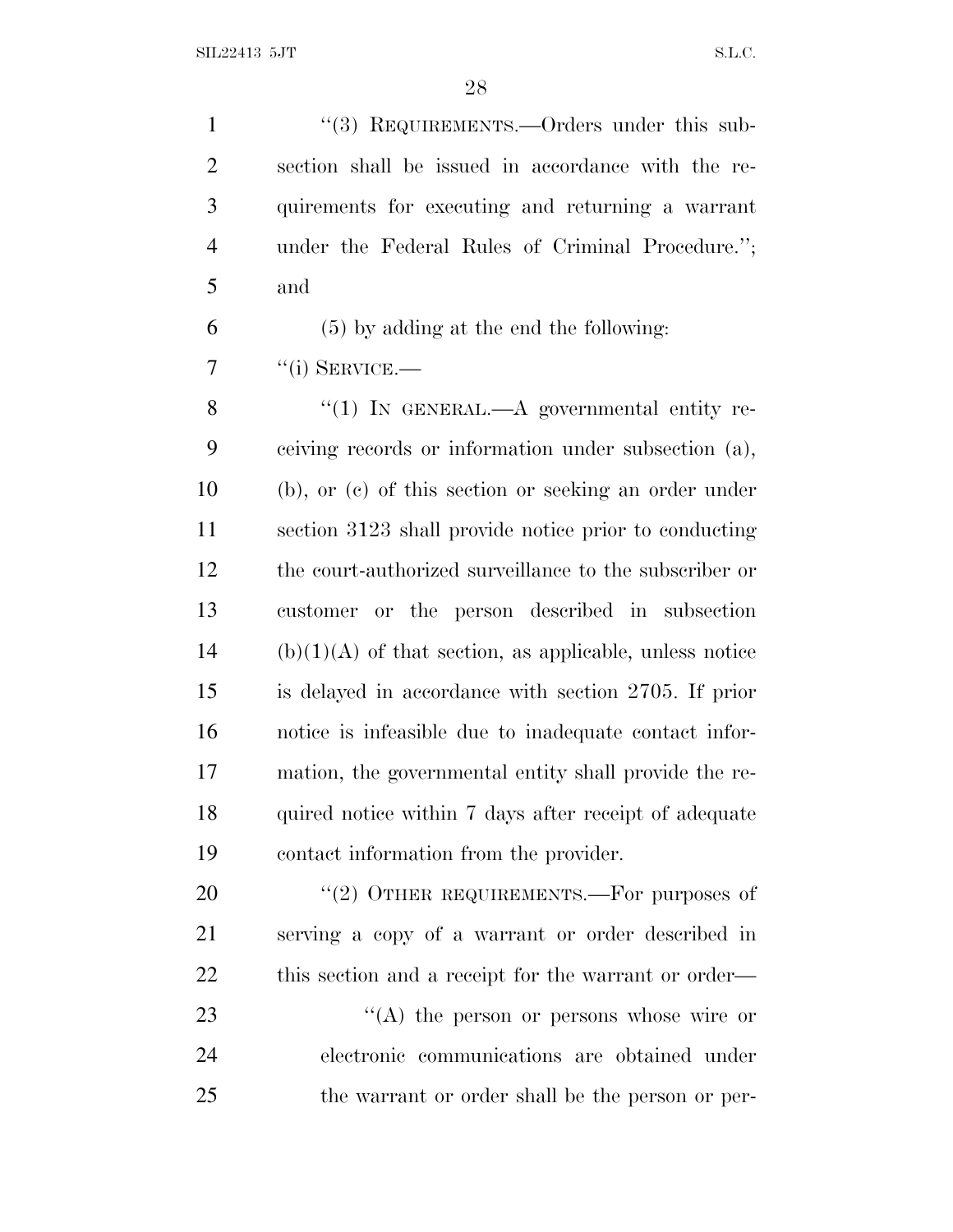1 "(3) REQUIREMENTS.—Orders under this sub- section shall be issued in accordance with the re- quirements for executing and returning a warrant under the Federal Rules of Criminal Procedure.''; and

(5) by adding at the end the following:

"(i) SERVICE.—

8 "(1) IN GENERAL.—A governmental entity re- ceiving records or information under subsection (a), (b), or (c) of this section or seeking an order under section 3123 shall provide notice prior to conducting the court-authorized surveillance to the subscriber or customer or the person described in subsection (b)(1)(A) of that section, as applicable, unless notice is delayed in accordance with section 2705. If prior notice is infeasible due to inadequate contact infor- mation, the governmental entity shall provide the re-18 quired notice within 7 days after receipt of adequate contact information from the provider.

20 "(2) OTHER REQUIREMENTS.—For purposes of serving a copy of a warrant or order described in 22 this section and a receipt for the warrant or order—

23 ''(A) the person or persons whose wire or electronic communications are obtained under the warrant or order shall be the person or per-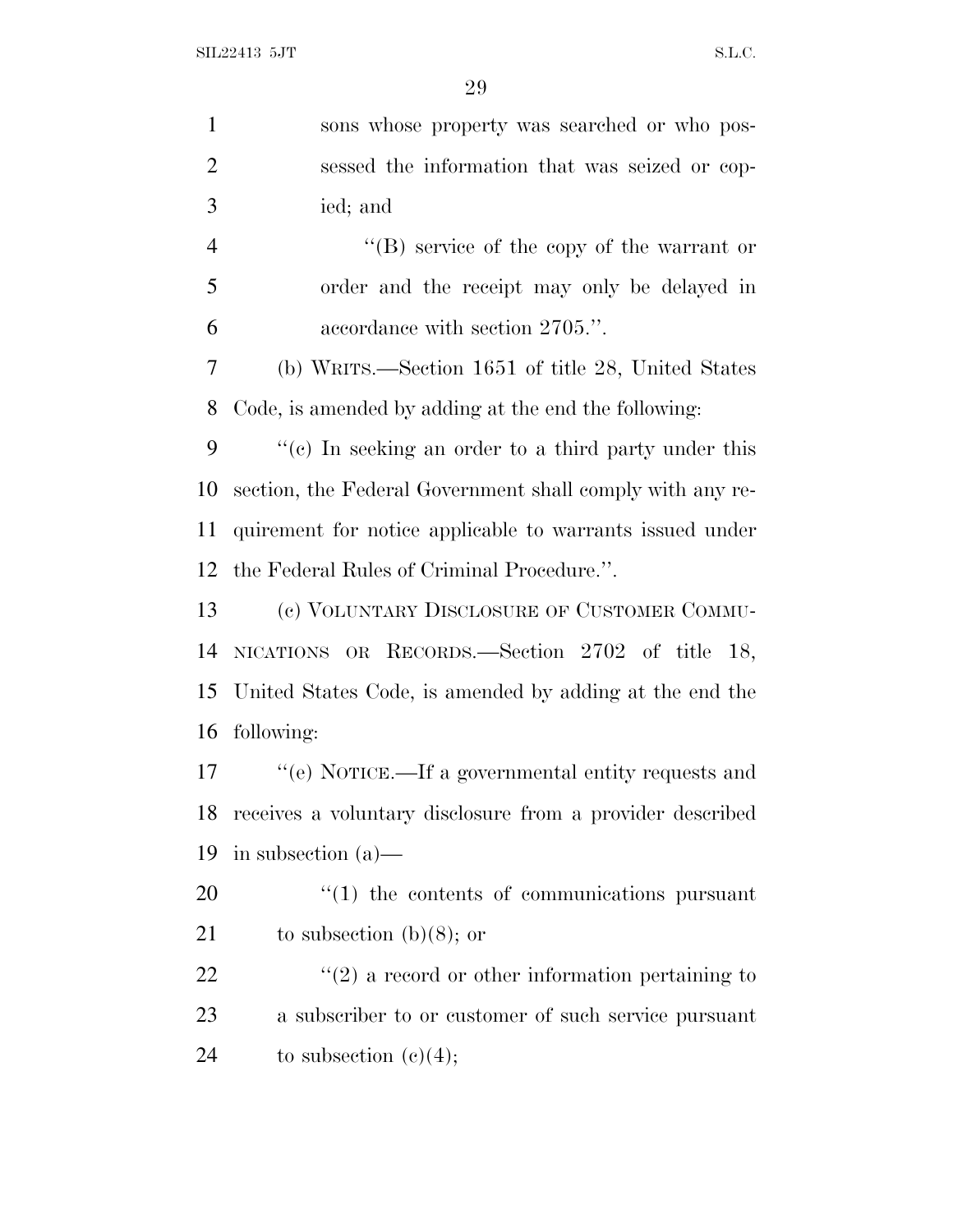| $\mathbf{1}$   | sons whose property was searched or who pos-                 |
|----------------|--------------------------------------------------------------|
| $\overline{2}$ | sessed the information that was seized or cop-               |
| 3              | ied; and                                                     |
| $\overline{4}$ | $\lq\lq (B)$ service of the copy of the warrant or           |
| 5              | order and the receipt may only be delayed in                 |
| 6              | accordance with section 2705.".                              |
| 7              | (b) WRITS.—Section 1651 of title 28, United States           |
| 8              | Code, is amended by adding at the end the following:         |
| 9              | $f'(c)$ In seeking an order to a third party under this      |
| 10             | section, the Federal Government shall comply with any re-    |
| 11             | quirement for notice applicable to warrants issued under     |
| 12             | the Federal Rules of Criminal Procedure.".                   |
| 13             | (c) VOLUNTARY DISCLOSURE OF CUSTOMER COMMU-                  |
| 14             | NICATIONS OR RECORDS.—Section 2702 of title 18,              |
| 15             | United States Code, is amended by adding at the end the      |
| 16             | following:                                                   |
| 17             | "(e) NOTICE.—If a governmental entity requests and           |
| 18             | receives a voluntary disclosure from a provider described    |
| 19             | in subsection $(a)$ —                                        |
| 20             | $\cdot\cdot\cdot(1)$ the contents of communications pursuant |
| 21             | to subsection $(b)(8)$ ; or                                  |
| 22             | $\lq(2)$ a record or other information pertaining to         |
| 23             | a subscriber to or customer of such service pursuant         |
| 24             | to subsection $(c)(4);$                                      |
|                |                                                              |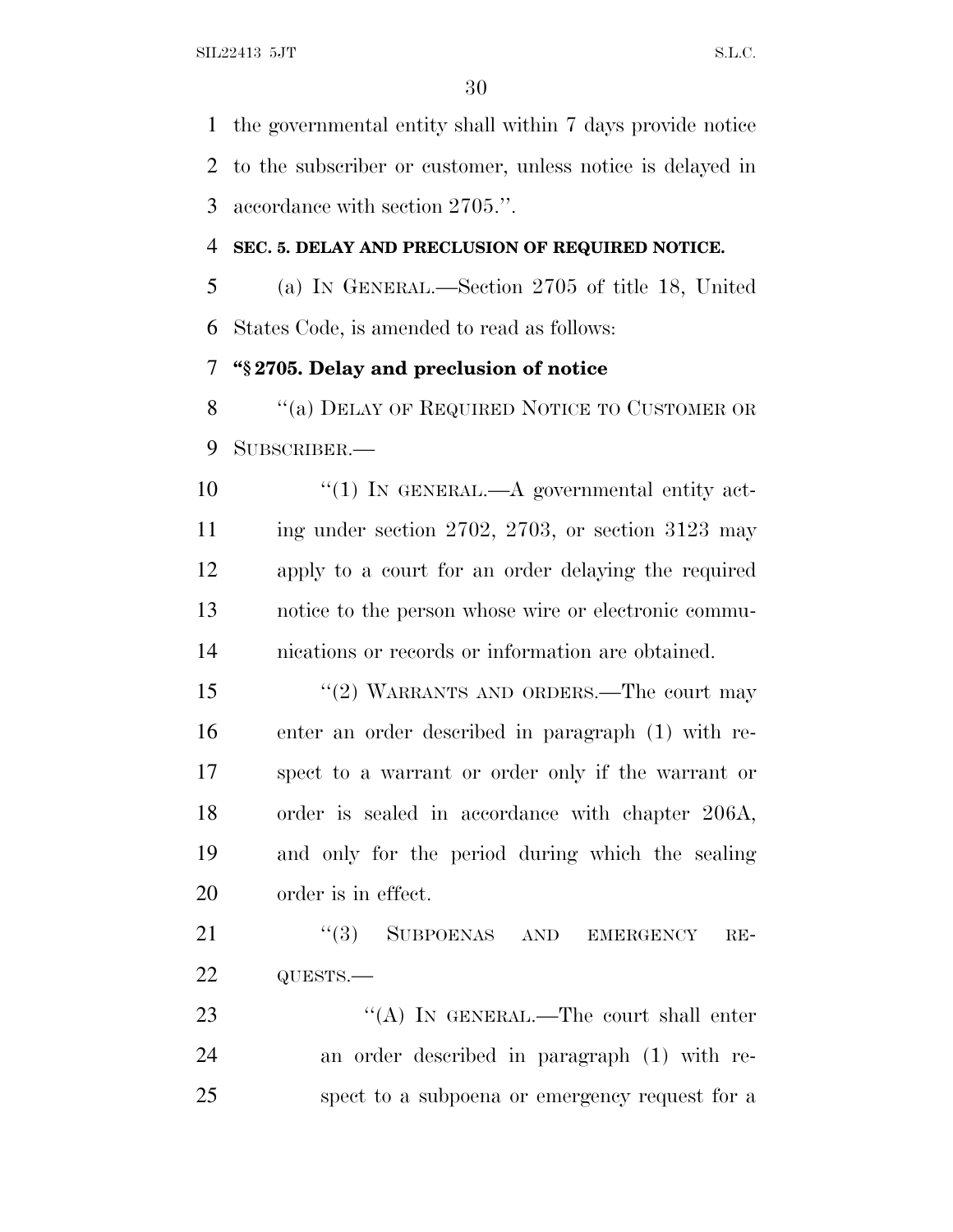the governmental entity shall within 7 days provide notice to the subscriber or customer, unless notice is delayed in accordance with section 2705.''.

#### **SEC. 5. DELAY AND PRECLUSION OF REQUIRED NOTICE.**

 (a) I<sup>N</sup> GENERAL.—Section 2705 of title 18, United States Code, is amended to read as follows:

#### **''§ 2705. Delay and preclusion of notice**

8 "(a) DELAY OF REQUIRED NOTICE TO CUSTOMER OR SUBSCRIBER.—

 $\frac{10}{10}$  IN GENERAL.—A governmental entity act- ing under section 2702, 2703, or section 3123 may apply to a court for an order delaying the required notice to the person whose wire or electronic commu-nications or records or information are obtained.

 ''(2) WARRANTS AND ORDERS.—The court may enter an order described in paragraph (1) with re- spect to a warrant or order only if the warrant or order is sealed in accordance with chapter 206A, and only for the period during which the sealing order is in effect.

21 "(3) SUBPOENAS AND EMERGENCY RE-QUESTS.—

23 "(A) IN GENERAL.—The court shall enter an order described in paragraph (1) with re-spect to a subpoena or emergency request for a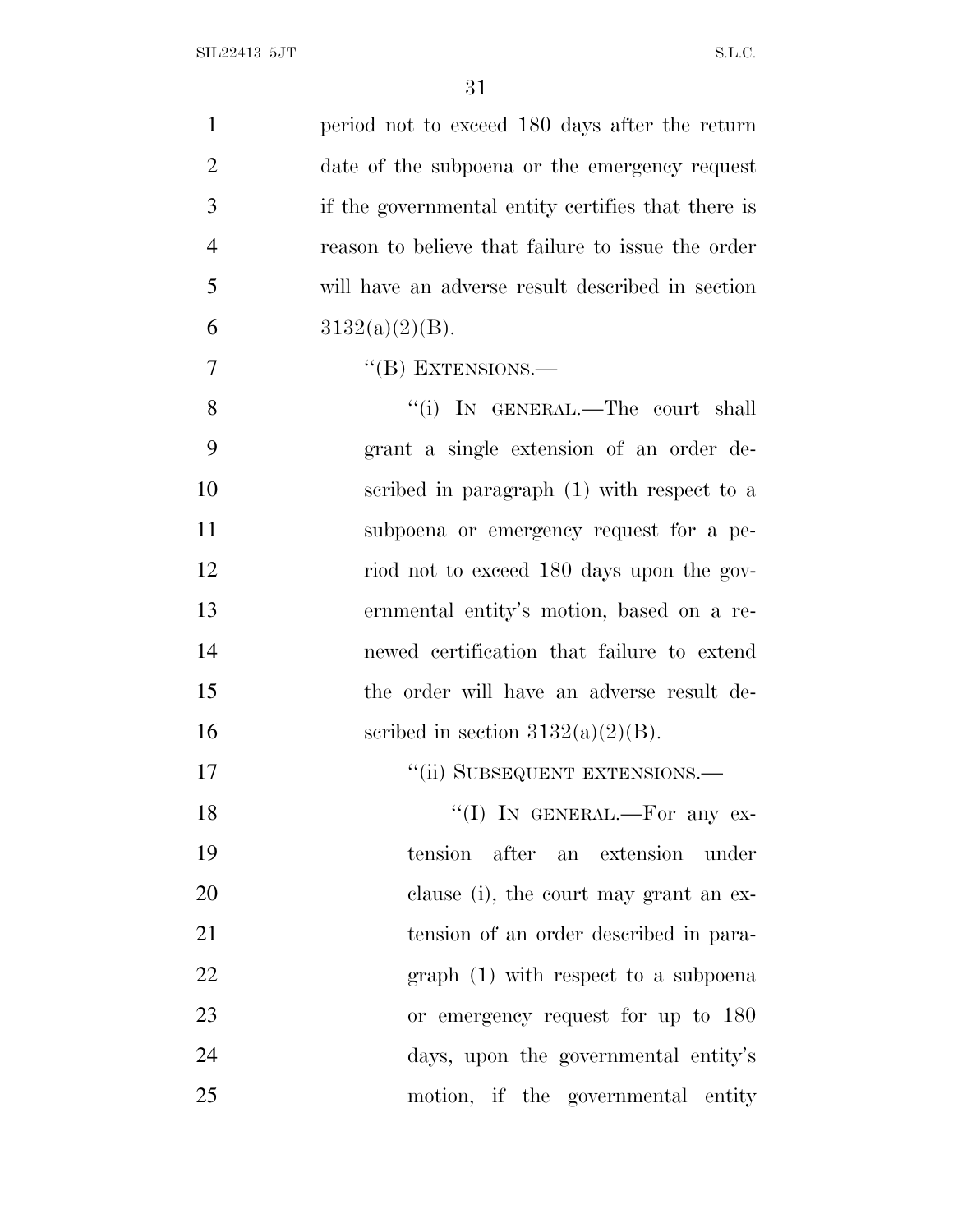| $\mathbf{1}$   | period not to exceed 180 days after the return     |
|----------------|----------------------------------------------------|
| $\overline{2}$ | date of the subpoena or the emergency request      |
| 3              | if the governmental entity certifies that there is |
| $\overline{4}$ | reason to believe that failure to issue the order  |
| 5              | will have an adverse result described in section   |
| 6              | $3132(a)(2)(B)$ .                                  |
| 7              | $\lq\lq (B)$ EXTENSIONS.—                          |
| 8              | "(i) IN GENERAL.—The court shall                   |
| 9              | grant a single extension of an order de-           |
| 10             | scribed in paragraph (1) with respect to a         |
| 11             | subpoena or emergency request for a pe-            |
| 12             | riod not to exceed 180 days upon the gov-          |
| 13             | ernmental entity's motion, based on a re-          |
| 14             | newed certification that failure to extend         |
| 15             | the order will have an adverse result de-          |
| 16             | scribed in section $3132(a)(2)(B)$ .               |
| 17             | "(ii) SUBSEQUENT EXTENSIONS.—                      |
| 18             | "(I) IN GENERAL.—For any $ex$ -                    |
| 19             | tension after an extension<br>under                |
| 20             | clause (i), the court may grant an ex-             |
| 21             | tension of an order described in para-             |
| 22             | $graph(1)$ with respect to a subpoena              |
| 23             | or emergency request for up to 180                 |
| 24             | days, upon the governmental entity's               |
| 25             | motion, if the governmental entity                 |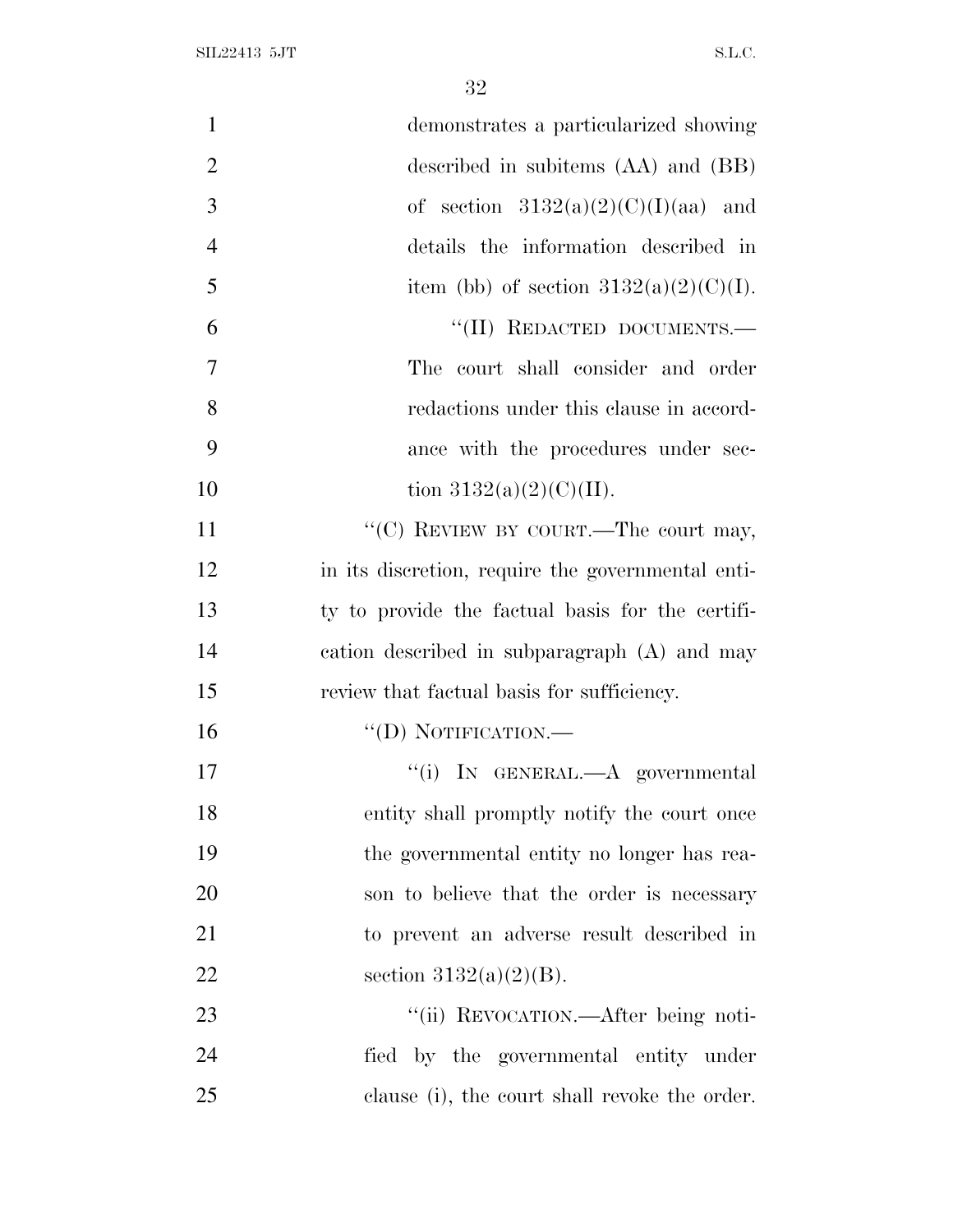| $\mathbf{1}$<br>demonstrates a particularized showing   |  |
|---------------------------------------------------------|--|
| $\overline{2}$<br>described in subitems (AA) and (BB)   |  |
| 3<br>of section $3132(a)(2)(C)(I)(aa)$ and              |  |
| $\overline{4}$<br>details the information described in  |  |
| 5<br>item (bb) of section $3132(a)(2)(C)(I)$ .          |  |
| "(II) REDACTED DOCUMENTS.-<br>6                         |  |
| 7<br>The court shall consider and order                 |  |
| 8<br>redactions under this clause in accord-            |  |
| 9<br>ance with the procedures under sec-                |  |
| 10<br>tion $3132(a)(2)(C)(II)$ .                        |  |
| "(C) REVIEW BY COURT.—The court may,<br>11              |  |
| 12<br>in its discretion, require the governmental enti- |  |
| 13<br>ty to provide the factual basis for the certifi-  |  |
| 14<br>cation described in subparagraph (A) and may      |  |
| 15<br>review that factual basis for sufficiency.        |  |
| 16<br>$\lq\lq$ (D) NOTIFICATION.—                       |  |
| 17<br>"(i) IN GENERAL.—A governmental                   |  |
| 18<br>entity shall promptly notify the court once       |  |
| 19<br>the governmental entity no longer has rea-        |  |
| 20<br>son to believe that the order is necessary        |  |
| 21<br>to prevent an adverse result described in         |  |
| 22<br>section $3132(a)(2)(B)$ .                         |  |
| "(ii) REVOCATION.—After being noti-<br>23               |  |
| 24<br>fied by the governmental entity under             |  |
| 25<br>clause (i), the court shall revoke the order.     |  |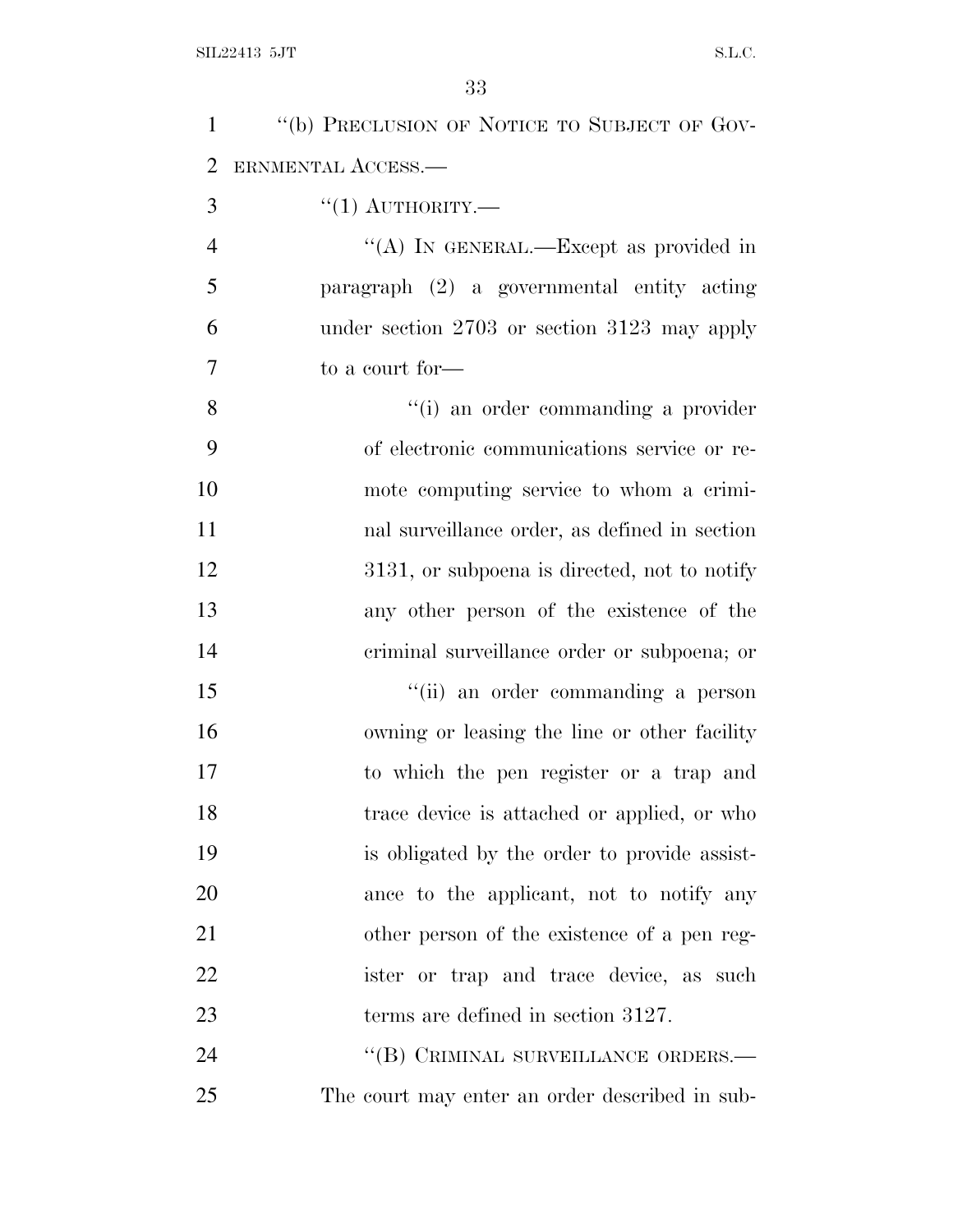| $\mathbf{1}$   | "(b) PRECLUSION OF NOTICE TO SUBJECT OF GOV-   |
|----------------|------------------------------------------------|
| $\overline{2}$ | ERNMENTAL ACCESS.-                             |
| 3              | $``(1)$ AUTHORITY.—                            |
| $\overline{4}$ | "(A) IN GENERAL.—Except as provided in         |
| 5              | paragraph (2) a governmental entity acting     |
| 6              | under section 2703 or section 3123 may apply   |
| 7              | to a court for—                                |
| 8              | "(i) an order commanding a provider            |
| 9              | of electronic communications service or re-    |
| 10             | mote computing service to whom a crimi-        |
| 11             | nal surveillance order, as defined in section  |
| 12             | 3131, or subpoena is directed, not to notify   |
| 13             | any other person of the existence of the       |
| 14             | criminal surveillance order or subpoena; or    |
| 15             | "(ii) an order commanding a person             |
| 16             | owning or leasing the line or other facility   |
| 17             | to which the pen register or a trap and        |
| 18             | trace device is attached or applied, or who    |
| 19             | is obligated by the order to provide assist-   |
| 20             | ance to the applicant, not to notify any       |
| 21             | other person of the existence of a pen reg-    |
| 22             | ister or trap and trace device, as such        |
| 23             | terms are defined in section 3127.             |
| 24             | "(B) CRIMINAL SURVEILLANCE ORDERS.—            |
| 25             | The court may enter an order described in sub- |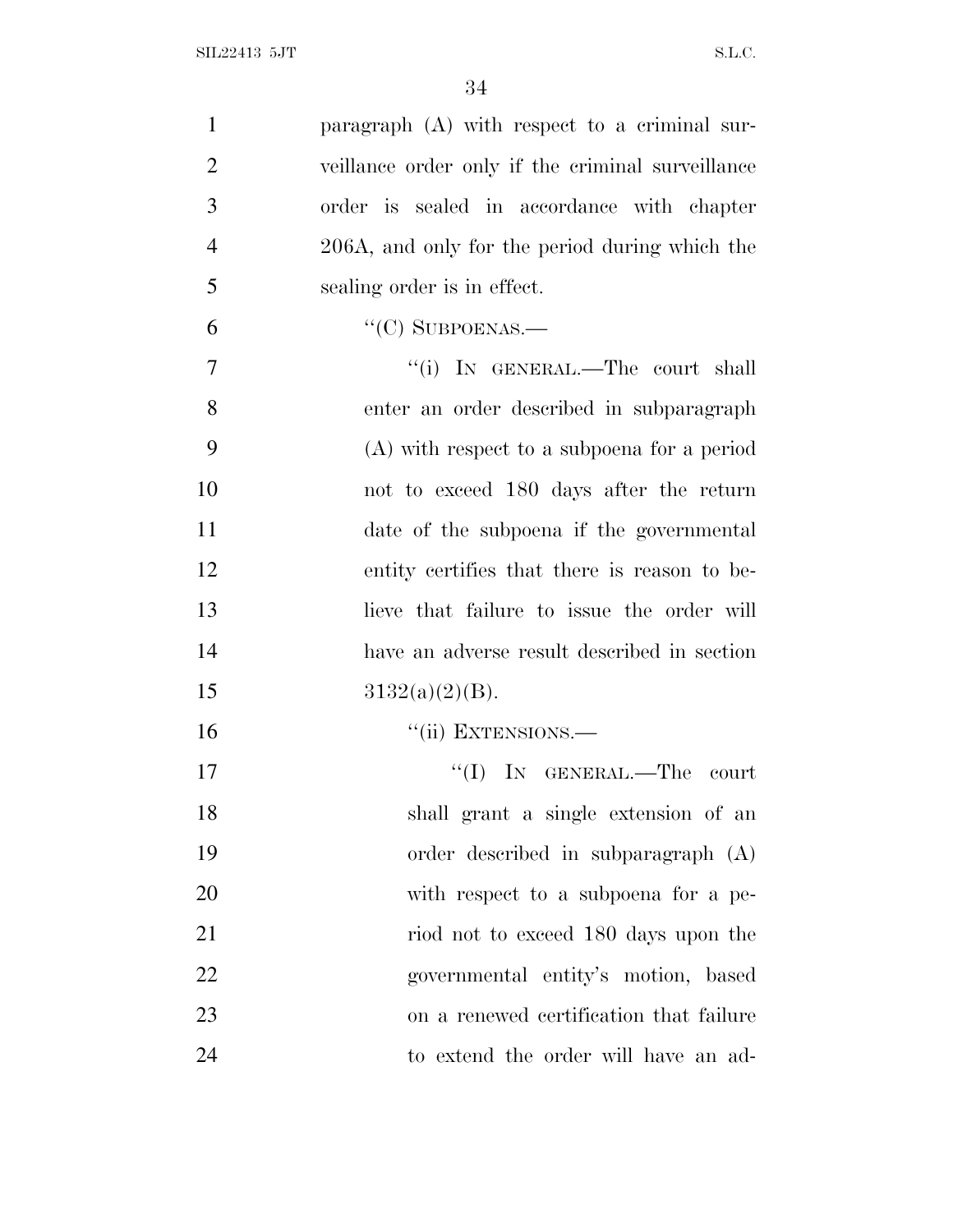| $\mathbf{1}$   | paragraph $(A)$ with respect to a criminal sur-   |
|----------------|---------------------------------------------------|
| $\overline{2}$ | veillance order only if the criminal surveillance |
| 3              | order is sealed in accordance with chapter        |
| $\overline{4}$ | 206A, and only for the period during which the    |
| 5              | sealing order is in effect.                       |
| 6              | $\lq\lq$ (C) SUBPOENAS.—                          |
| $\overline{7}$ | "(i) IN GENERAL.—The court shall                  |
| 8              | enter an order described in subparagraph          |
| 9              | $(A)$ with respect to a subpoena for a period     |
| 10             | not to exceed 180 days after the return           |
| 11             | date of the subpoena if the governmental          |
| 12             | entity certifies that there is reason to be-      |
| 13             | lieve that failure to issue the order will        |
| 14             | have an adverse result described in section       |
| 15             | $3132(a)(2)(B)$ .                                 |
| 16             | "(ii) EXTENSIONS.—                                |
| 17             | "(I) IN GENERAL.—The court                        |
| 18             | shall grant a single extension of an              |
| 19             | order described in subparagraph (A)               |
| 20             | with respect to a subpoena for a pe-              |
| 21             | riod not to exceed 180 days upon the              |
| 22             | governmental entity's motion, based               |
| 23             | on a renewed certification that failure           |
| 24             | to extend the order will have an ad-              |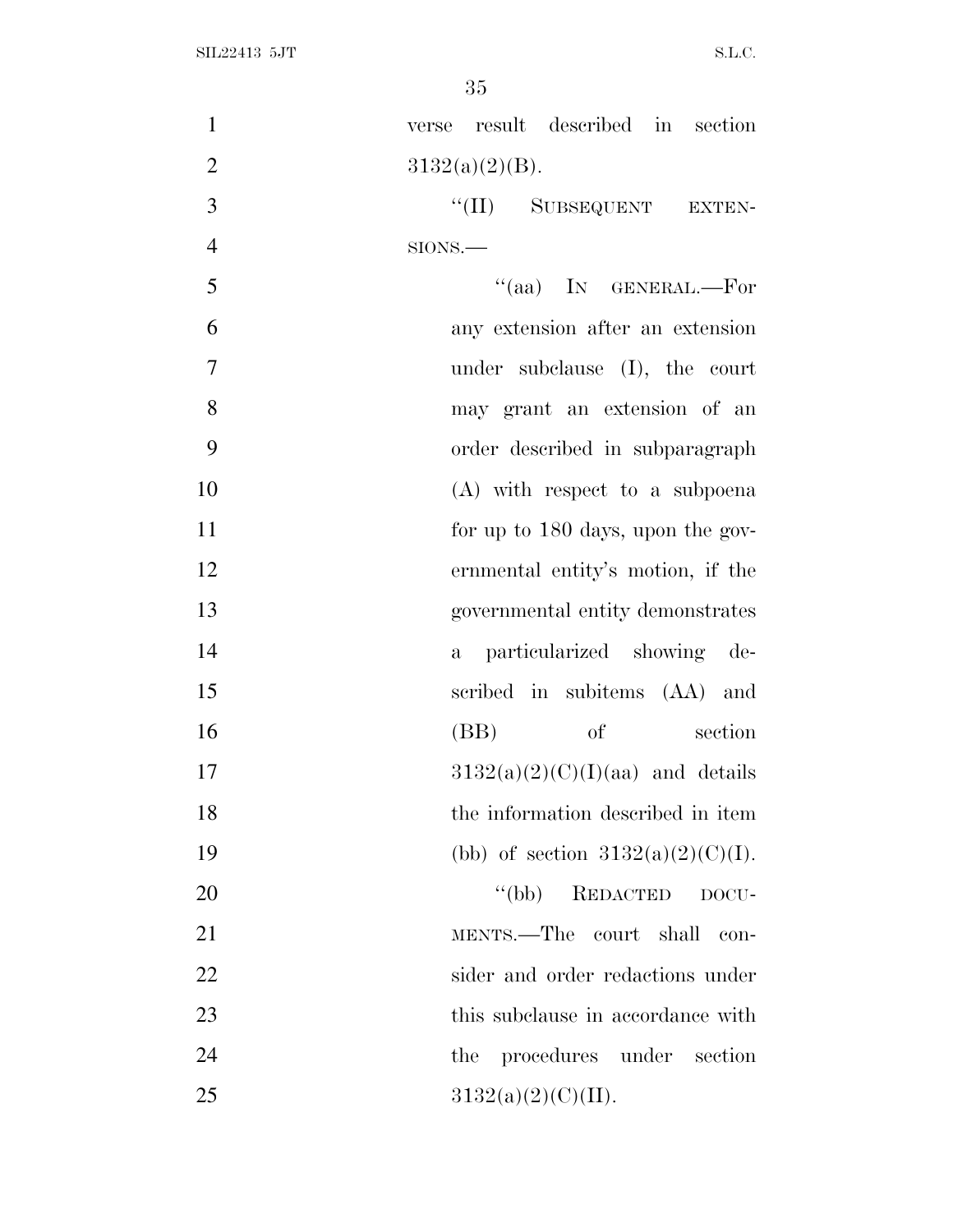| $\mathbf{1}$   | verse result described in section    |
|----------------|--------------------------------------|
| $\overline{2}$ | $3132(a)(2)(B)$ .                    |
| 3              | "(II) SUBSEQUENT EXTEN-              |
| $\overline{4}$ | SIONS.                               |
| 5              | "(aa) IN GENERAL.—For                |
| 6              | any extension after an extension     |
| 7              | under subclause $(I)$ , the court    |
| 8              | may grant an extension of an         |
| 9              | order described in subparagraph      |
| 10             | (A) with respect to a subpoena       |
| 11             | for up to 180 days, upon the gov-    |
| 12             | ernmental entity's motion, if the    |
| 13             | governmental entity demonstrates     |
| 14             | particularized showing de-<br>$a -$  |
| 15             | scribed in subitems (AA) and         |
| 16             | (BB)<br><sub>of</sub><br>section     |
| 17             | $3132(a)(2)(C)(I)(aa)$ and details   |
| 18             | the information described in item    |
| 19             | (bb) of section $3132(a)(2)(C)(I)$ . |
| 20             | "(bb) REDACTED DOCU-                 |
| 21             | MENTS.—The court shall<br>con-       |
| 22             | sider and order redactions under     |
| 23             | this subclause in accordance with    |
| 24             | the procedures under section         |
| 25             | 3132(a)(2)(C)(II).                   |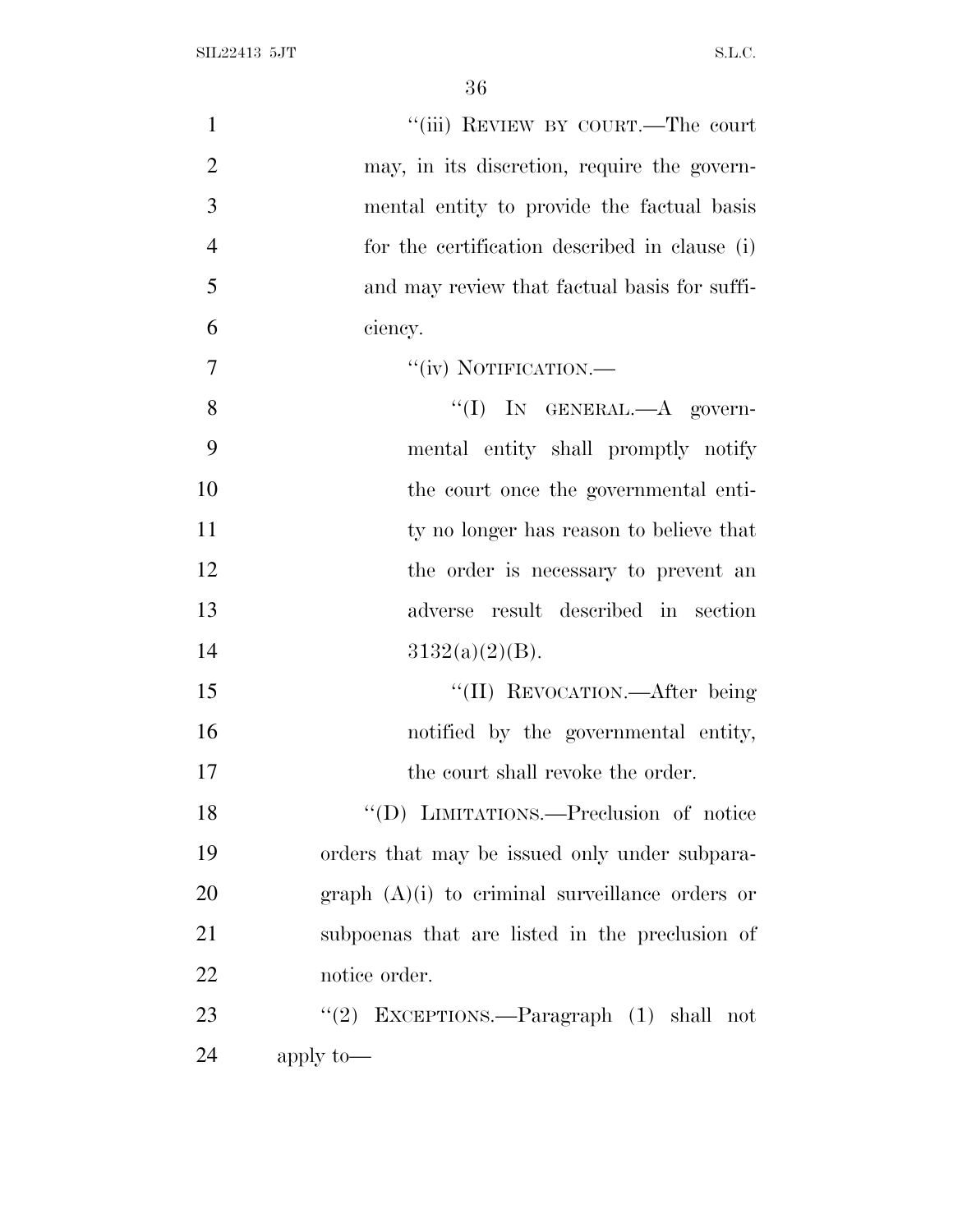| $\mathbf{1}$   | "(iii) REVIEW BY COURT.—The court                 |
|----------------|---------------------------------------------------|
| $\overline{2}$ | may, in its discretion, require the govern-       |
| 3              | mental entity to provide the factual basis        |
| $\overline{4}$ | for the certification described in clause (i)     |
| 5              | and may review that factual basis for suffi-      |
| 6              | ciency.                                           |
| 7              | "(iv) NOTIFICATION.—                              |
| 8              | "(I) IN GENERAL.—A govern-                        |
| 9              | mental entity shall promptly notify               |
| 10             | the court once the governmental enti-             |
| 11             | ty no longer has reason to believe that           |
| 12             | the order is necessary to prevent an              |
| 13             | adverse result described in section               |
| 14             | $3132(a)(2)(B)$ .                                 |
| 15             | "(II) REVOCATION.—After being                     |
| 16             | notified by the governmental entity,              |
| 17             | the court shall revoke the order.                 |
| 18             | "(D) LIMITATIONS.—Preclusion of notice            |
| 19             | orders that may be issued only under subpara-     |
| 20             | graph $(A)(i)$ to criminal surveillance orders or |
| 21             | subpoenas that are listed in the preclusion of    |
| 22             | notice order.                                     |
| 23             | "(2) EXCEPTIONS.—Paragraph $(1)$ shall not        |
| 24             | apply to-                                         |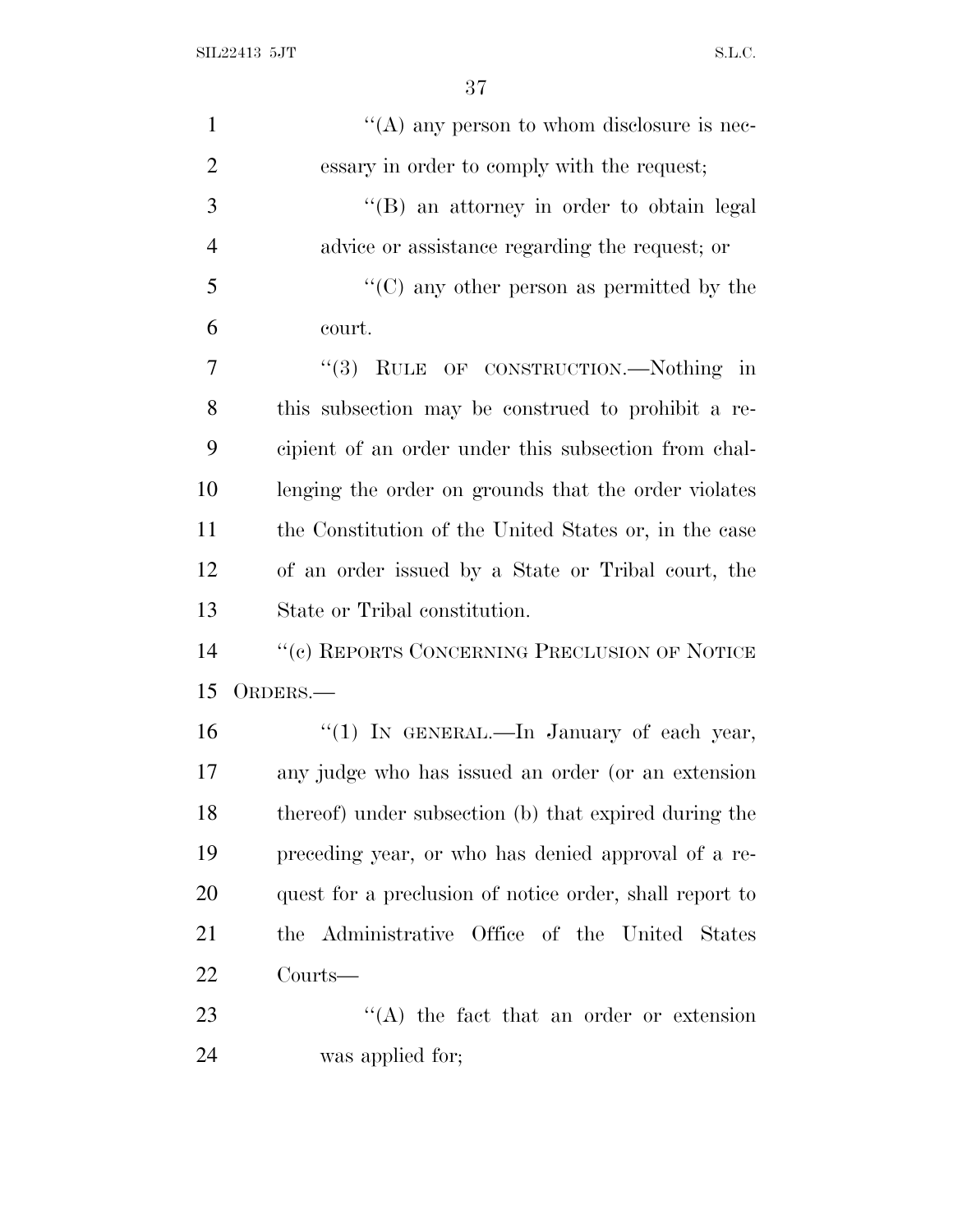$SL22413$  5JT  $SLC$ .

| $\mathbf{1}$   | "(A) any person to whom disclosure is nec-              |
|----------------|---------------------------------------------------------|
| $\overline{2}$ | essary in order to comply with the request;             |
| 3              | "(B) an attorney in order to obtain legal               |
| $\overline{4}$ | advice or assistance regarding the request; or          |
| 5              | $\lq\lq$ (C) any other person as permitted by the       |
| 6              | court.                                                  |
| 7              | "(3) RULE OF CONSTRUCTION.—Nothing in                   |
| 8              | this subsection may be construed to prohibit a re-      |
| 9              | cipient of an order under this subsection from chal-    |
| 10             | lenging the order on grounds that the order violates    |
| 11             | the Constitution of the United States or, in the case   |
| 12             | of an order issued by a State or Tribal court, the      |
| 13             | State or Tribal constitution.                           |
| 14             | "(c) REPORTS CONCERNING PRECLUSION OF NOTICE            |
| 15             | ORDERS.-                                                |
| 16             | "(1) IN GENERAL.—In January of each year,               |
| 17             | any judge who has issued an order (or an extension      |
| 18             | thereof) under subsection (b) that expired during the   |
| 19             | preceding year, or who has denied approval of a re-     |
| 20             | quest for a preclusion of notice order, shall report to |
| 21             | Office of the United States<br>the Administrative       |
| 22             | Courts—                                                 |
| 23             | $\lq\lq$ the fact that an order or extension            |
| 24             | was applied for;                                        |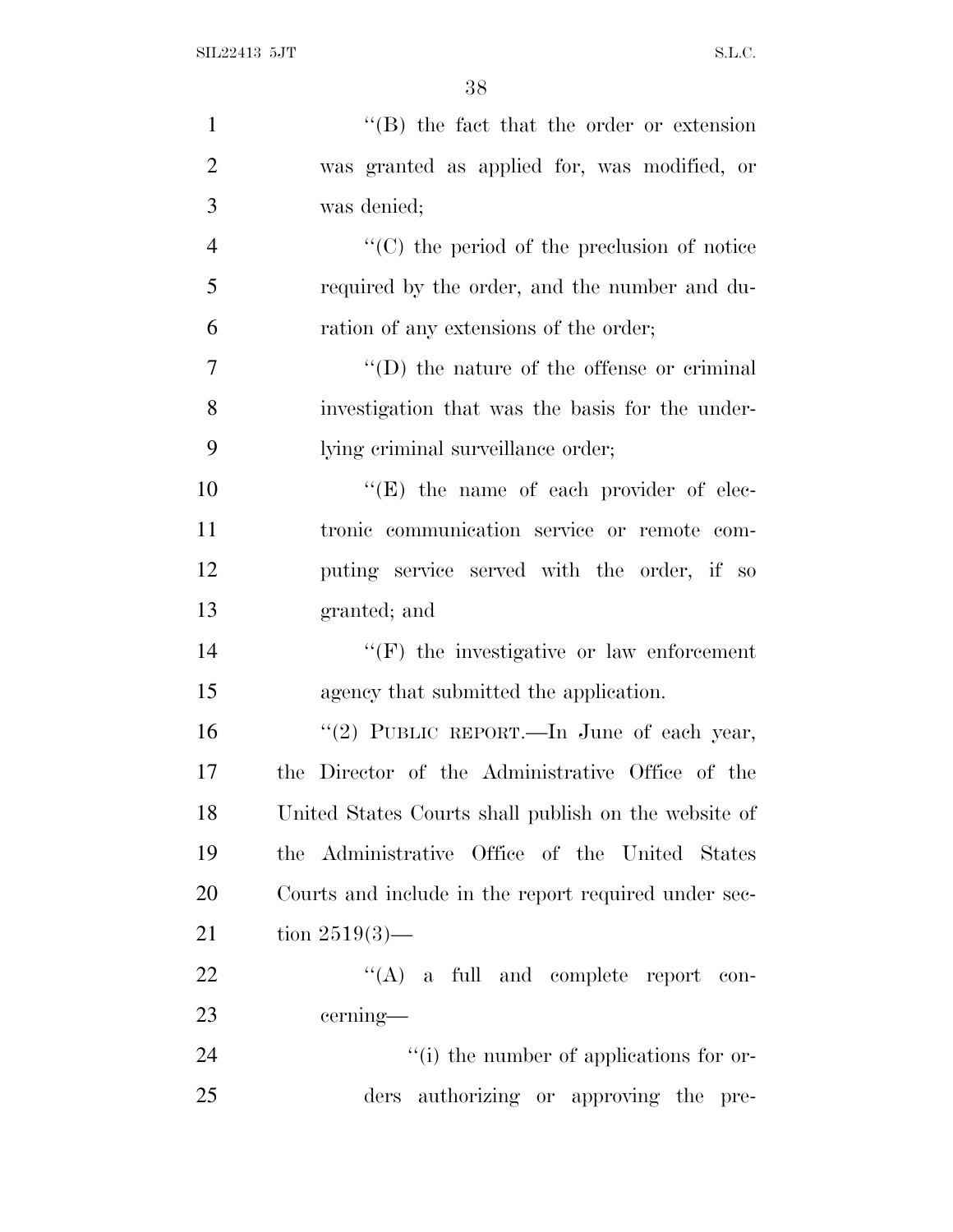| $\mathbf{1}$   | $\lq\lq (B)$ the fact that the order or extension    |
|----------------|------------------------------------------------------|
| $\overline{2}$ | was granted as applied for, was modified, or         |
| 3              | was denied;                                          |
| $\overline{4}$ | $\lq\lq$ (C) the period of the preclusion of notice  |
| 5              | required by the order, and the number and du-        |
| 6              | ration of any extensions of the order;               |
| $\overline{7}$ | $\lq\lq$ the nature of the offense or criminal       |
| 8              | investigation that was the basis for the under-      |
| 9              | lying criminal surveillance order;                   |
| 10             | "(E) the name of each provider of elec-              |
| 11             | tronic communication service or remote com-          |
| 12             | puting service served with the order, if so          |
| 13             | granted; and                                         |
| 14             | $\lq\lq(F)$ the investigative or law enforcement     |
| 15             | agency that submitted the application.               |
| 16             | "(2) PUBLIC REPORT.—In June of each year,            |
| 17             | the Director of the Administrative Office of the     |
| 18             | United States Courts shall publish on the website of |
| 19             | the Administrative Office of the United States       |
| 20             | Courts and include in the report required under sec- |
| 21             | tion $2519(3)$ —                                     |
| 22             | $\lq\lq$ (A) a full and complete report con-         |
| 23             | cerning—                                             |
| 24             | $\lq\lq$ (i) the number of applications for or-      |
| 25             | authorizing or approving the pre-<br>ders            |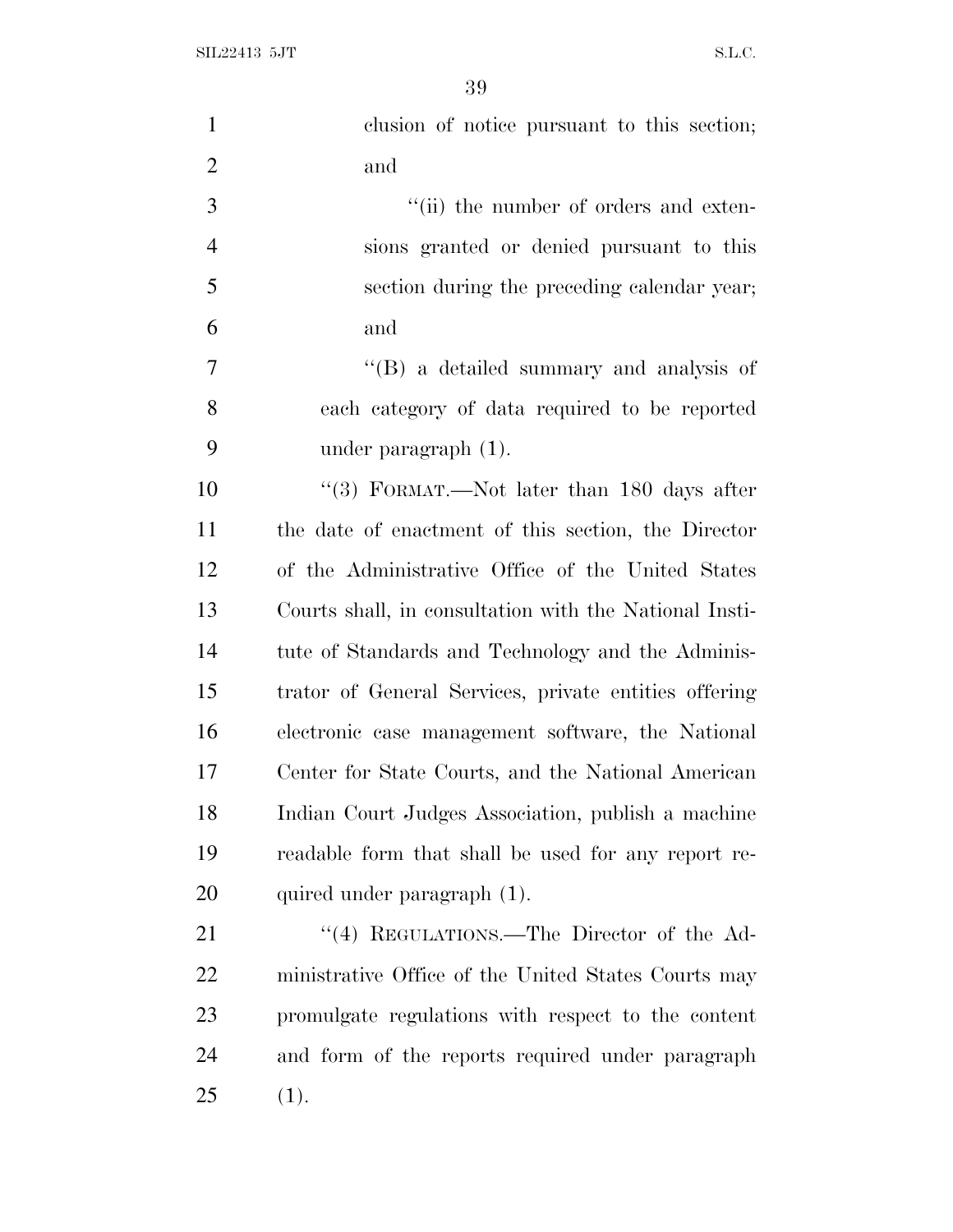| $\mathbf{1}$   | clusion of notice pursuant to this section;            |
|----------------|--------------------------------------------------------|
| $\overline{2}$ | and                                                    |
| 3              | "(ii) the number of orders and exten-                  |
| $\overline{4}$ | sions granted or denied pursuant to this               |
| 5              | section during the preceding calendar year;            |
| 6              | and                                                    |
| $\tau$         | "(B) a detailed summary and analysis of                |
| 8              | each category of data required to be reported          |
| 9              | under paragraph $(1)$ .                                |
| 10             | "(3) FORMAT.—Not later than 180 days after             |
| 11             | the date of enactment of this section, the Director    |
| 12             | of the Administrative Office of the United States      |
| 13             | Courts shall, in consultation with the National Insti- |
| 14             | tute of Standards and Technology and the Adminis-      |
| 15             | trator of General Services, private entities offering  |
| 16             | electronic case management software, the National      |
| 17             | Center for State Courts, and the National American     |
| 18             | Indian Court Judges Association, publish a machine     |
| 19             | readable form that shall be used for any report re-    |
| 20             | quired under paragraph (1).                            |
| 21             | "(4) REGULATIONS.—The Director of the Ad-              |
| 22             | ministrative Office of the United States Courts may    |
| 23             | promulgate regulations with respect to the content     |
| 24             | and form of the reports required under paragraph       |
| 25             | (1).                                                   |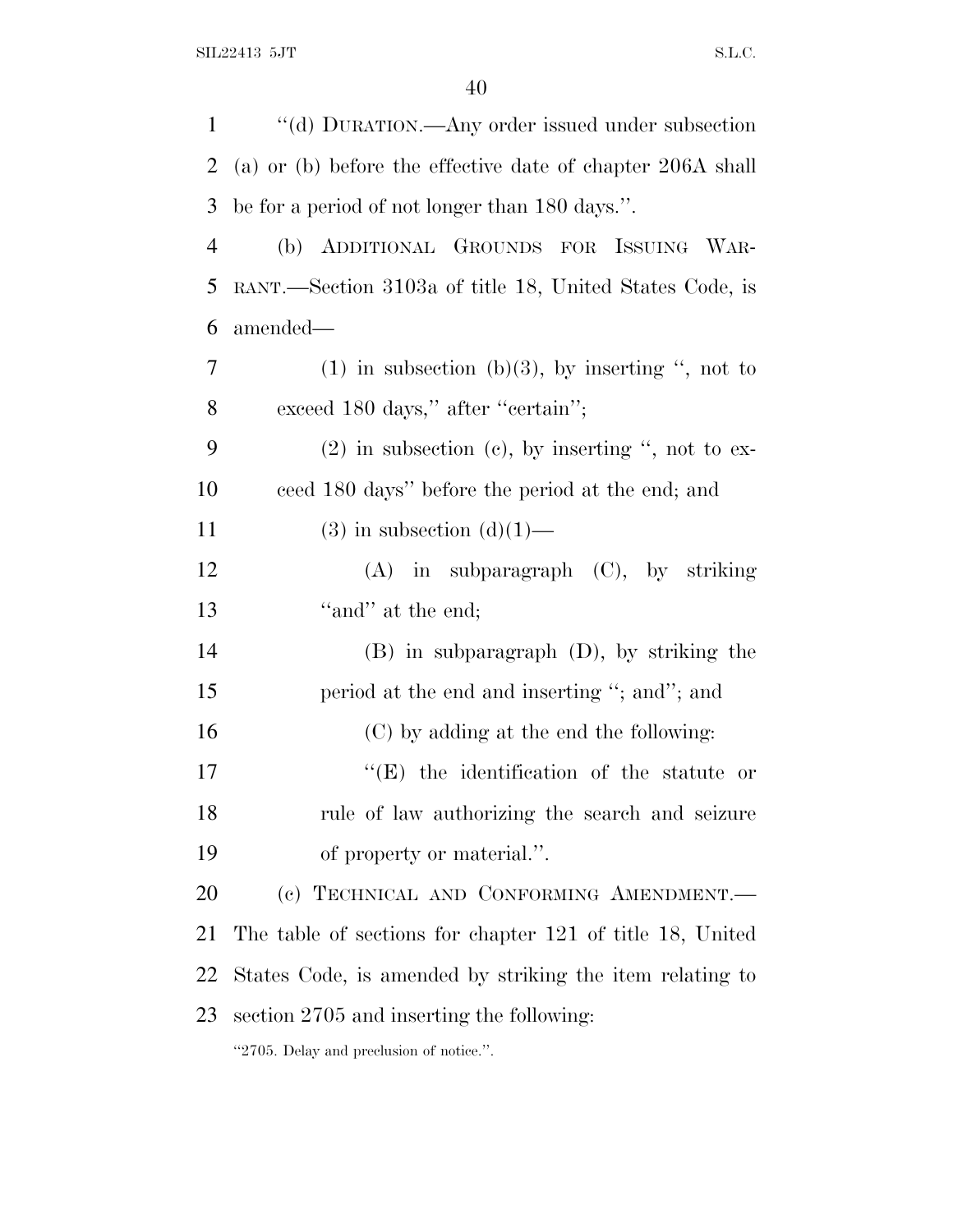| 1              | "(d) DURATION.—Any order issued under subsection           |
|----------------|------------------------------------------------------------|
| 2              | (a) or (b) before the effective date of chapter 206A shall |
| 3              | be for a period of not longer than 180 days.".             |
| $\overline{4}$ | (b) ADDITIONAL GROUNDS FOR ISSUING WAR-                    |
| 5              | RANT.—Section 3103a of title 18, United States Code, is    |
| 6              | amended—                                                   |
| 7              | $(1)$ in subsection (b)(3), by inserting ", not to         |
| 8              | exceed 180 days," after "certain";                         |
| 9              | $(2)$ in subsection $(e)$ , by inserting ", not to ex-     |
| 10             | ceed 180 days" before the period at the end; and           |
| 11             | $(3)$ in subsection $(d)(1)$ —                             |
| 12             | $(A)$ in subparagraph $(C)$ , by striking                  |
| 13             | "and" at the end;                                          |
| 14             | $(B)$ in subparagraph $(D)$ , by striking the              |
| 15             | period at the end and inserting "; and"; and               |
| 16             | (C) by adding at the end the following:                    |
| 17             | "(E) the identification of the statute or                  |
| 18             | rule of law authorizing the search and seizure             |
| 19             | of property or material.".                                 |
| 20             | (c) TECHNICAL AND CONFORMING AMENDMENT.                    |
| 21             | The table of sections for chapter 121 of title 18, United  |
| 22             | States Code, is amended by striking the item relating to   |
| 23             | section 2705 and inserting the following:                  |
|                | "2705. Delay and preclusion of notice.".                   |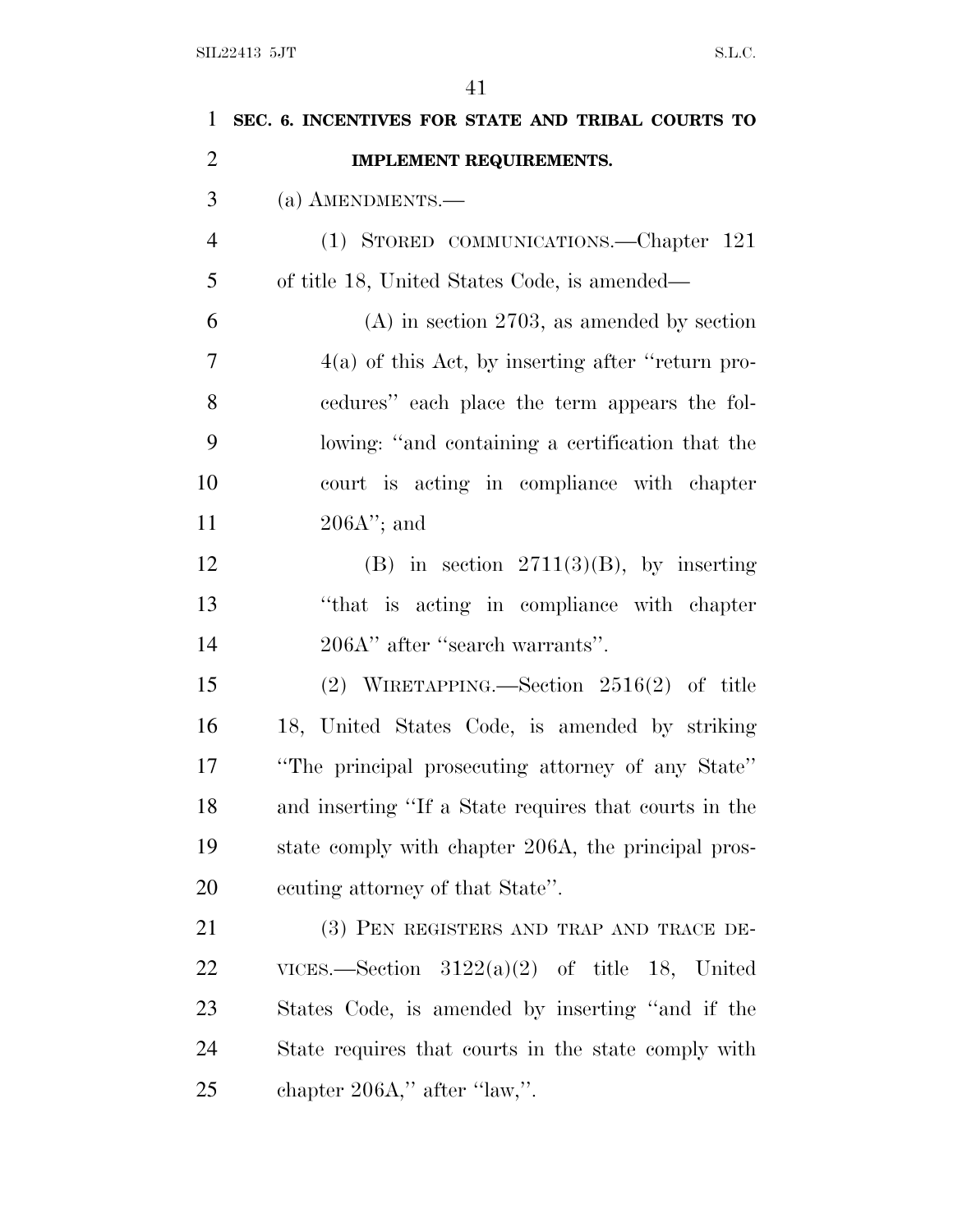| $\mathbf{1}$   | SEC. 6. INCENTIVES FOR STATE AND TRIBAL COURTS TO     |
|----------------|-------------------------------------------------------|
| $\overline{2}$ | <b>IMPLEMENT REQUIREMENTS.</b>                        |
| 3              | $(a)$ AMENDMENTS.—                                    |
| $\overline{4}$ | (1) STORED COMMUNICATIONS.—Chapter 121                |
| 5              | of title 18, United States Code, is amended—          |
| 6              | $(A)$ in section 2703, as amended by section          |
| 7              | $4(a)$ of this Act, by inserting after "return pro-   |
| 8              | eedures" each place the term appears the fol-         |
| 9              | lowing: "and containing a certification that the      |
| 10             | court is acting in compliance with chapter            |
| 11             | $206A$ "; and                                         |
| 12             | (B) in section $2711(3)(B)$ , by inserting            |
| 13             | "that is acting in compliance with chapter"           |
| 14             | 206A" after "search warrants".                        |
| 15             | (2) WIRETAPPING.—Section $2516(2)$ of title           |
| 16             | 18, United States Code, is amended by striking        |
| 17             | "The principal prosecuting attorney of any State"     |
| 18             | and inserting "If a State requires that courts in the |
| 19             | state comply with chapter 206A, the principal pros-   |
| 20             | ecuting attorney of that State".                      |
| 21             | (3) PEN REGISTERS AND TRAP AND TRACE DE-              |
| 22             | VICES.—Section $3122(a)(2)$ of title 18, United       |
| 23             | States Code, is amended by inserting "and if the      |
| 24             | State requires that courts in the state comply with   |
| 25             | chapter $206A$ ," after "law,".                       |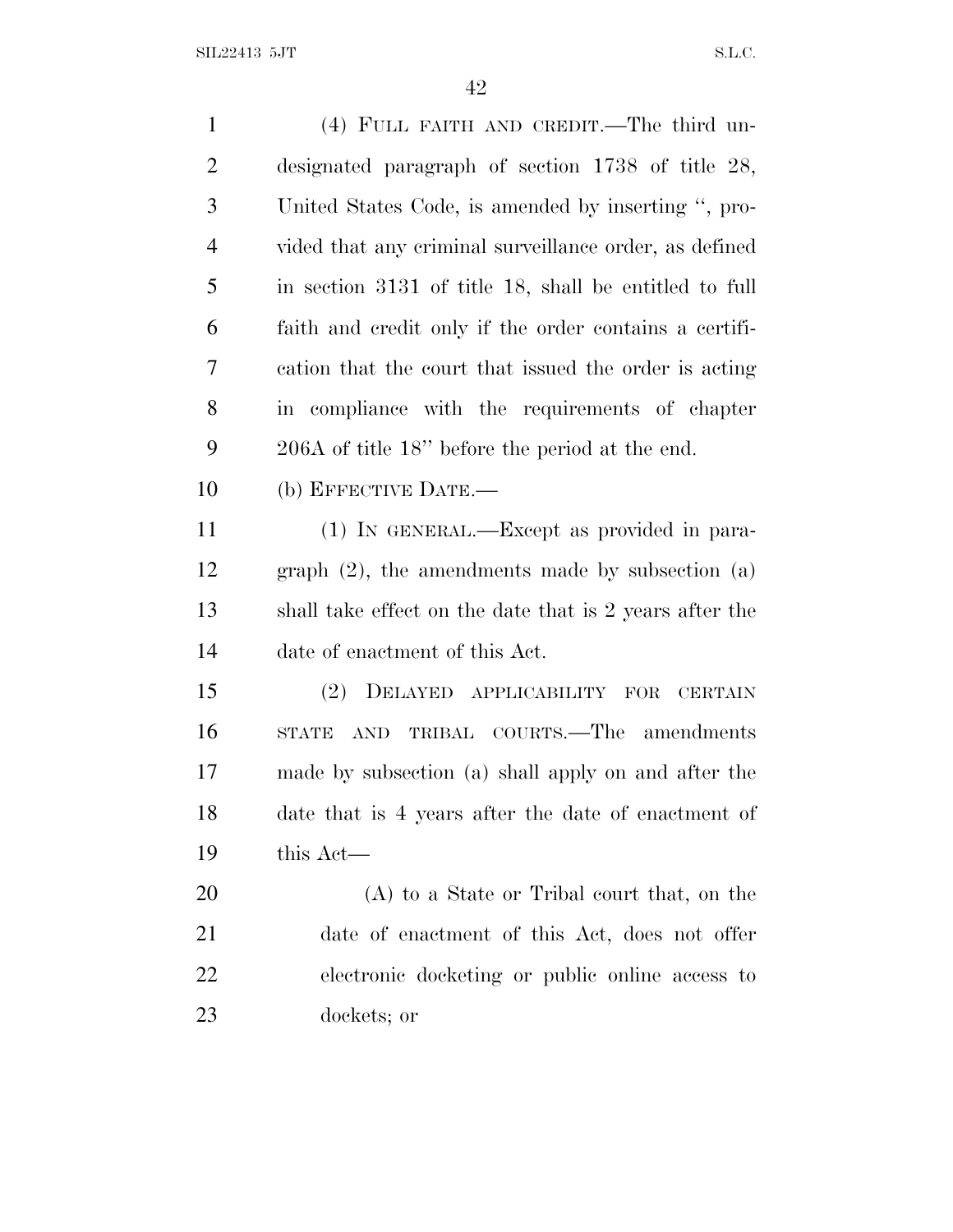| $\mathbf{1}$   | (4) FULL FAITH AND CREDIT.—The third un-                |
|----------------|---------------------------------------------------------|
| 2              | designated paragraph of section $1738$ of title 28,     |
| 3              | United States Code, is amended by inserting ", pro-     |
| $\overline{4}$ | vided that any criminal surveillance order, as defined  |
| 5              | in section 3131 of title 18, shall be entitled to full  |
| 6              | faith and credit only if the order contains a certifi-  |
| 7              | cation that the court that issued the order is acting   |
| 8              | in compliance with the requirements of chapter          |
| 9              | $206A$ of title 18" before the period at the end.       |
| 10             | (b) EFFECTIVE DATE.—                                    |
| 11             | (1) IN GENERAL.—Except as provided in para-             |
| 12             | graph $(2)$ , the amendments made by subsection $(a)$   |
| 13             | shall take effect on the date that is 2 years after the |
| 14             | date of enactment of this Act.                          |
| 15             | DELAYED APPLICABILITY<br>(2)<br>FOR CERTAIN             |
| 16             | AND TRIBAL COURTS.—The amendments<br>STATE              |
| 17             | made by subsection (a) shall apply on and after the     |
| 18             | date that is 4 years after the date of enactment of     |
| 19             | this Act—                                               |
| 20             | (A) to a State or Tribal court that, on the             |
| 21             | date of enactment of this Act, does not offer           |
| 22             | electronic docketing or public online access to         |
| 23             | dockets; or                                             |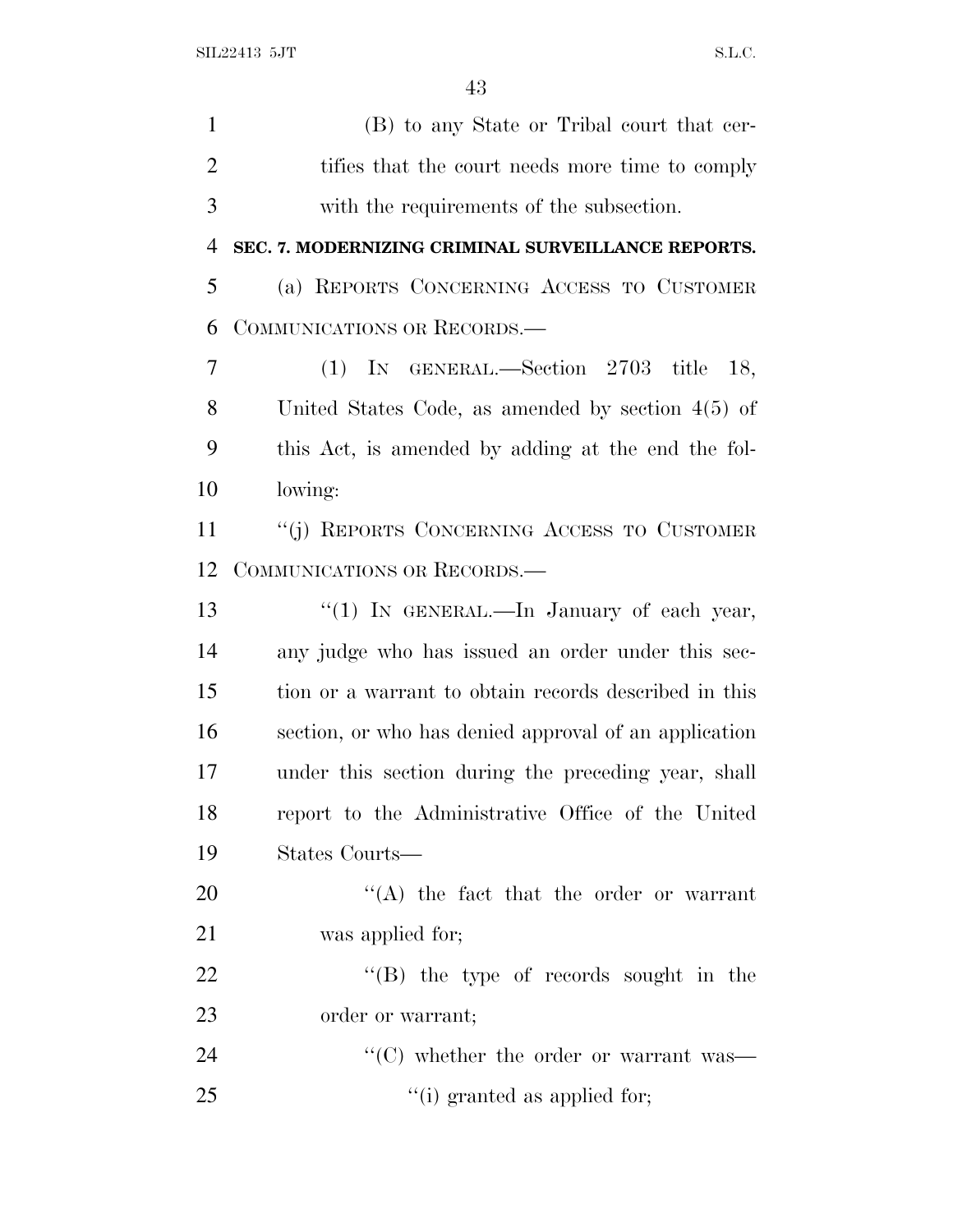(B) to any State or Tribal court that cer-2 tifies that the court needs more time to comply with the requirements of the subsection. **SEC. 7. MODERNIZING CRIMINAL SURVEILLANCE REPORTS.** (a) REPORTS CONCERNING ACCESS TO CUSTOMER COMMUNICATIONS OR RECORDS.— (1) IN GENERAL.—Section 2703 title 18, United States Code, as amended by section 4(5) of this Act, is amended by adding at the end the fol- lowing: ''(j) REPORTS CONCERNING ACCESS TO CUSTOMER COMMUNICATIONS OR RECORDS.— 13 "(1) IN GENERAL.—In January of each year, any judge who has issued an order under this sec- tion or a warrant to obtain records described in this section, or who has denied approval of an application under this section during the preceding year, shall report to the Administrative Office of the United States Courts—  $\langle (A)$  the fact that the order or warrant was applied for;  $\text{``(B)}$  the type of records sought in the order or warrant;  $\cdot$  (C) whether the order or warrant was—

25  $\frac{1}{2}$   $\frac{1}{2}$   $\frac{1}{2}$  granted as applied for;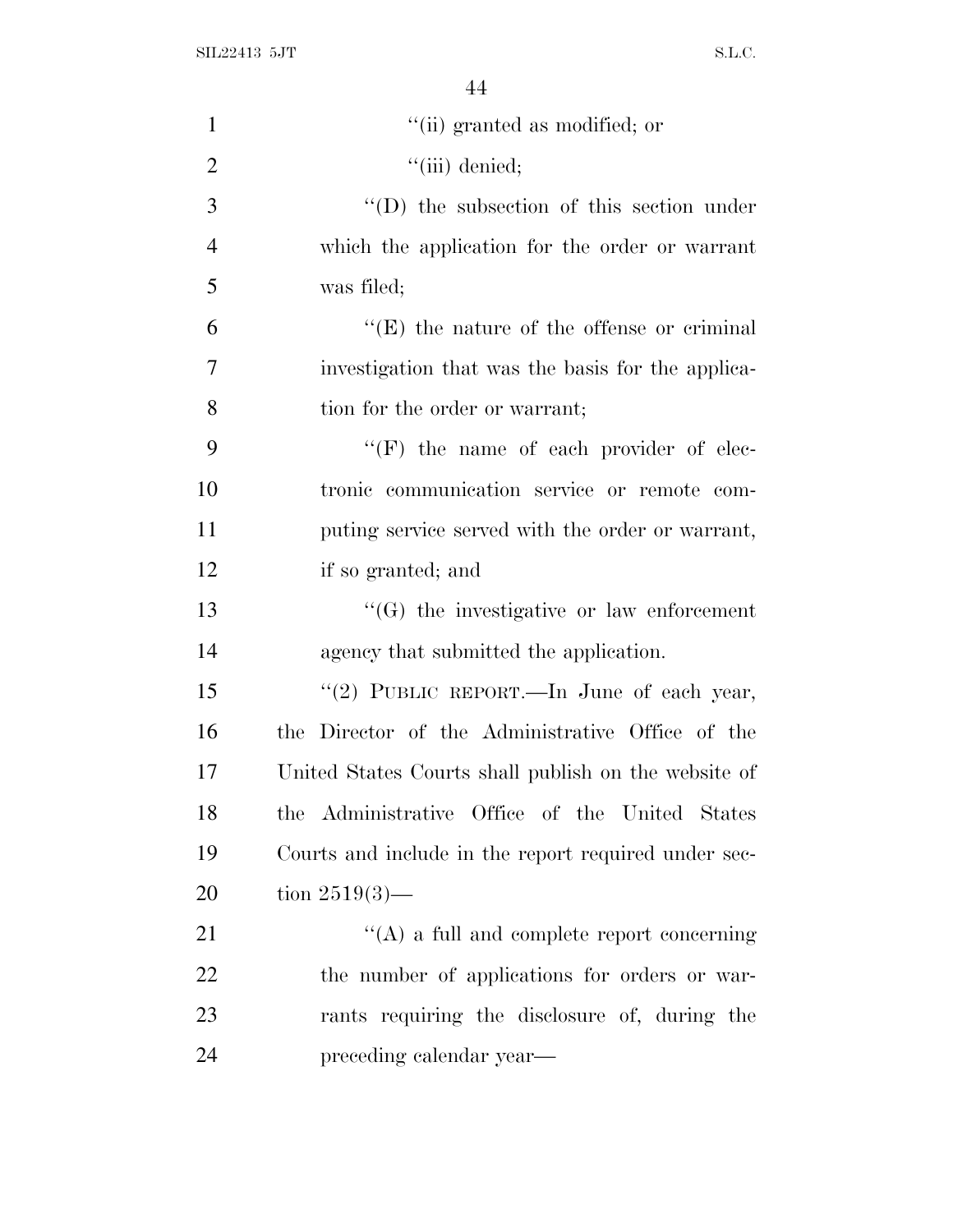| "(ii) granted as modified; or                        |
|------------------------------------------------------|
| $``$ (iii) denied;                                   |
| $\lq\lq$ the subsection of this section under        |
| which the application for the order or warrant       |
| was filed;                                           |
| $\lq\lq(E)$ the nature of the offense or criminal    |
| investigation that was the basis for the applica-    |
| tion for the order or warrant;                       |
| $\lq\lq(F)$ the name of each provider of elec-       |
| tronic communication service or remote com-          |
| puting service served with the order or warrant,     |
| if so granted; and                                   |
| $\lq\lq(G)$ the investigative or law enforcement     |
| agency that submitted the application.               |
| "(2) PUBLIC REPORT.—In June of each year,            |
| the Director of the Administrative Office of the     |
| United States Courts shall publish on the website of |
| the Administrative Office of the United States       |
| Courts and include in the report required under sec- |
| tion $2519(3)$ —                                     |
| $\lq\lq$ a full and complete report concerning       |
| the number of applications for orders or war-        |
| rants requiring the disclosure of, during the        |
| preceding calendar year—                             |
|                                                      |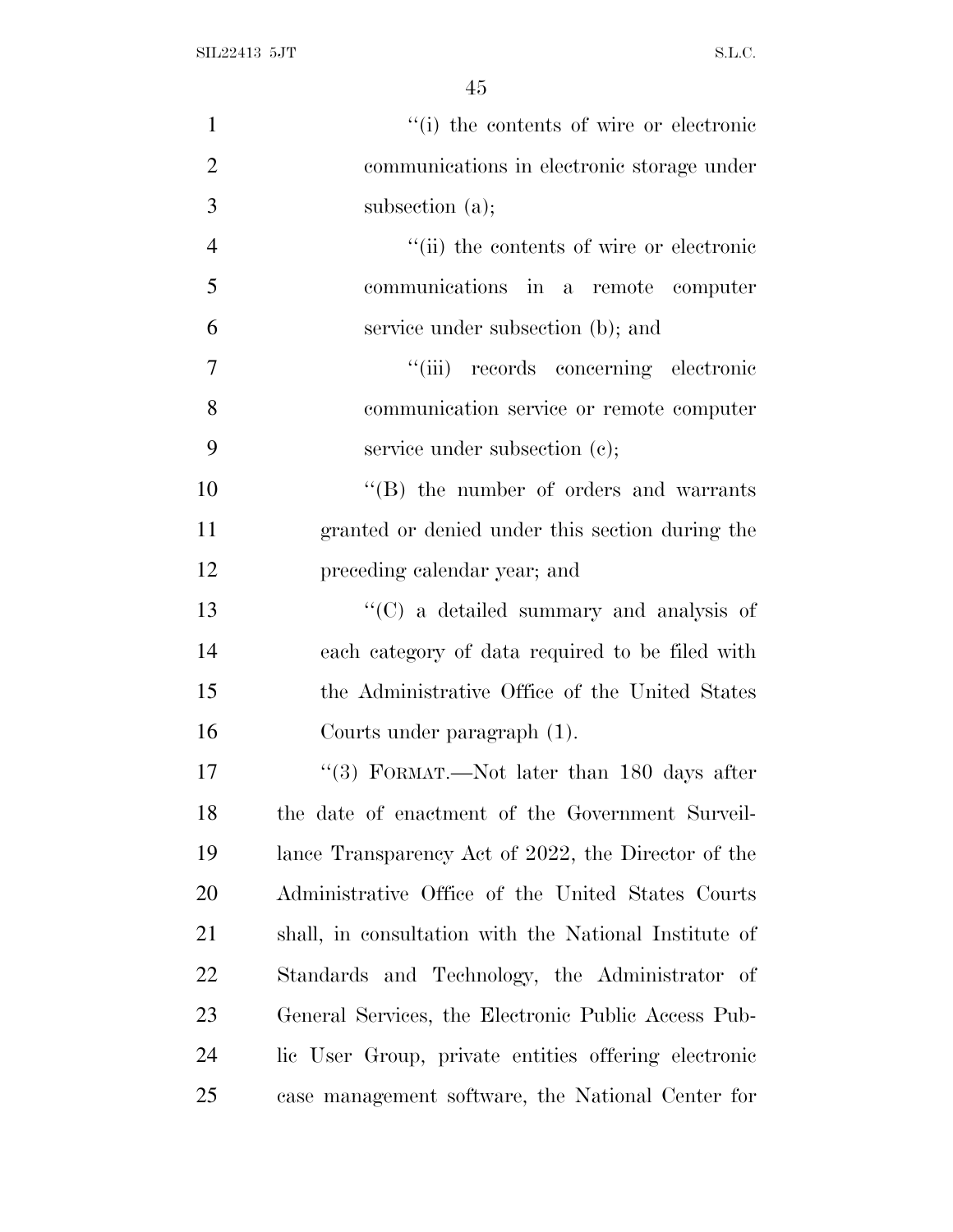| $\mathbf{1}$   | "(i) the contents of wire or electronic               |
|----------------|-------------------------------------------------------|
| $\overline{2}$ | communications in electronic storage under            |
| 3              | subsection $(a)$ ;                                    |
| $\overline{4}$ | "(ii) the contents of wire or electronic              |
| 5              | communications in a remote computer                   |
| 6              | service under subsection (b); and                     |
| $\tau$         | "(iii) records concerning electronic                  |
| 8              | communication service or remote computer              |
| 9              | service under subsection (c);                         |
| 10             | $\lq\lq$ the number of orders and warrants            |
| 11             | granted or denied under this section during the       |
| 12             | preceding calendar year; and                          |
| 13             | "(C) a detailed summary and analysis of               |
| 14             | each category of data required to be filed with       |
| 15             | the Administrative Office of the United States        |
| 16             | Courts under paragraph (1).                           |
| 17             | "(3) FORMAT.—Not later than $180$ days after          |
| 18             | the date of enactment of the Government Surveil-      |
| 19             | lance Transparency Act of 2022, the Director of the   |
| 20             | Administrative Office of the United States Courts     |
| 21             | shall, in consultation with the National Institute of |
| 22             | Standards and Technology, the Administrator of        |
| 23             | General Services, the Electronic Public Access Pub-   |
| 24             | lic User Group, private entities offering electronic  |
| 25             | case management software, the National Center for     |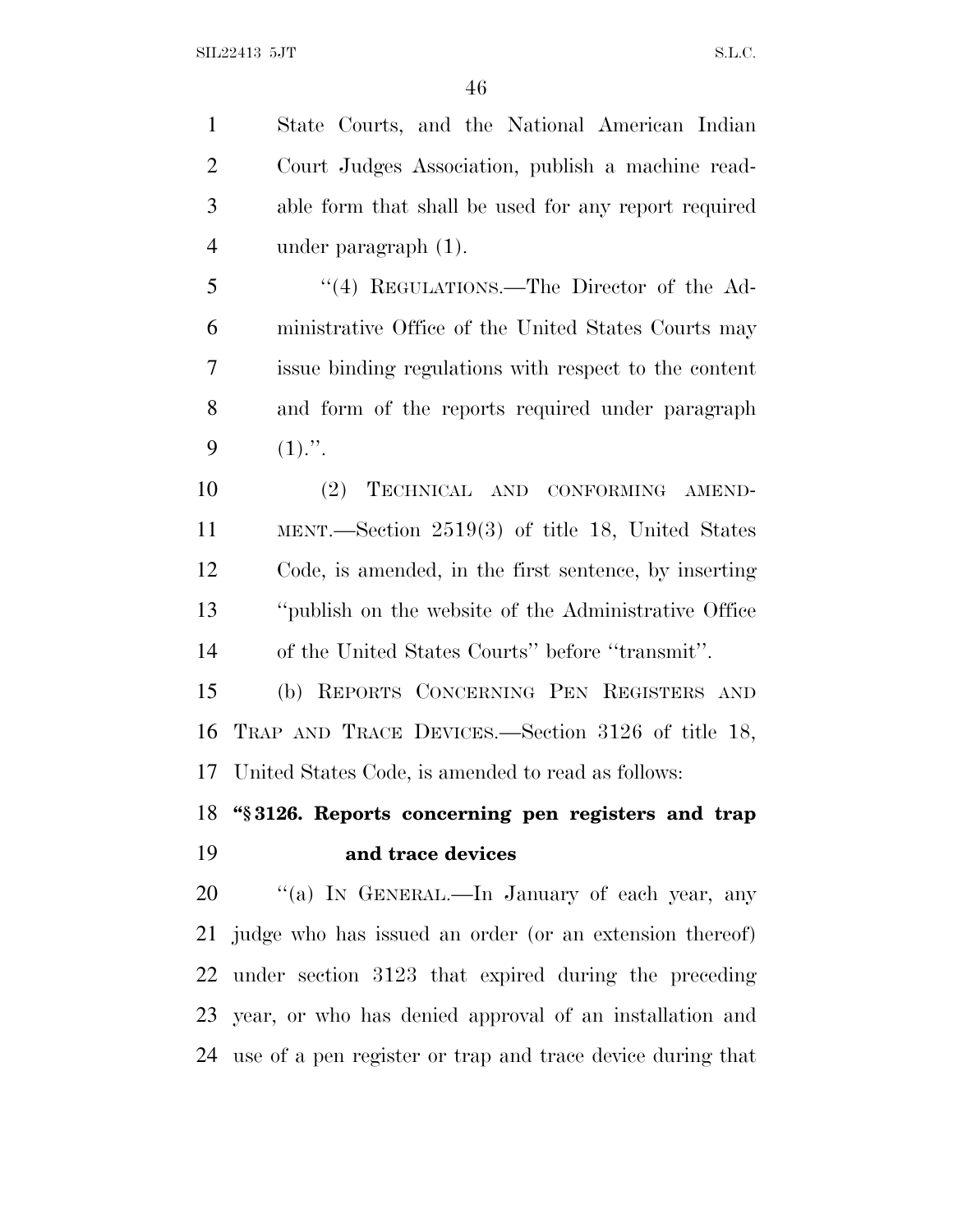State Courts, and the National American Indian Court Judges Association, publish a machine read- able form that shall be used for any report required under paragraph (1).

 ''(4) REGULATIONS.—The Director of the Ad- ministrative Office of the United States Courts may issue binding regulations with respect to the content and form of the reports required under paragraph 9  $(1)$ .".

 (2) TECHNICAL AND CONFORMING AMEND- MENT.—Section 2519(3) of title 18, United States Code, is amended, in the first sentence, by inserting ''publish on the website of the Administrative Office of the United States Courts'' before ''transmit''.

 (b) REPORTS CONCERNING PEN REGISTERS AND TRAP AND TRACE DEVICES.—Section 3126 of title 18, United States Code, is amended to read as follows:

### **''§ 3126. Reports concerning pen registers and trap and trace devices**

20 "(a) IN GENERAL.—In January of each year, any judge who has issued an order (or an extension thereof) under section 3123 that expired during the preceding year, or who has denied approval of an installation and use of a pen register or trap and trace device during that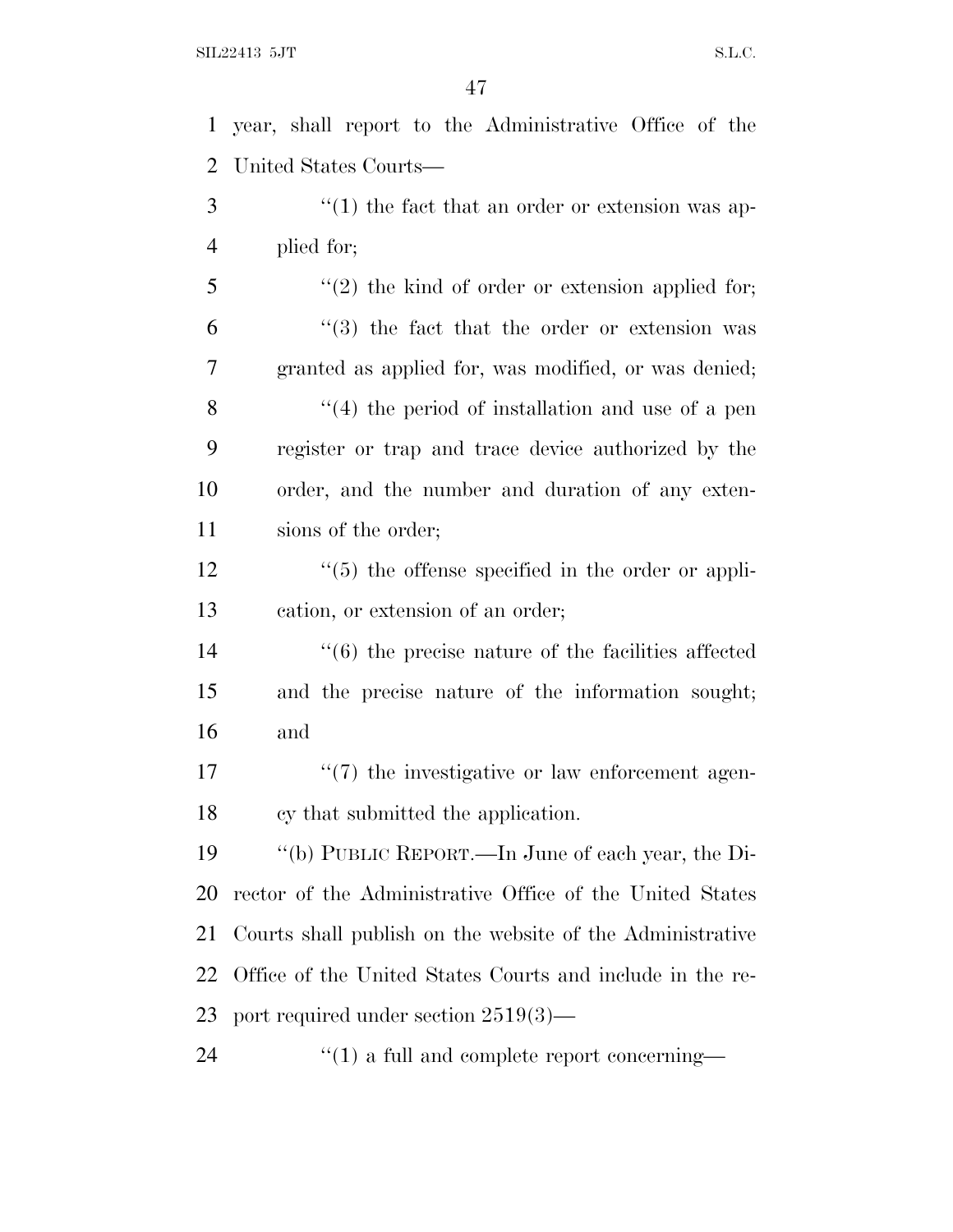year, shall report to the Administrative Office of the United States Courts— 3 (1) the fact that an order or extension was ap- plied for; 5 "(2) the kind of order or extension applied for; "(3) the fact that the order or extension was granted as applied for, was modified, or was denied; 8 ''(4) the period of installation and use of a pen register or trap and trace device authorized by the order, and the number and duration of any exten-11 sions of the order; ''(5) the offense specified in the order or appli- cation, or extension of an order; ''(6) the precise nature of the facilities affected and the precise nature of the information sought; and  $\frac{17}{2}$  the investigative or law enforcement agen- cy that submitted the application. ''(b) PUBLIC REPORT.—In June of each year, the Di- rector of the Administrative Office of the United States Courts shall publish on the website of the Administrative

 Office of the United States Courts and include in the re-port required under section 2519(3)—

24  $\frac{1}{2}$  (1) a full and complete report concerning—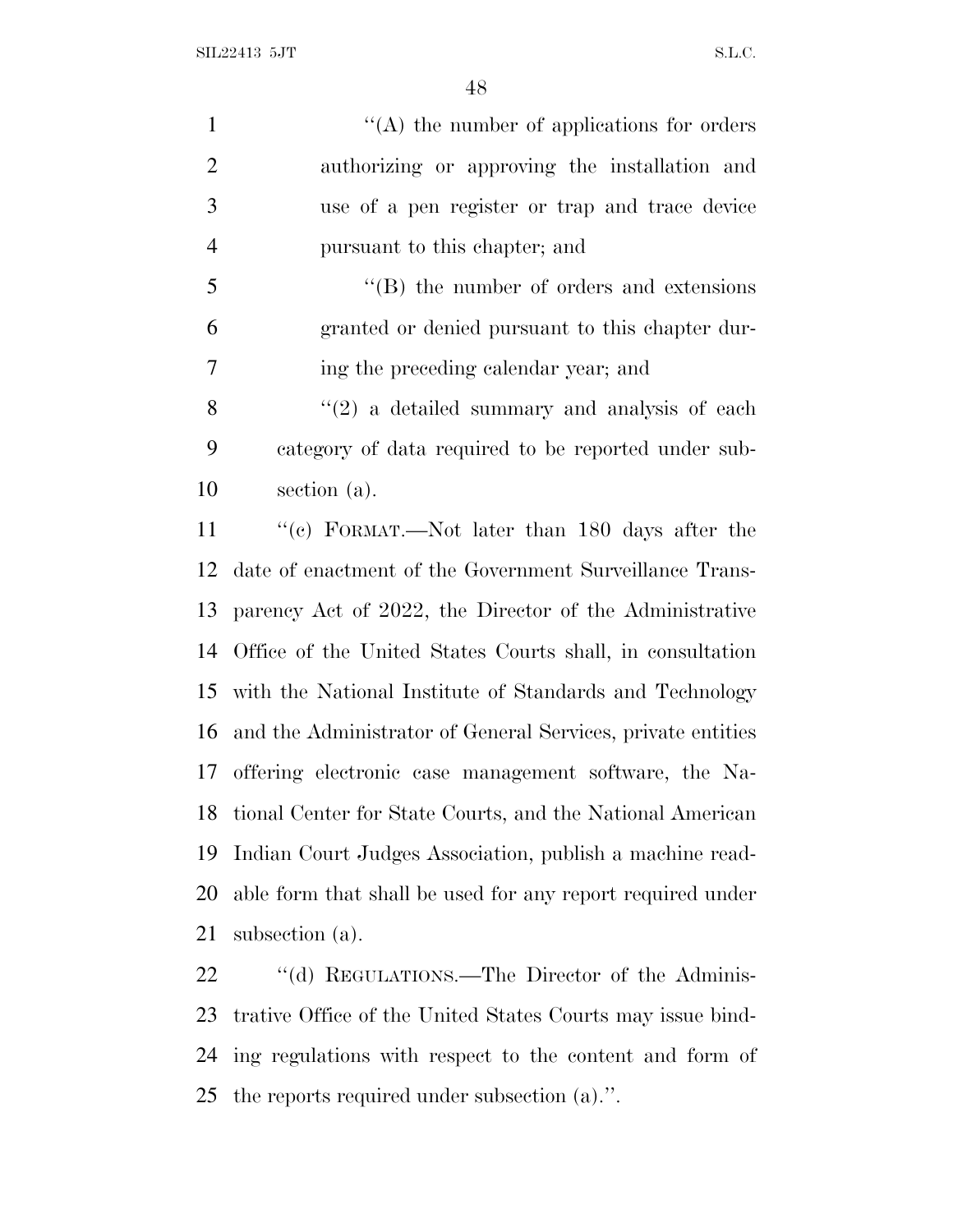| $\mathbf{1}$   | $\lq\lq$ the number of applications for orders              |
|----------------|-------------------------------------------------------------|
| $\overline{2}$ | authorizing or approving the installation and               |
| 3              | use of a pen register or trap and trace device              |
| $\overline{4}$ | pursuant to this chapter; and                               |
| 5              | $\cdot$ (B) the number of orders and extensions             |
| 6              | granted or denied pursuant to this chapter dur-             |
| 7              | ing the preceding calendar year; and                        |
| 8              | $\lq(2)$ a detailed summary and analysis of each            |
| 9              | category of data required to be reported under sub-         |
| 10             | section (a).                                                |
| 11             | "(c) FORMAT.—Not later than 180 days after the              |
| 12             | date of enactment of the Government Surveillance Trans-     |
| 13             | parency Act of 2022, the Director of the Administrative     |
| 14             | Office of the United States Courts shall, in consultation   |
| 15             | with the National Institute of Standards and Technology     |
| 16             | and the Administrator of General Services, private entities |
|                | 17 offering electronic case management software, the Na-    |
| 18             | tional Center for State Courts, and the National American   |
| 19             | Indian Court Judges Association, publish a machine read-    |
| 20             | able form that shall be used for any report required under  |
| 21             | subsection (a).                                             |
| 22             | "(d) REGULATIONS.—The Director of the Adminis-              |

 trative Office of the United States Courts may issue bind- ing regulations with respect to the content and form of the reports required under subsection (a).''.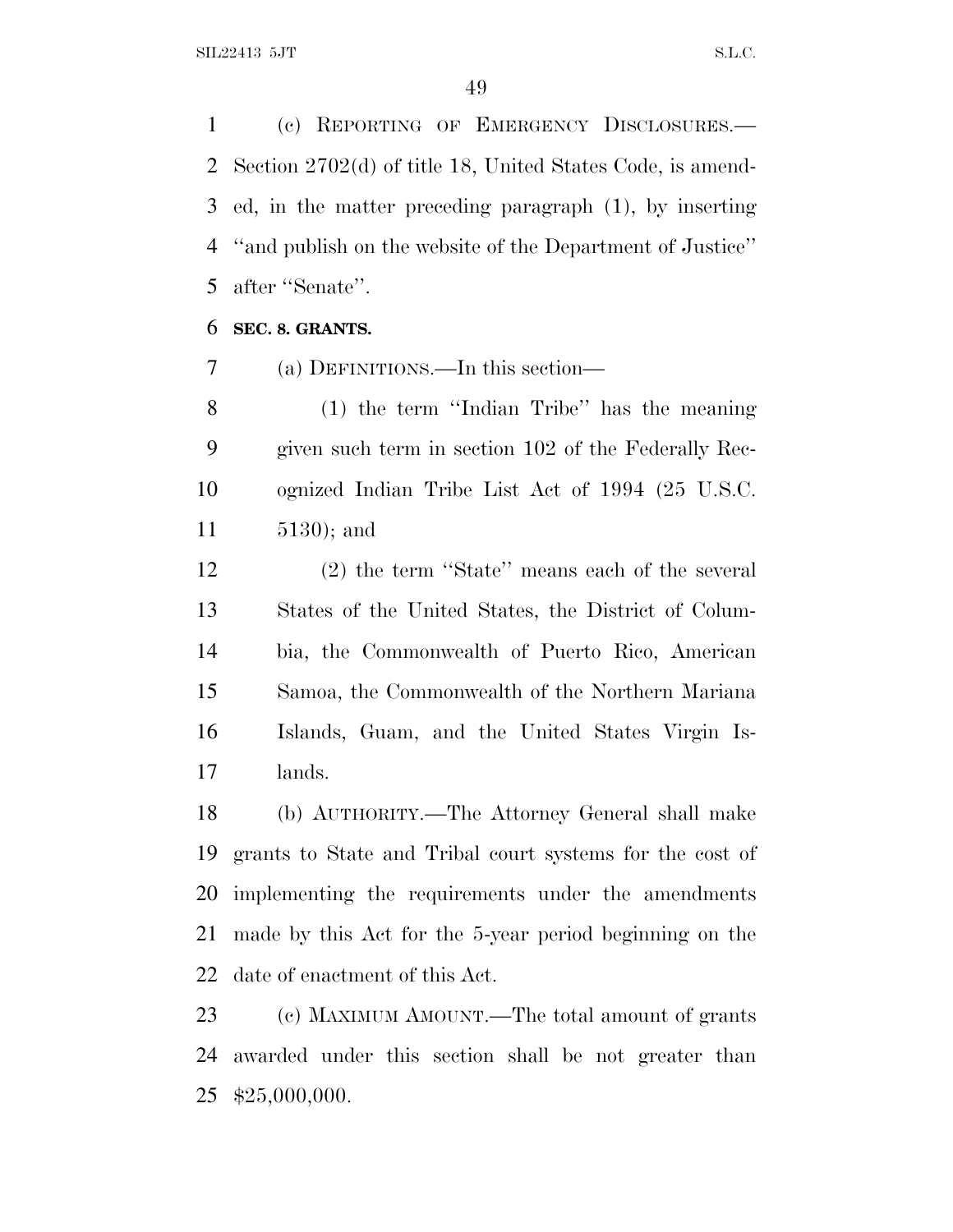(c) REPORTING OF EMERGENCY DISCLOSURES.— Section 2702(d) of title 18, United States Code, is amend- ed, in the matter preceding paragraph (1), by inserting ''and publish on the website of the Department of Justice'' after ''Senate''.

#### **SEC. 8. GRANTS.**

(a) DEFINITIONS.—In this section—

 (1) the term ''Indian Tribe'' has the meaning given such term in section 102 of the Federally Rec- ognized Indian Tribe List Act of 1994 (25 U.S.C. 5130); and

 (2) the term ''State'' means each of the several States of the United States, the District of Colum- bia, the Commonwealth of Puerto Rico, American Samoa, the Commonwealth of the Northern Mariana Islands, Guam, and the United States Virgin Is-lands.

 (b) AUTHORITY.—The Attorney General shall make grants to State and Tribal court systems for the cost of implementing the requirements under the amendments made by this Act for the 5-year period beginning on the date of enactment of this Act.

 (c) MAXIMUM AMOUNT.—The total amount of grants awarded under this section shall be not greater than \$25,000,000.